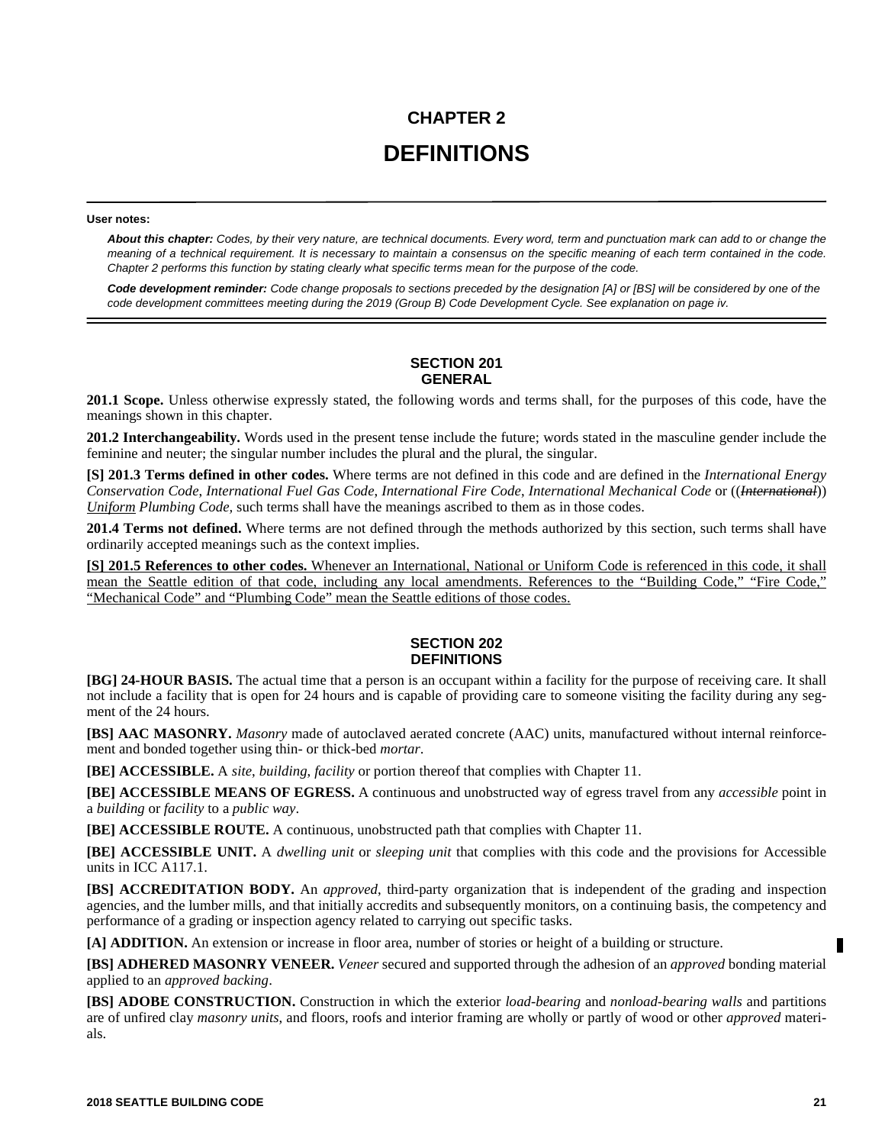# **CHAPTER 2 DEFINITIONS**

#### **User notes:**

*About this chapter: Codes, by their very nature, are technical documents. Every word, term and punctuation mark can add to or change the meaning of a technical requirement. It is necessary to maintain a consensus on the specific meaning of each term contained in the code. Chapter 2 performs this function by stating clearly what specific terms mean for the purpose of the code.*

*Code development reminder: Code change proposals to sections preceded by the designation [A] or [BS] will be considered by one of the code development committees meeting during the 2019 (Group B) Code Development Cycle. See explanation on page iv.*

#### **SECTION 201 GENERAL**

**201.1 Scope.** Unless otherwise expressly stated, the following words and terms shall, for the purposes of this code, have the meanings shown in this chapter.

**201.2 Interchangeability.** Words used in the present tense include the future; words stated in the masculine gender include the feminine and neuter; the singular number includes the plural and the plural, the singular.

**[S] 201.3 Terms defined in other codes.** Where terms are not defined in this code and are defined in the *International Energy Conservation Code*, *International Fuel Gas Code*, *International Fire Code*, *International Mechanical Code* or ((*International*)) *Uniform Plumbing Code,* such terms shall have the meanings ascribed to them as in those codes.

**201.4 Terms not defined.** Where terms are not defined through the methods authorized by this section, such terms shall have ordinarily accepted meanings such as the context implies.

**[S] 201.5 References to other codes.** Whenever an International, National or Uniform Code is referenced in this code, it shall mean the Seattle edition of that code, including any local amendments. References to the "Building Code," "Fire Code," "Mechanical Code" and "Plumbing Code" mean the Seattle editions of those codes.

## **SECTION 202 DEFINITIONS**

**[BG] 24-HOUR BASIS.** The actual time that a person is an occupant within a facility for the purpose of receiving care. It shall not include a facility that is open for 24 hours and is capable of providing care to someone visiting the facility during any segment of the 24 hours.

**[BS] AAC MASONRY.** *Masonry* made of autoclaved aerated concrete (AAC) units, manufactured without internal reinforcement and bonded together using thin- or thick-bed *mortar*.

**[BE] ACCESSIBLE.** A *site*, *building*, *facility* or portion thereof that complies with Chapter 11.

**[BE] ACCESSIBLE MEANS OF EGRESS.** A continuous and unobstructed way of egress travel from any *accessible* point in a *building* or *facility* to a *public way*.

**[BE] ACCESSIBLE ROUTE.** A continuous, unobstructed path that complies with Chapter 11.

**[BE] ACCESSIBLE UNIT.** A *dwelling unit* or *sleeping unit* that complies with this code and the provisions for Accessible units in ICC A117.1.

**[BS] ACCREDITATION BODY.** An *approved*, third-party organization that is independent of the grading and inspection agencies, and the lumber mills, and that initially accredits and subsequently monitors, on a continuing basis, the competency and performance of a grading or inspection agency related to carrying out specific tasks.

**[A] ADDITION.** An extension or increase in floor area, number of stories or height of a building or structure.

**[BS] ADHERED MASONRY VENEER.** *Veneer* secured and supported through the adhesion of an *approved* bonding material applied to an *approved backing*.

**[BS] ADOBE CONSTRUCTION.** Construction in which the exterior *load-bearing* and *nonload-bearing walls* and partitions are of unfired clay *masonry units*, and floors, roofs and interior framing are wholly or partly of wood or other *approved* materials.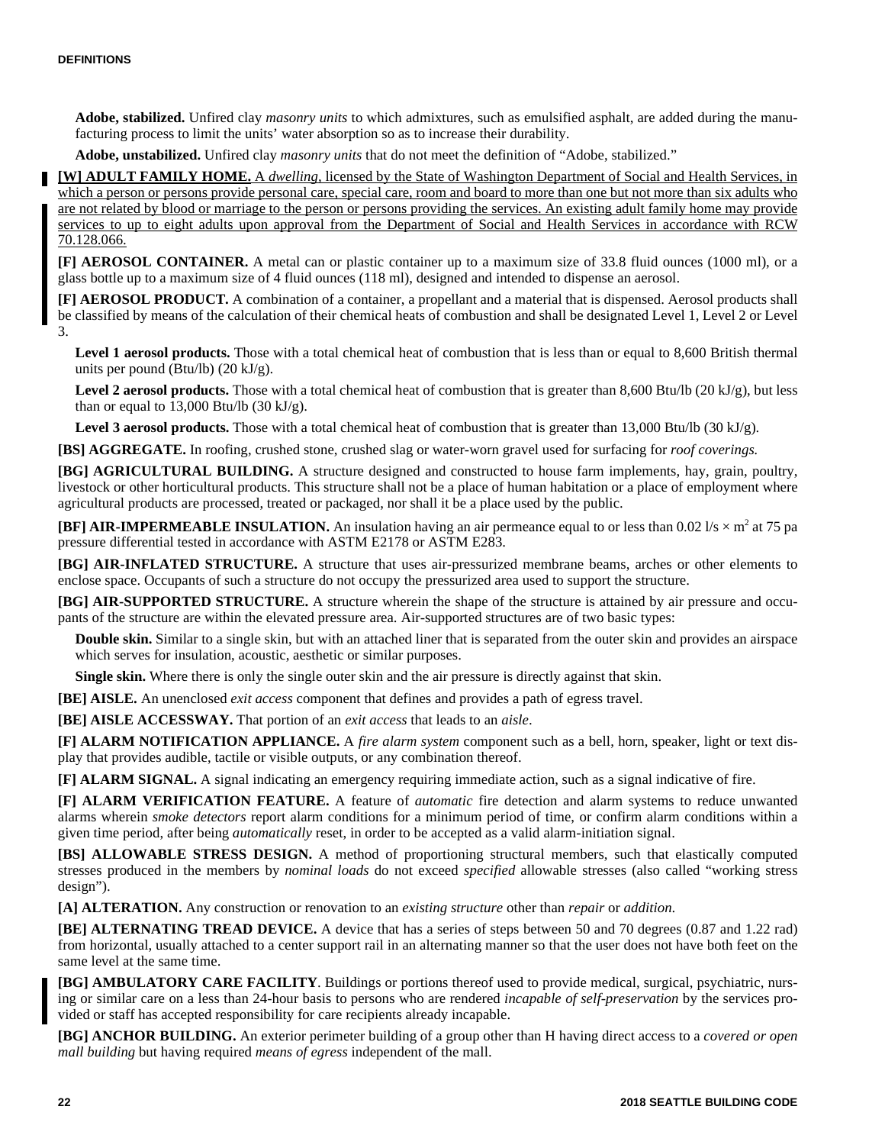**Adobe, stabilized.** Unfired clay *masonry units* to which admixtures, such as emulsified asphalt, are added during the manufacturing process to limit the units' water absorption so as to increase their durability.

**Adobe, unstabilized.** Unfired clay *masonry units* that do not meet the definition of "Adobe, stabilized."

**[W] ADULT FAMILY HOME.** A *dwelling,* licensed by the State of Washington Department of Social and Health Services, in which a person or persons provide personal care, special care, room and board to more than one but not more than six adults who are not related by blood or marriage to the person or persons providing the services. An existing adult family home may provide services to up to eight adults upon approval from the Department of Social and Health Services in accordance with RCW 70.128.066.

**[F] AEROSOL CONTAINER.** A metal can or plastic container up to a maximum size of 33.8 fluid ounces (1000 ml), or a glass bottle up to a maximum size of 4 fluid ounces (118 ml), designed and intended to dispense an aerosol.

**[F] AEROSOL PRODUCT.** A combination of a container, a propellant and a material that is dispensed. Aerosol products shall be classified by means of the calculation of their chemical heats of combustion and shall be designated Level 1, Level 2 or Level 3.

**Level 1 aerosol products.** Those with a total chemical heat of combustion that is less than or equal to 8,600 British thermal units per pound (Btu/lb)  $(20 \text{ kJ/g})$ .

Level 2 aerosol products. Those with a total chemical heat of combustion that is greater than 8,600 Btu/lb (20 kJ/g), but less than or equal to  $13,000$  Btu/lb  $(30 \text{ kJ/g})$ .

Level 3 aerosol products. Those with a total chemical heat of combustion that is greater than 13,000 Btu/lb (30 kJ/g).

**[BS] AGGREGATE.** In roofing, crushed stone, crushed slag or water-worn gravel used for surfacing for *roof coverings.*

**[BG] AGRICULTURAL BUILDING.** A structure designed and constructed to house farm implements, hay, grain, poultry, livestock or other horticultural products. This structure shall not be a place of human habitation or a place of employment where agricultural products are processed, treated or packaged, nor shall it be a place used by the public.

[BF] AIR-IMPERMEABLE INSULATION. An insulation having an air permeance equal to or less than  $0.02 \frac{1}{s} \times m^2$  at 75 pa pressure differential tested in accordance with ASTM E2178 or ASTM E283.

**[BG] AIR-INFLATED STRUCTURE.** A structure that uses air-pressurized membrane beams, arches or other elements to enclose space. Occupants of such a structure do not occupy the pressurized area used to support the structure.

**[BG] AIR-SUPPORTED STRUCTURE.** A structure wherein the shape of the structure is attained by air pressure and occupants of the structure are within the elevated pressure area. Air-supported structures are of two basic types:

**Double skin.** Similar to a single skin, but with an attached liner that is separated from the outer skin and provides an airspace which serves for insulation, acoustic, aesthetic or similar purposes.

**Single skin.** Where there is only the single outer skin and the air pressure is directly against that skin.

**[BE] AISLE.** An unenclosed *exit access* component that defines and provides a path of egress travel.

**[BE] AISLE ACCESSWAY.** That portion of an *exit access* that leads to an *aisle*.

**[F] ALARM NOTIFICATION APPLIANCE.** A *fire alarm system* component such as a bell, horn, speaker, light or text display that provides audible, tactile or visible outputs, or any combination thereof.

**[F] ALARM SIGNAL.** A signal indicating an emergency requiring immediate action, such as a signal indicative of fire.

**[F] ALARM VERIFICATION FEATURE.** A feature of *automatic* fire detection and alarm systems to reduce unwanted alarms wherein *smoke detectors* report alarm conditions for a minimum period of time, or confirm alarm conditions within a given time period, after being *automatically* reset, in order to be accepted as a valid alarm-initiation signal.

**[BS] ALLOWABLE STRESS DESIGN.** A method of proportioning structural members, such that elastically computed stresses produced in the members by *nominal loads* do not exceed *specified* allowable stresses (also called "working stress design").

**[A] ALTERATION.** Any construction or renovation to an *existing structure* other than *repair* or *addition*.

**[BE] ALTERNATING TREAD DEVICE.** A device that has a series of steps between 50 and 70 degrees (0.87 and 1.22 rad) from horizontal, usually attached to a center support rail in an alternating manner so that the user does not have both feet on the same level at the same time.

**[BG] AMBULATORY CARE FACILITY**. Buildings or portions thereof used to provide medical, surgical, psychiatric, nursing or similar care on a less than 24-hour basis to persons who are rendered *incapable of self-preservation* by the services provided or staff has accepted responsibility for care recipients already incapable.

**[BG] ANCHOR BUILDING.** An exterior perimeter building of a group other than H having direct access to a *covered or open mall building* but having required *means of egress* independent of the mall.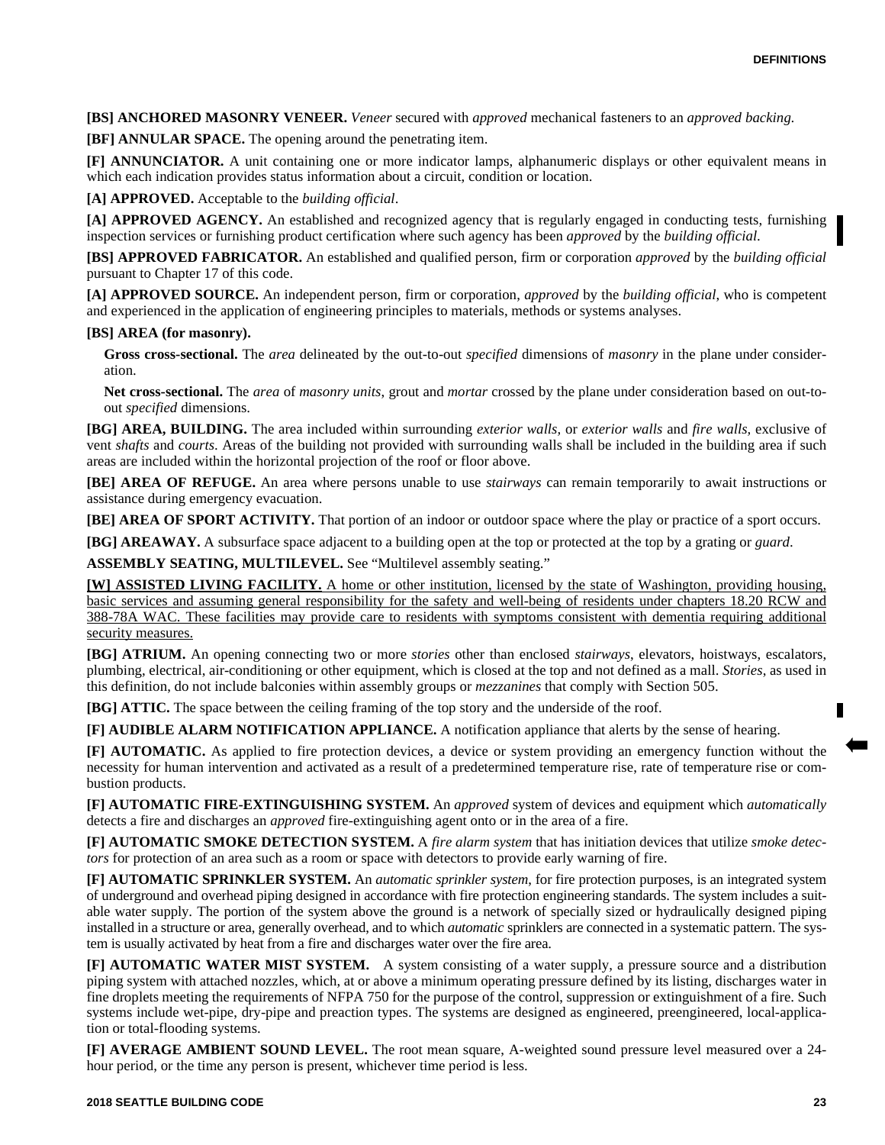**[BS] ANCHORED MASONRY VENEER.** *Veneer* secured with *approved* mechanical fasteners to an *approved backing.*

**[BF] ANNULAR SPACE.** The opening around the penetrating item.

**[F] ANNUNCIATOR.** A unit containing one or more indicator lamps, alphanumeric displays or other equivalent means in which each indication provides status information about a circuit, condition or location.

**[A] APPROVED.** Acceptable to the *building official*.

**[A] APPROVED AGENCY.** An established and recognized agency that is regularly engaged in conducting tests, furnishing inspection services or furnishing product certification where such agency has been *approved* by the *building official*.

**[BS] APPROVED FABRICATOR.** An established and qualified person, firm or corporation *approved* by the *building official* pursuant to Chapter 17 of this code.

**[A] APPROVED SOURCE.** An independent person, firm or corporation, *approved* by the *building official*, who is competent and experienced in the application of engineering principles to materials, methods or systems analyses.

**[BS] AREA (for masonry).** 

**Gross cross-sectional.** The *area* delineated by the out-to-out *specified* dimensions of *masonry* in the plane under consideration.

**Net cross-sectional.** The *area* of *masonry units*, grout and *mortar* crossed by the plane under consideration based on out-toout *specified* dimensions.

**[BG] AREA, BUILDING.** The area included within surrounding *exterior walls,* or *exterior walls* and *fire walls,* exclusive of vent *shafts* and *courts*. Areas of the building not provided with surrounding walls shall be included in the building area if such areas are included within the horizontal projection of the roof or floor above.

**[BE] AREA OF REFUGE.** An area where persons unable to use *stairways* can remain temporarily to await instructions or assistance during emergency evacuation.

**[BE] AREA OF SPORT ACTIVITY.** That portion of an indoor or outdoor space where the play or practice of a sport occurs.

**[BG] AREAWAY.** A subsurface space adjacent to a building open at the top or protected at the top by a grating or *guard*.

**ASSEMBLY SEATING, MULTILEVEL.** See "Multilevel assembly seating."

**[W] ASSISTED LIVING FACILITY.** A home or other institution, licensed by the state of Washington, providing housing, basic services and assuming general responsibility for the safety and well-being of residents under chapters 18.20 RCW and 388-78A WAC. These facilities may provide care to residents with symptoms consistent with dementia requiring additional security measures.

**[BG] ATRIUM.** An opening connecting two or more *stories* other than enclosed *stairways*, elevators, hoistways, escalators, plumbing, electrical, air-conditioning or other equipment, which is closed at the top and not defined as a mall. *Stories*, as used in this definition, do not include balconies within assembly groups or *mezzanines* that comply with Section 505.

**[BG] ATTIC.** The space between the ceiling framing of the top story and the underside of the roof.

**[F] AUDIBLE ALARM NOTIFICATION APPLIANCE.** A notification appliance that alerts by the sense of hearing.

**[F] AUTOMATIC.** As applied to fire protection devices, a device or system providing an emergency function without the necessity for human intervention and activated as a result of a predetermined temperature rise, rate of temperature rise or combustion products.

**[F] AUTOMATIC FIRE-EXTINGUISHING SYSTEM.** An *approved* system of devices and equipment which *automatically* detects a fire and discharges an *approved* fire-extinguishing agent onto or in the area of a fire.

**[F] AUTOMATIC SMOKE DETECTION SYSTEM.** A *fire alarm system* that has initiation devices that utilize *smoke detectors* for protection of an area such as a room or space with detectors to provide early warning of fire.

**[F] AUTOMATIC SPRINKLER SYSTEM.** An *automatic sprinkler system*, for fire protection purposes, is an integrated system of underground and overhead piping designed in accordance with fire protection engineering standards. The system includes a suitable water supply. The portion of the system above the ground is a network of specially sized or hydraulically designed piping installed in a structure or area, generally overhead, and to which *automatic* sprinklers are connected in a systematic pattern. The system is usually activated by heat from a fire and discharges water over the fire area.

**[F] AUTOMATIC WATER MIST SYSTEM.** A system consisting of a water supply, a pressure source and a distribution piping system with attached nozzles, which, at or above a minimum operating pressure defined by its listing, discharges water in fine droplets meeting the requirements of NFPA 750 for the purpose of the control, suppression or extinguishment of a fire. Such systems include wet-pipe, dry-pipe and preaction types. The systems are designed as engineered, preengineered, local-application or total-flooding systems.

**[F] AVERAGE AMBIENT SOUND LEVEL.** The root mean square, A-weighted sound pressure level measured over a 24 hour period, or the time any person is present, whichever time period is less.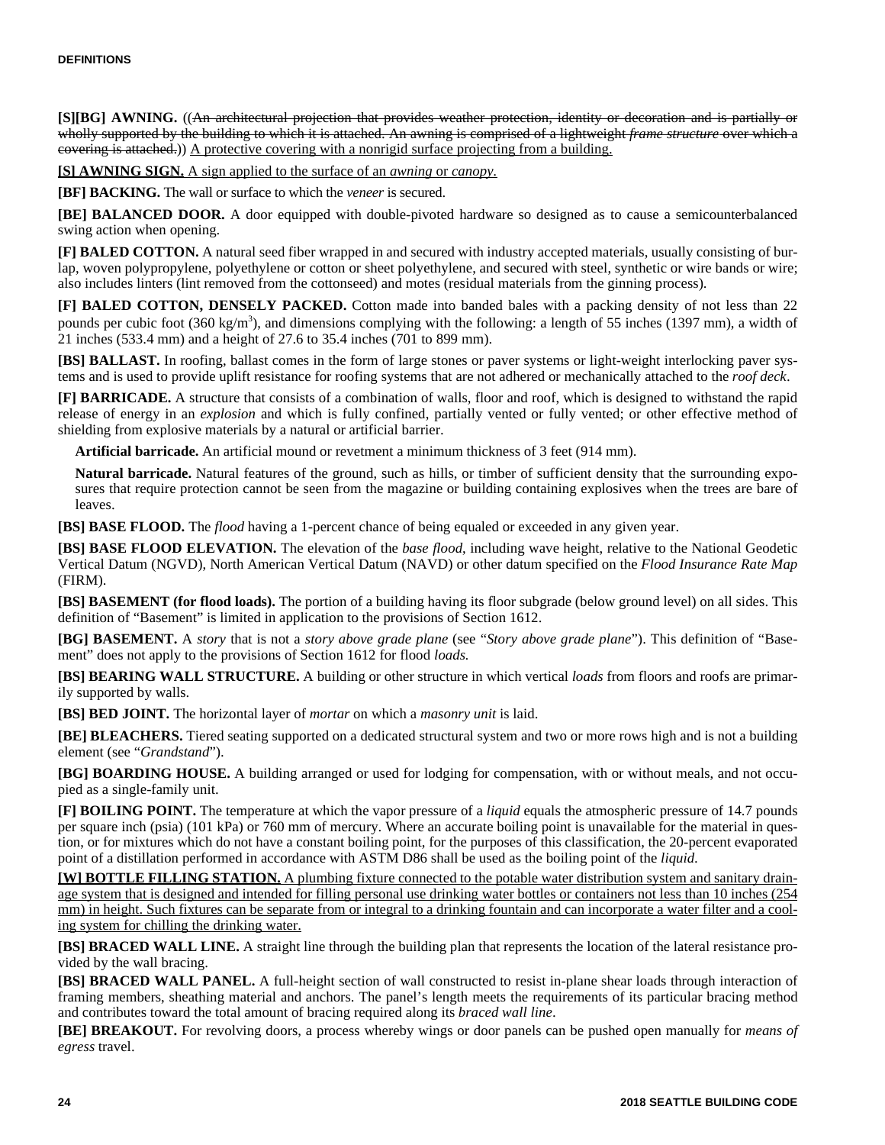**[S][BG] AWNING.** ((An architectural projection that provides weather protection, identity or decoration and is partially or wholly supported by the building to which it is attached. An awning is comprised of a lightweight *frame structure* over which a covering is attached.)) A protective covering with a nonrigid surface projecting from a building.

**[S] AWNING SIGN.** A sign applied to the surface of an *awning* or *canopy.*

**[BF] BACKING.** The wall or surface to which the *veneer* is secured.

**[BE] BALANCED DOOR.** A door equipped with double-pivoted hardware so designed as to cause a semicounterbalanced swing action when opening.

**[F] BALED COTTON.** A natural seed fiber wrapped in and secured with industry accepted materials, usually consisting of burlap, woven polypropylene, polyethylene or cotton or sheet polyethylene, and secured with steel, synthetic or wire bands or wire; also includes linters (lint removed from the cottonseed) and motes (residual materials from the ginning process).

**[F] BALED COTTON, DENSELY PACKED.** Cotton made into banded bales with a packing density of not less than 22 pounds per cubic foot (360 kg/m<sup>3</sup>), and dimensions complying with the following: a length of 55 inches (1397 mm), a width of 21 inches (533.4 mm) and a height of 27.6 to 35.4 inches (701 to 899 mm).

**[BS] BALLAST.** In roofing, ballast comes in the form of large stones or paver systems or light-weight interlocking paver systems and is used to provide uplift resistance for roofing systems that are not adhered or mechanically attached to the *roof deck*.

**[F] BARRICADE.** A structure that consists of a combination of walls, floor and roof, which is designed to withstand the rapid release of energy in an *explosion* and which is fully confined, partially vented or fully vented; or other effective method of shielding from explosive materials by a natural or artificial barrier.

**Artificial barricade.** An artificial mound or revetment a minimum thickness of 3 feet (914 mm).

**Natural barricade.** Natural features of the ground, such as hills, or timber of sufficient density that the surrounding exposures that require protection cannot be seen from the magazine or building containing explosives when the trees are bare of leaves.

**[BS] BASE FLOOD.** The *flood* having a 1-percent chance of being equaled or exceeded in any given year.

**[BS] BASE FLOOD ELEVATION.** The elevation of the *base flood*, including wave height, relative to the National Geodetic Vertical Datum (NGVD), North American Vertical Datum (NAVD) or other datum specified on the *Flood Insurance Rate Map* (FIRM).

**[BS] BASEMENT (for flood loads).** The portion of a building having its floor subgrade (below ground level) on all sides. This definition of "Basement" is limited in application to the provisions of Section 1612.

**[BG] BASEMENT.** A *story* that is not a *story above grade plane* (see "*Story above grade plane*"). This definition of "Basement" does not apply to the provisions of Section 1612 for flood *loads.*

**[BS] BEARING WALL STRUCTURE.** A building or other structure in which vertical *loads* from floors and roofs are primarily supported by walls.

**[BS] BED JOINT.** The horizontal layer of *mortar* on which a *masonry unit* is laid.

**[BE] BLEACHERS.** Tiered seating supported on a dedicated structural system and two or more rows high and is not a building element (see "*Grandstand*").

**[BG] BOARDING HOUSE.** A building arranged or used for lodging for compensation, with or without meals, and not occupied as a single-family unit.

**[F] BOILING POINT.** The temperature at which the vapor pressure of a *liquid* equals the atmospheric pressure of 14.7 pounds per square inch (psia) (101 kPa) or 760 mm of mercury. Where an accurate boiling point is unavailable for the material in question, or for mixtures which do not have a constant boiling point, for the purposes of this classification, the 20-percent evaporated point of a distillation performed in accordance with ASTM D86 shall be used as the boiling point of the *liquid*.

**[W] BOTTLE FILLING STATION.** A plumbing fixture connected to the potable water distribution system and sanitary drainage system that is designed and intended for filling personal use drinking water bottles or containers not less than 10 inches (254) mm) in height. Such fixtures can be separate from or integral to a drinking fountain and can incorporate a water filter and a cooling system for chilling the drinking water.

**[BS] BRACED WALL LINE.** A straight line through the building plan that represents the location of the lateral resistance provided by the wall bracing.

**[BS] BRACED WALL PANEL.** A full-height section of wall constructed to resist in-plane shear loads through interaction of framing members, sheathing material and anchors. The panel's length meets the requirements of its particular bracing method and contributes toward the total amount of bracing required along its *braced wall line*.

**[BE] BREAKOUT.** For revolving doors, a process whereby wings or door panels can be pushed open manually for *means of egress* travel.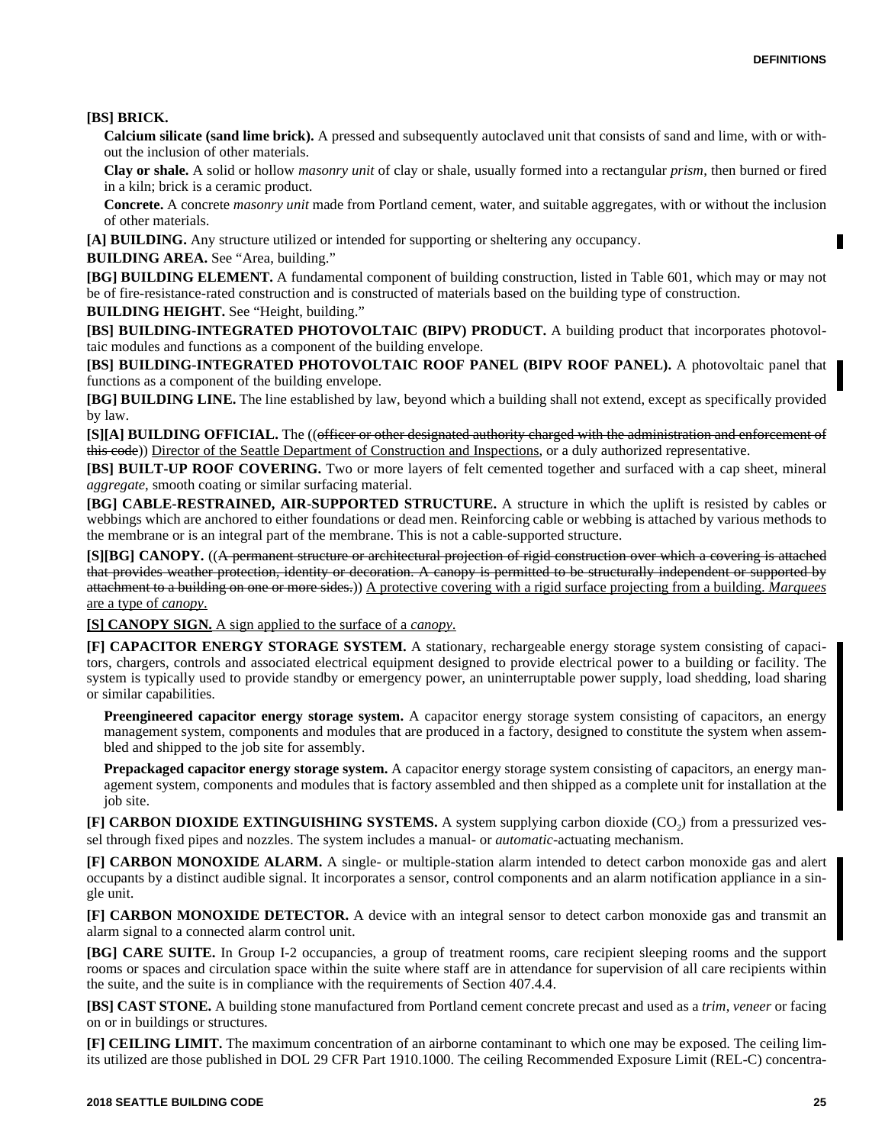#### **[BS] BRICK.**

**Calcium silicate (sand lime brick).** A pressed and subsequently autoclaved unit that consists of sand and lime, with or without the inclusion of other materials.

**Clay or shale.** A solid or hollow *masonry unit* of clay or shale, usually formed into a rectangular *prism*, then burned or fired in a kiln; brick is a ceramic product.

**Concrete.** A concrete *masonry unit* made from Portland cement, water, and suitable aggregates, with or without the inclusion of other materials.

**[A] BUILDING.** Any structure utilized or intended for supporting or sheltering any occupancy.

**BUILDING AREA.** See "Area, building."

**[BG] BUILDING ELEMENT.** A fundamental component of building construction, listed in Table 601, which may or may not be of fire-resistance-rated construction and is constructed of materials based on the building type of construction.

**BUILDING HEIGHT.** See "Height, building."

**[BS] BUILDING-INTEGRATED PHOTOVOLTAIC (BIPV) PRODUCT.** A building product that incorporates photovoltaic modules and functions as a component of the building envelope.

**[BS] BUILDING-INTEGRATED PHOTOVOLTAIC ROOF PANEL (BIPV ROOF PANEL).** A photovoltaic panel that functions as a component of the building envelope.

**[BG] BUILDING LINE.** The line established by law, beyond which a building shall not extend, except as specifically provided by law.

**[S][A] BUILDING OFFICIAL.** The ((officer or other designated authority charged with the administration and enforcement of this code)) Director of the Seattle Department of Construction and Inspections, or a duly authorized representative.

**[BS] BUILT-UP ROOF COVERING.** Two or more layers of felt cemented together and surfaced with a cap sheet, mineral *aggregate*, smooth coating or similar surfacing material.

**[BG] CABLE-RESTRAINED, AIR-SUPPORTED STRUCTURE.** A structure in which the uplift is resisted by cables or webbings which are anchored to either foundations or dead men. Reinforcing cable or webbing is attached by various methods to the membrane or is an integral part of the membrane. This is not a cable-supported structure.

**[S][BG] CANOPY.** ((A permanent structure or architectural projection of rigid construction over which a covering is attached that provides weather protection, identity or decoration. A canopy is permitted to be structurally independent or supported by attachment to a building on one or more sides.)) A protective covering with a rigid surface projecting from a building. *Marquees* are a type of *canopy*.

**[S] CANOPY SIGN.** A sign applied to the surface of a *canopy*.

**[F] CAPACITOR ENERGY STORAGE SYSTEM.** A stationary, rechargeable energy storage system consisting of capacitors, chargers, controls and associated electrical equipment designed to provide electrical power to a building or facility. The system is typically used to provide standby or emergency power, an uninterruptable power supply, load shedding, load sharing or similar capabilities.

**Preengineered capacitor energy storage system.** A capacitor energy storage system consisting of capacitors, an energy management system, components and modules that are produced in a factory, designed to constitute the system when assembled and shipped to the job site for assembly.

**Prepackaged capacitor energy storage system.** A capacitor energy storage system consisting of capacitors, an energy management system, components and modules that is factory assembled and then shipped as a complete unit for installation at the job site.

**[F] CARBON DIOXIDE EXTINGUISHING SYSTEMS.** A system supplying carbon dioxide (CO<sub>2</sub>) from a pressurized vessel through fixed pipes and nozzles. The system includes a manual- or *automatic*-actuating mechanism.

**[F] CARBON MONOXIDE ALARM.** A single- or multiple-station alarm intended to detect carbon monoxide gas and alert occupants by a distinct audible signal. It incorporates a sensor, control components and an alarm notification appliance in a single unit.

**[F] CARBON MONOXIDE DETECTOR.** A device with an integral sensor to detect carbon monoxide gas and transmit an alarm signal to a connected alarm control unit.

**[BG] CARE SUITE.** In Group I-2 occupancies, a group of treatment rooms, care recipient sleeping rooms and the support rooms or spaces and circulation space within the suite where staff are in attendance for supervision of all care recipients within the suite, and the suite is in compliance with the requirements of Section 407.4.4.

**[BS] CAST STONE.** A building stone manufactured from Portland cement concrete precast and used as a *trim*, *veneer* or facing on or in buildings or structures*.*

**[F] CEILING LIMIT.** The maximum concentration of an airborne contaminant to which one may be exposed. The ceiling limits utilized are those published in DOL 29 CFR Part 1910.1000. The ceiling Recommended Exposure Limit (REL-C) concentra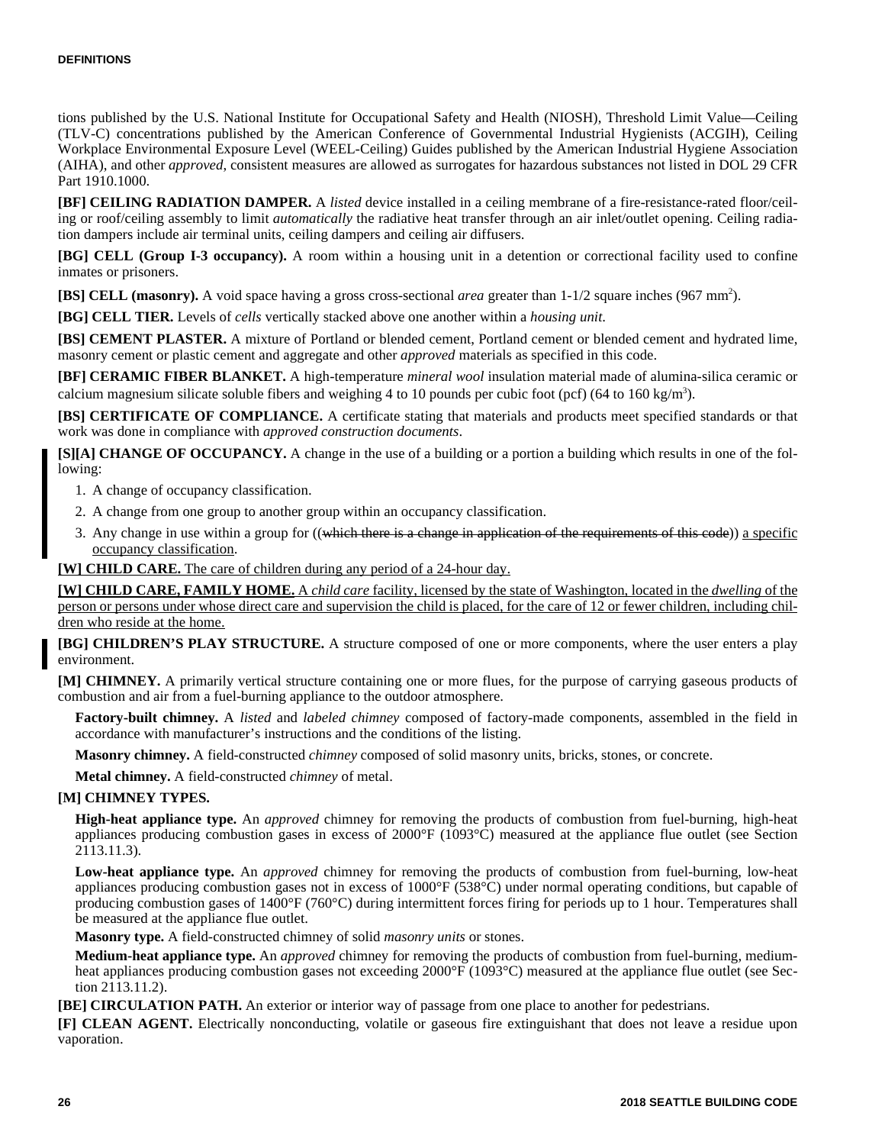tions published by the U.S. National Institute for Occupational Safety and Health (NIOSH), Threshold Limit Value—Ceiling (TLV-C) concentrations published by the American Conference of Governmental Industrial Hygienists (ACGIH), Ceiling Workplace Environmental Exposure Level (WEEL-Ceiling) Guides published by the American Industrial Hygiene Association (AIHA), and other *approved*, consistent measures are allowed as surrogates for hazardous substances not listed in DOL 29 CFR Part 1910.1000.

**[BF] CEILING RADIATION DAMPER.** A *listed* device installed in a ceiling membrane of a fire-resistance-rated floor/ceiling or roof/ceiling assembly to limit *automatically* the radiative heat transfer through an air inlet/outlet opening. Ceiling radiation dampers include air terminal units, ceiling dampers and ceiling air diffusers.

**[BG] CELL (Group I-3 occupancy).** A room within a housing unit in a detention or correctional facility used to confine inmates or prisoners.

[BS] CELL (masonry). A void space having a gross cross-sectional *area* greater than 1-1/2 square inches (967 mm<sup>2</sup>).

**[BG] CELL TIER.** Levels of *cells* vertically stacked above one another within a *housing unit*.

**[BS] CEMENT PLASTER.** A mixture of Portland or blended cement, Portland cement or blended cement and hydrated lime, masonry cement or plastic cement and aggregate and other *approved* materials as specified in this code.

**[BF] CERAMIC FIBER BLANKET.** A high-temperature *mineral wool* insulation material made of alumina-silica ceramic or calcium magnesium silicate soluble fibers and weighing 4 to 10 pounds per cubic foot (pcf) (64 to 160 kg/m<sup>3</sup>).

**[BS] CERTIFICATE OF COMPLIANCE.** A certificate stating that materials and products meet specified standards or that work was done in compliance with *approved construction documents*.

**[S][A] CHANGE OF OCCUPANCY.** A change in the use of a building or a portion a building which results in one of the following:

- 1. A change of occupancy classification.
- 2. A change from one group to another group within an occupancy classification.
- 3. Any change in use within a group for ((which there is a change in application of the requirements of this code)) a specific occupancy classification.

**[W] CHILD CARE.** The care of children during any period of a 24-hour day.

**[W] CHILD CARE, FAMILY HOME.** A *child care* facility, licensed by the state of Washington, located in the *dwelling* of the person or persons under whose direct care and supervision the child is placed, for the care of 12 or fewer children, including children who reside at the home.

**[BG] CHILDREN'S PLAY STRUCTURE.** A structure composed of one or more components, where the user enters a play environment.

**[M] CHIMNEY.** A primarily vertical structure containing one or more flues, for the purpose of carrying gaseous products of combustion and air from a fuel-burning appliance to the outdoor atmosphere.

**Factory-built chimney.** A *listed* and *labeled chimney* composed of factory-made components, assembled in the field in accordance with manufacturer's instructions and the conditions of the listing.

**Masonry chimney.** A field-constructed *chimney* composed of solid masonry units, bricks, stones, or concrete.

**Metal chimney.** A field-constructed *chimney* of metal.

## **[M] CHIMNEY TYPES.**

**High-heat appliance type.** An *approved* chimney for removing the products of combustion from fuel-burning, high-heat appliances producing combustion gases in excess of 2000°F (1093°C) measured at the appliance flue outlet (see Section 2113.11.3).

**Low-heat appliance type.** An *approved* chimney for removing the products of combustion from fuel-burning, low-heat appliances producing combustion gases not in excess of 1000°F (538°C) under normal operating conditions, but capable of producing combustion gases of 1400°F (760°C) during intermittent forces firing for periods up to 1 hour. Temperatures shall be measured at the appliance flue outlet.

**Masonry type.** A field-constructed chimney of solid *masonry units* or stones.

**Medium-heat appliance type.** An *approved* chimney for removing the products of combustion from fuel-burning, mediumheat appliances producing combustion gases not exceeding 2000°F (1093°C) measured at the appliance flue outlet (see Section 2113.11.2).

**[BE] CIRCULATION PATH.** An exterior or interior way of passage from one place to another for pedestrians.

**[F] CLEAN AGENT.** Electrically nonconducting, volatile or gaseous fire extinguishant that does not leave a residue upon vaporation.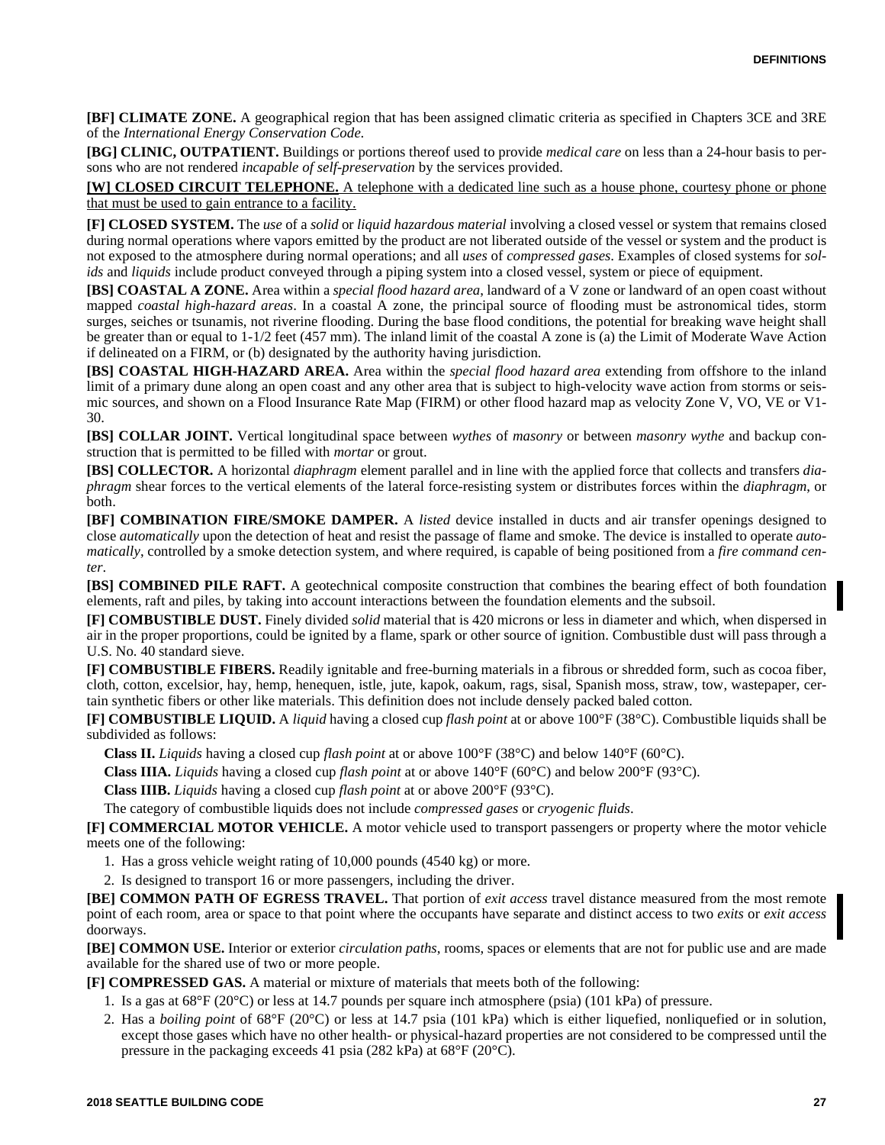**[BF] CLIMATE ZONE.** A geographical region that has been assigned climatic criteria as specified in Chapters 3CE and 3RE of the *International Energy Conservation Code*.

**[BG] CLINIC, OUTPATIENT.** Buildings or portions thereof used to provide *medical care* on less than a 24-hour basis to persons who are not rendered *incapable of self-preservation* by the services provided.

**[W] CLOSED CIRCUIT TELEPHONE.** A telephone with a dedicated line such as a house phone, courtesy phone or phone that must be used to gain entrance to a facility.

**[F] CLOSED SYSTEM.** The *use* of a *solid* or *liquid hazardous material* involving a closed vessel or system that remains closed during normal operations where vapors emitted by the product are not liberated outside of the vessel or system and the product is not exposed to the atmosphere during normal operations; and all *uses* of *compressed gases*. Examples of closed systems for *solids* and *liquids* include product conveyed through a piping system into a closed vessel, system or piece of equipment.

**[BS] COASTAL A ZONE.** Area within a *special flood hazard area*, landward of a V zone or landward of an open coast without mapped *coastal high-hazard areas*. In a coastal A zone, the principal source of flooding must be astronomical tides, storm surges, seiches or tsunamis, not riverine flooding. During the base flood conditions, the potential for breaking wave height shall be greater than or equal to 1-1/2 feet (457 mm). The inland limit of the coastal A zone is (a) the Limit of Moderate Wave Action if delineated on a FIRM, or (b) designated by the authority having jurisdiction.

**[BS] COASTAL HIGH-HAZARD AREA.** Area within the *special flood hazard area* extending from offshore to the inland limit of a primary dune along an open coast and any other area that is subject to high-velocity wave action from storms or seismic sources, and shown on a Flood Insurance Rate Map (FIRM) or other flood hazard map as velocity Zone V, VO, VE or V1- 30.

**[BS] COLLAR JOINT.** Vertical longitudinal space between *wythes* of *masonry* or between *masonry wythe* and backup construction that is permitted to be filled with *mortar* or grout.

**[BS] COLLECTOR.** A horizontal *diaphragm* element parallel and in line with the applied force that collects and transfers *diaphragm* shear forces to the vertical elements of the lateral force-resisting system or distributes forces within the *diaphragm*, or both.

**[BF] COMBINATION FIRE/SMOKE DAMPER.** A *listed* device installed in ducts and air transfer openings designed to close *automatically* upon the detection of heat and resist the passage of flame and smoke. The device is installed to operate *automatically*, controlled by a smoke detection system, and where required, is capable of being positioned from a *fire command center*.

**[BS] COMBINED PILE RAFT.** A geotechnical composite construction that combines the bearing effect of both foundation elements, raft and piles, by taking into account interactions between the foundation elements and the subsoil.

**[F] COMBUSTIBLE DUST.** Finely divided *solid* material that is 420 microns or less in diameter and which, when dispersed in air in the proper proportions, could be ignited by a flame, spark or other source of ignition. Combustible dust will pass through a U.S. No. 40 standard sieve.

**[F] COMBUSTIBLE FIBERS.** Readily ignitable and free-burning materials in a fibrous or shredded form, such as cocoa fiber, cloth, cotton, excelsior, hay, hemp, henequen, istle, jute, kapok, oakum, rags, sisal, Spanish moss, straw, tow, wastepaper, certain synthetic fibers or other like materials. This definition does not include densely packed baled cotton.

**[F] COMBUSTIBLE LIQUID.** A *liquid* having a closed cup *flash point* at or above 100°F (38°C). Combustible liquids shall be subdivided as follows:

**Class II.** *Liquids* having a closed cup *flash point* at or above 100°F (38°C) and below 140°F (60°C).

**Class IIIA.** *Liquids* having a closed cup *flash point* at or above 140°F (60°C) and below 200°F (93°C).

**Class IIIB.** *Liquids* having a closed cup *flash point* at or above 200°F (93°C).

The category of combustible liquids does not include *compressed gases* or *cryogenic fluids*.

**[F] COMMERCIAL MOTOR VEHICLE.** A motor vehicle used to transport passengers or property where the motor vehicle meets one of the following:

- 1. Has a gross vehicle weight rating of 10,000 pounds (4540 kg) or more.
- 2. Is designed to transport 16 or more passengers, including the driver.

**[BE] COMMON PATH OF EGRESS TRAVEL.** That portion of *exit access* travel distance measured from the most remote point of each room, area or space to that point where the occupants have separate and distinct access to two *exits* or *exit access* doorways.

**[BE] COMMON USE.** Interior or exterior *circulation paths*, rooms, spaces or elements that are not for public use and are made available for the shared use of two or more people.

**[F] COMPRESSED GAS.** A material or mixture of materials that meets both of the following:

- 1. Is a gas at 68°F (20°C) or less at 14.7 pounds per square inch atmosphere (psia) (101 kPa) of pressure.
- 2. Has a *boiling point* of 68°F (20°C) or less at 14.7 psia (101 kPa) which is either liquefied, nonliquefied or in solution, except those gases which have no other health- or physical-hazard properties are not considered to be compressed until the pressure in the packaging exceeds 41 psia (282 kPa) at 68°F (20°C).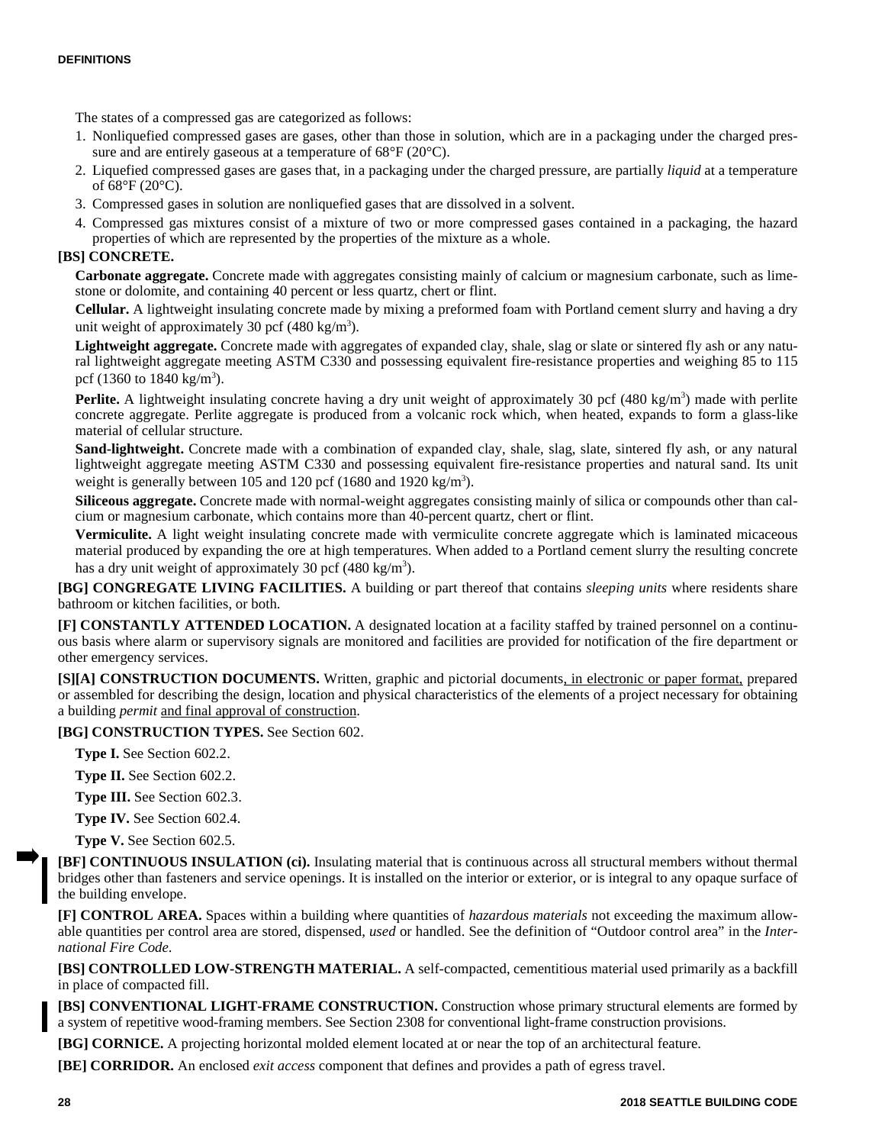The states of a compressed gas are categorized as follows:

- 1. Nonliquefied compressed gases are gases, other than those in solution, which are in a packaging under the charged pressure and are entirely gaseous at a temperature of 68°F (20°C).
- 2. Liquefied compressed gases are gases that, in a packaging under the charged pressure, are partially *liquid* at a temperature of  $68^{\circ}F(20^{\circ}C)$ .
- 3. Compressed gases in solution are nonliquefied gases that are dissolved in a solvent.
- 4. Compressed gas mixtures consist of a mixture of two or more compressed gases contained in a packaging, the hazard properties of which are represented by the properties of the mixture as a whole.

# **[BS] CONCRETE.**

**Carbonate aggregate.** Concrete made with aggregates consisting mainly of calcium or magnesium carbonate, such as limestone or dolomite, and containing 40 percent or less quartz, chert or flint.

**Cellular.** A lightweight insulating concrete made by mixing a preformed foam with Portland cement slurry and having a dry unit weight of approximately 30 pcf (480 kg/m<sup>3</sup>).

**Lightweight aggregate.** Concrete made with aggregates of expanded clay, shale, slag or slate or sintered fly ash or any natural lightweight aggregate meeting ASTM C330 and possessing equivalent fire-resistance properties and weighing 85 to 115 pcf (1360 to 1840 kg/m<sup>3</sup>).

Perlite. A lightweight insulating concrete having a dry unit weight of approximately 30 pcf (480 kg/m<sup>3</sup>) made with perlite concrete aggregate. Perlite aggregate is produced from a volcanic rock which, when heated, expands to form a glass-like material of cellular structure.

**Sand-lightweight.** Concrete made with a combination of expanded clay, shale, slag, slate, sintered fly ash, or any natural lightweight aggregate meeting ASTM C330 and possessing equivalent fire-resistance properties and natural sand. Its unit weight is generally between 105 and 120 pcf (1680 and 1920 kg/m<sup>3</sup>).

**Siliceous aggregate.** Concrete made with normal-weight aggregates consisting mainly of silica or compounds other than calcium or magnesium carbonate, which contains more than 40-percent quartz, chert or flint.

**Vermiculite.** A light weight insulating concrete made with vermiculite concrete aggregate which is laminated micaceous material produced by expanding the ore at high temperatures. When added to a Portland cement slurry the resulting concrete has a dry unit weight of approximately 30 pcf (480 kg/m<sup>3</sup>).

**[BG] CONGREGATE LIVING FACILITIES.** A building or part thereof that contains *sleeping units* where residents share bathroom or kitchen facilities, or both.

**[F] CONSTANTLY ATTENDED LOCATION.** A designated location at a facility staffed by trained personnel on a continuous basis where alarm or supervisory signals are monitored and facilities are provided for notification of the fire department or other emergency services.

**[S][A] CONSTRUCTION DOCUMENTS.** Written, graphic and pictorial documents, in electronic or paper format, prepared or assembled for describing the design, location and physical characteristics of the elements of a project necessary for obtaining a building *permit* and final approval of construction.

## **[BG] CONSTRUCTION TYPES.** See Section 602.

**Type I.** See Section 602.2.

**Type II.** See Section 602.2.

**Type III.** See Section 602.3.

**Type IV.** See Section 602.4.

**Type V.** See Section 602.5.

**[BF] CONTINUOUS INSULATION (ci).** Insulating material that is continuous across all structural members without thermal bridges other than fasteners and service openings. It is installed on the interior or exterior, or is integral to any opaque surface of the building envelope.

**[F] CONTROL AREA.** Spaces within a building where quantities of *hazardous materials* not exceeding the maximum allowable quantities per control area are stored, dispensed, *used* or handled. See the definition of "Outdoor control area" in the *International Fire Code*.

**[BS] CONTROLLED LOW-STRENGTH MATERIAL.** A self-compacted, cementitious material used primarily as a backfill in place of compacted fill.

**[BS] CONVENTIONAL LIGHT-FRAME CONSTRUCTION.** Construction whose primary structural elements are formed by a system of repetitive wood-framing members. See Section 2308 for conventional light-frame construction provisions.

**[BG] CORNICE.** A projecting horizontal molded element located at or near the top of an architectural feature.

**[BE] CORRIDOR.** An enclosed *exit access* component that defines and provides a path of egress travel.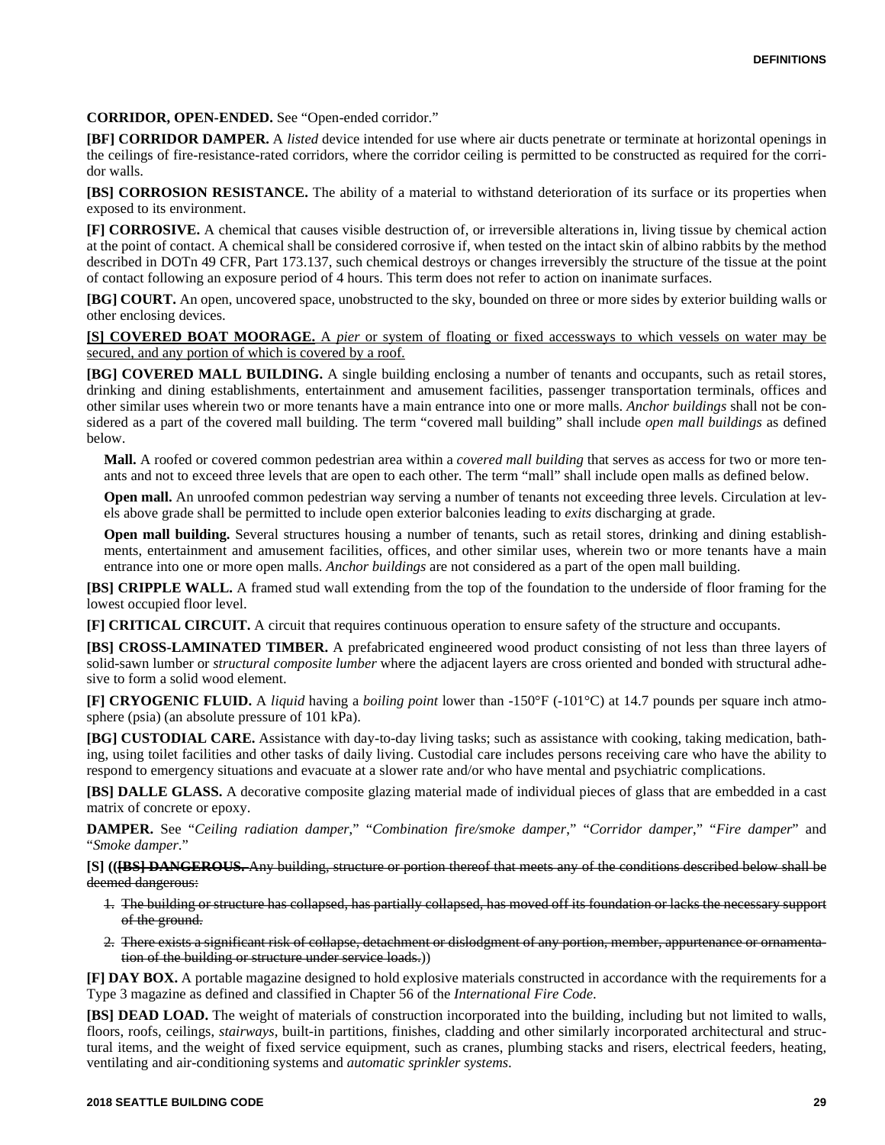**CORRIDOR, OPEN-ENDED.** See "Open-ended corridor."

**[BF] CORRIDOR DAMPER.** A *listed* device intended for use where air ducts penetrate or terminate at horizontal openings in the ceilings of fire-resistance-rated corridors, where the corridor ceiling is permitted to be constructed as required for the corridor walls.

**[BS] CORROSION RESISTANCE.** The ability of a material to withstand deterioration of its surface or its properties when exposed to its environment.

**[F] CORROSIVE.** A chemical that causes visible destruction of, or irreversible alterations in, living tissue by chemical action at the point of contact. A chemical shall be considered corrosive if, when tested on the intact skin of albino rabbits by the method described in DOTn 49 CFR, Part 173.137, such chemical destroys or changes irreversibly the structure of the tissue at the point of contact following an exposure period of 4 hours. This term does not refer to action on inanimate surfaces.

**[BG] COURT.** An open, uncovered space, unobstructed to the sky, bounded on three or more sides by exterior building walls or other enclosing devices.

**[S] COVERED BOAT MOORAGE.** A *pier* or system of floating or fixed accessways to which vessels on water may be secured, and any portion of which is covered by a roof.

**[BG] COVERED MALL BUILDING.** A single building enclosing a number of tenants and occupants, such as retail stores, drinking and dining establishments, entertainment and amusement facilities, passenger transportation terminals, offices and other similar uses wherein two or more tenants have a main entrance into one or more malls. *Anchor buildings* shall not be considered as a part of the covered mall building. The term "covered mall building" shall include *open mall buildings* as defined below.

**Mall.** A roofed or covered common pedestrian area within a *covered mall building* that serves as access for two or more tenants and not to exceed three levels that are open to each other. The term "mall" shall include open malls as defined below.

**Open mall.** An unroofed common pedestrian way serving a number of tenants not exceeding three levels. Circulation at levels above grade shall be permitted to include open exterior balconies leading to *exits* discharging at grade.

**Open mall building.** Several structures housing a number of tenants, such as retail stores, drinking and dining establishments, entertainment and amusement facilities, offices, and other similar uses, wherein two or more tenants have a main entrance into one or more open malls. *Anchor buildings* are not considered as a part of the open mall building.

**[BS] CRIPPLE WALL.** A framed stud wall extending from the top of the foundation to the underside of floor framing for the lowest occupied floor level.

**[F] CRITICAL CIRCUIT.** A circuit that requires continuous operation to ensure safety of the structure and occupants.

**[BS] CROSS-LAMINATED TIMBER.** A prefabricated engineered wood product consisting of not less than three layers of solid-sawn lumber or *structural composite lumber* where the adjacent layers are cross oriented and bonded with structural adhesive to form a solid wood element.

**[F] CRYOGENIC FLUID.** A *liquid* having a *boiling point* lower than -150°F (-101°C) at 14.7 pounds per square inch atmosphere (psia) (an absolute pressure of 101 kPa).

**[BG] CUSTODIAL CARE.** Assistance with day-to-day living tasks; such as assistance with cooking, taking medication, bathing, using toilet facilities and other tasks of daily living. Custodial care includes persons receiving care who have the ability to respond to emergency situations and evacuate at a slower rate and/or who have mental and psychiatric complications.

**[BS] DALLE GLASS.** A decorative composite glazing material made of individual pieces of glass that are embedded in a cast matrix of concrete or epoxy.

**DAMPER.** See "*Ceiling radiation damper*," "*Combination fire/smoke damper*," "*Corridor damper*," "*Fire damper*" and "*Smoke damper*."

**[S] (([BS] DANGEROUS.** Any building, structure or portion thereof that meets any of the conditions described below shall be deemed dangerous:

- 1. The building or structure has collapsed, has partially collapsed, has moved off its foundation or lacks the necessary support of the ground.
- 2. There exists a significant risk of collapse, detachment or dislodgment of any portion, member, appurtenance or ornamentation of the building or structure under service loads.))

**[F] DAY BOX.** A portable magazine designed to hold explosive materials constructed in accordance with the requirements for a Type 3 magazine as defined and classified in Chapter 56 of the *International Fire Code*.

**[BS] DEAD LOAD.** The weight of materials of construction incorporated into the building, including but not limited to walls, floors, roofs, ceilings, *stairways*, built-in partitions, finishes, cladding and other similarly incorporated architectural and structural items, and the weight of fixed service equipment, such as cranes, plumbing stacks and risers, electrical feeders, heating, ventilating and air-conditioning systems and *automatic sprinkler systems*.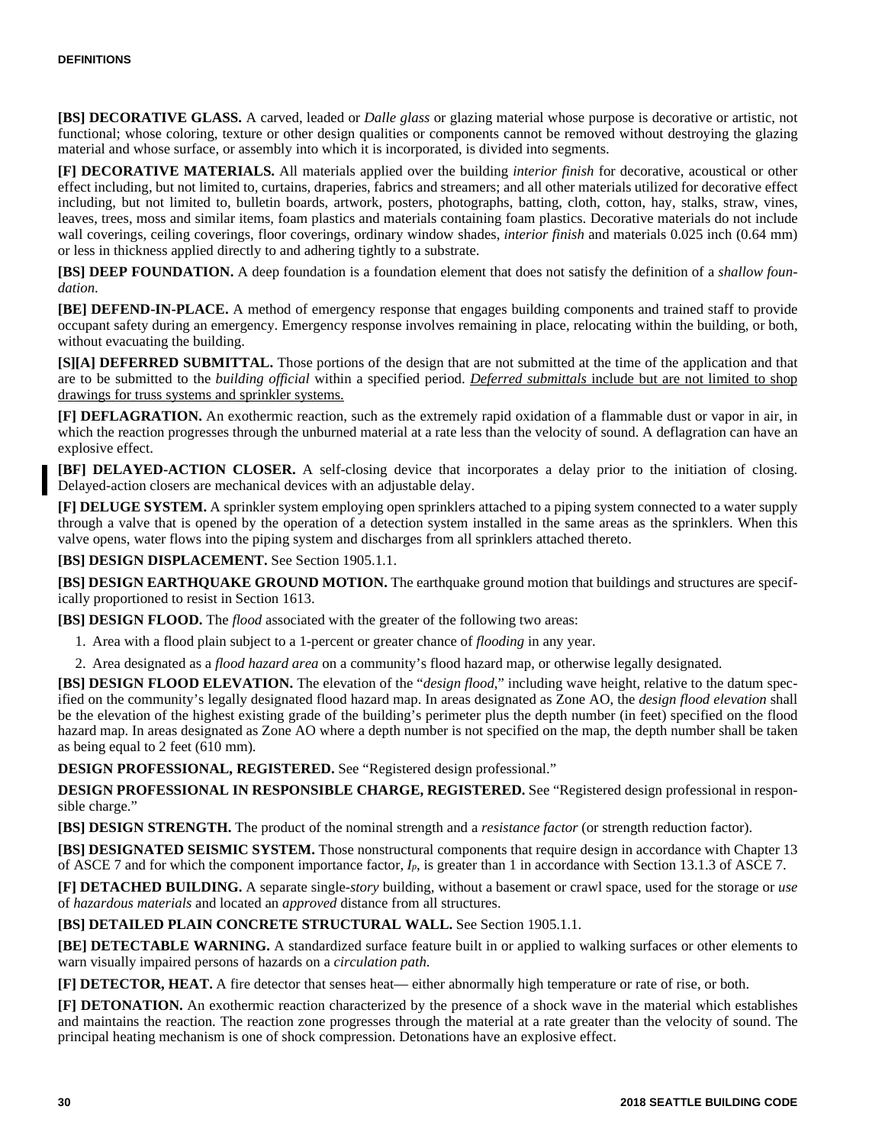**[BS] DECORATIVE GLASS.** A carved, leaded or *Dalle glass* or glazing material whose purpose is decorative or artistic, not functional; whose coloring, texture or other design qualities or components cannot be removed without destroying the glazing material and whose surface, or assembly into which it is incorporated, is divided into segments.

**[F] DECORATIVE MATERIALS.** All materials applied over the building *interior finish* for decorative, acoustical or other effect including, but not limited to, curtains, draperies, fabrics and streamers; and all other materials utilized for decorative effect including, but not limited to, bulletin boards, artwork, posters, photographs, batting, cloth, cotton, hay, stalks, straw, vines, leaves, trees, moss and similar items, foam plastics and materials containing foam plastics. Decorative materials do not include wall coverings, ceiling coverings, floor coverings, ordinary window shades, *interior finish* and materials 0.025 inch (0.64 mm) or less in thickness applied directly to and adhering tightly to a substrate.

**[BS] DEEP FOUNDATION.** A deep foundation is a foundation element that does not satisfy the definition of a *shallow foundation*.

**[BE] DEFEND-IN-PLACE.** A method of emergency response that engages building components and trained staff to provide occupant safety during an emergency. Emergency response involves remaining in place, relocating within the building, or both, without evacuating the building.

**[S][A] DEFERRED SUBMITTAL.** Those portions of the design that are not submitted at the time of the application and that are to be submitted to the *building official* within a specified period. *Deferred submittals* include but are not limited to shop drawings for truss systems and sprinkler systems.

**[F] DEFLAGRATION.** An exothermic reaction, such as the extremely rapid oxidation of a flammable dust or vapor in air, in which the reaction progresses through the unburned material at a rate less than the velocity of sound. A deflagration can have an explosive effect.

**[BF] DELAYED-ACTION CLOSER.** A self-closing device that incorporates a delay prior to the initiation of closing. Delayed-action closers are mechanical devices with an adjustable delay.

**[F] DELUGE SYSTEM.** A sprinkler system employing open sprinklers attached to a piping system connected to a water supply through a valve that is opened by the operation of a detection system installed in the same areas as the sprinklers. When this valve opens, water flows into the piping system and discharges from all sprinklers attached thereto.

**[BS] DESIGN DISPLACEMENT.** See Section 1905.1.1.

**[BS] DESIGN EARTHQUAKE GROUND MOTION.** The earthquake ground motion that buildings and structures are specifically proportioned to resist in Section 1613.

**[BS] DESIGN FLOOD.** The *flood* associated with the greater of the following two areas:

1. Area with a flood plain subject to a 1-percent or greater chance of *flooding* in any year.

2. Area designated as a *flood hazard area* on a community's flood hazard map, or otherwise legally designated.

**[BS] DESIGN FLOOD ELEVATION.** The elevation of the "*design flood*," including wave height, relative to the datum specified on the community's legally designated flood hazard map. In areas designated as Zone AO, the *design flood elevation* shall be the elevation of the highest existing grade of the building's perimeter plus the depth number (in feet) specified on the flood hazard map. In areas designated as Zone AO where a depth number is not specified on the map, the depth number shall be taken as being equal to 2 feet (610 mm).

**DESIGN PROFESSIONAL, REGISTERED.** See "Registered design professional."

**DESIGN PROFESSIONAL IN RESPONSIBLE CHARGE, REGISTERED.** See "Registered design professional in responsible charge."

**[BS] DESIGN STRENGTH.** The product of the nominal strength and a *resistance factor* (or strength reduction factor).

**[BS] DESIGNATED SEISMIC SYSTEM.** Those nonstructural components that require design in accordance with Chapter 13 of ASCE 7 and for which the component importance factor, *Ip*, is greater than 1 in accordance with Section 13.1.3 of ASCE 7.

**[F] DETACHED BUILDING.** A separate single-*story* building, without a basement or crawl space, used for the storage or *use* of *hazardous materials* and located an *approved* distance from all structures.

**[BS] DETAILED PLAIN CONCRETE STRUCTURAL WALL.** See Section 1905.1.1.

**[BE] DETECTABLE WARNING.** A standardized surface feature built in or applied to walking surfaces or other elements to warn visually impaired persons of hazards on a *circulation path*.

**[F] DETECTOR, HEAT.** A fire detector that senses heat— either abnormally high temperature or rate of rise, or both.

**[F] DETONATION.** An exothermic reaction characterized by the presence of a shock wave in the material which establishes and maintains the reaction. The reaction zone progresses through the material at a rate greater than the velocity of sound. The principal heating mechanism is one of shock compression. Detonations have an explosive effect.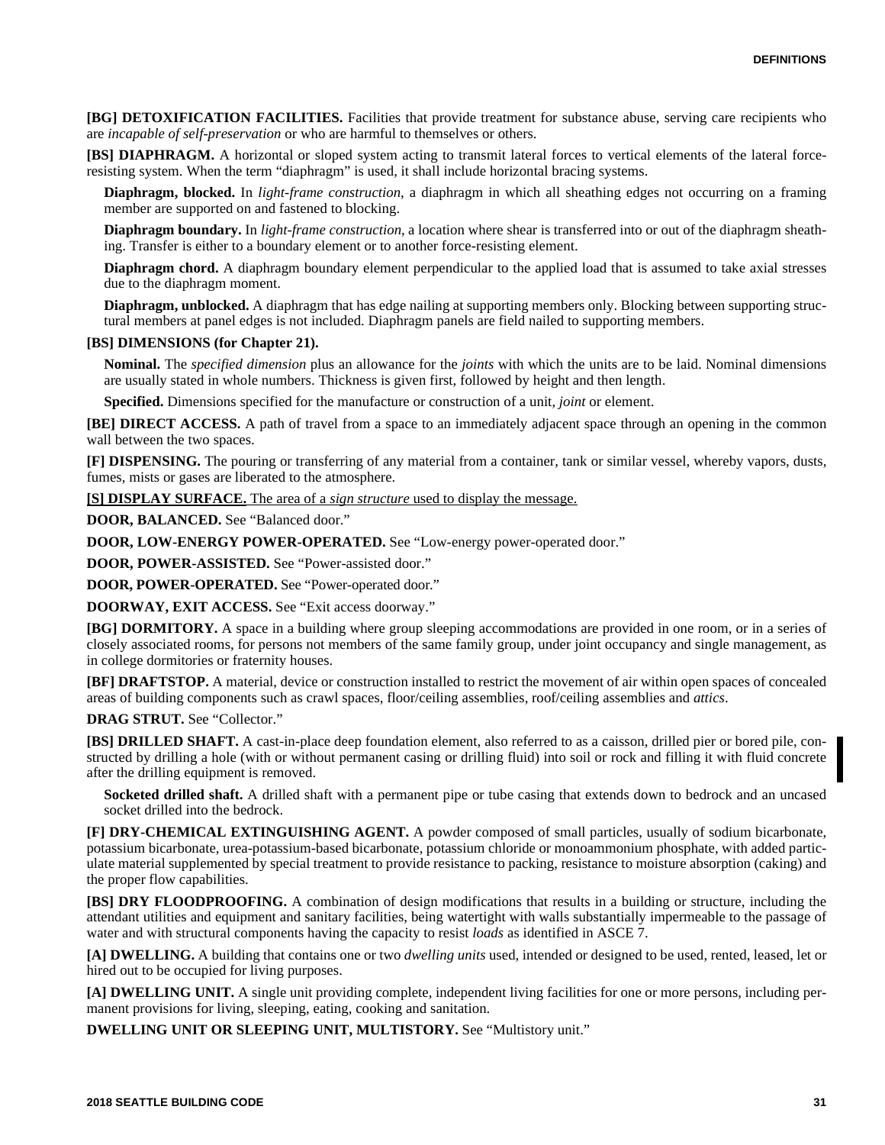**[BG] DETOXIFICATION FACILITIES.** Facilities that provide treatment for substance abuse, serving care recipients who are *incapable of self-preservation* or who are harmful to themselves or others.

**[BS] DIAPHRAGM.** A horizontal or sloped system acting to transmit lateral forces to vertical elements of the lateral forceresisting system. When the term "diaphragm" is used, it shall include horizontal bracing systems.

**Diaphragm, blocked.** In *light-frame construction*, a diaphragm in which all sheathing edges not occurring on a framing member are supported on and fastened to blocking.

**Diaphragm boundary.** In *light-frame construction,* a location where shear is transferred into or out of the diaphragm sheathing. Transfer is either to a boundary element or to another force-resisting element.

**Diaphragm chord.** A diaphragm boundary element perpendicular to the applied load that is assumed to take axial stresses due to the diaphragm moment.

**Diaphragm, unblocked.** A diaphragm that has edge nailing at supporting members only. Blocking between supporting structural members at panel edges is not included. Diaphragm panels are field nailed to supporting members.

#### **[BS] DIMENSIONS (for Chapter 21).**

**Nominal.** The *specified dimension* plus an allowance for the *joints* with which the units are to be laid. Nominal dimensions are usually stated in whole numbers. Thickness is given first, followed by height and then length.

**Specified.** Dimensions specified for the manufacture or construction of a unit, *joint* or element.

**[BE] DIRECT ACCESS.** A path of travel from a space to an immediately adjacent space through an opening in the common wall between the two spaces.

**[F] DISPENSING.** The pouring or transferring of any material from a container, tank or similar vessel, whereby vapors, dusts, fumes, mists or gases are liberated to the atmosphere.

**[S] DISPLAY SURFACE.** The area of a *sign structure* used to display the message.

**DOOR, BALANCED.** See "Balanced door."

**DOOR, LOW-ENERGY POWER-OPERATED.** See "Low-energy power-operated door."

**DOOR, POWER-ASSISTED.** See "Power-assisted door."

**DOOR, POWER-OPERATED.** See "Power-operated door."

**DOORWAY, EXIT ACCESS.** See "Exit access doorway."

**[BG] DORMITORY.** A space in a building where group sleeping accommodations are provided in one room, or in a series of closely associated rooms, for persons not members of the same family group, under joint occupancy and single management, as in college dormitories or fraternity houses.

**[BF] DRAFTSTOP.** A material, device or construction installed to restrict the movement of air within open spaces of concealed areas of building components such as crawl spaces, floor/ceiling assemblies, roof/ceiling assemblies and *attics*.

**DRAG STRUT.** See "Collector."

**[BS] DRILLED SHAFT.** A cast-in-place deep foundation element, also referred to as a caisson, drilled pier or bored pile, constructed by drilling a hole (with or without permanent casing or drilling fluid) into soil or rock and filling it with fluid concrete after the drilling equipment is removed.

**Socketed drilled shaft.** A drilled shaft with a permanent pipe or tube casing that extends down to bedrock and an uncased socket drilled into the bedrock.

**[F] DRY-CHEMICAL EXTINGUISHING AGENT.** A powder composed of small particles, usually of sodium bicarbonate, potassium bicarbonate, urea-potassium-based bicarbonate, potassium chloride or monoammonium phosphate, with added particulate material supplemented by special treatment to provide resistance to packing, resistance to moisture absorption (caking) and the proper flow capabilities.

**[BS] DRY FLOODPROOFING.** A combination of design modifications that results in a building or structure, including the attendant utilities and equipment and sanitary facilities, being watertight with walls substantially impermeable to the passage of water and with structural components having the capacity to resist *loads* as identified in ASCE 7.

**[A] DWELLING.** A building that contains one or two *dwelling units* used, intended or designed to be used, rented, leased, let or hired out to be occupied for living purposes.

**[A] DWELLING UNIT.** A single unit providing complete, independent living facilities for one or more persons, including permanent provisions for living, sleeping, eating, cooking and sanitation.

**DWELLING UNIT OR SLEEPING UNIT, MULTISTORY.** See "Multistory unit."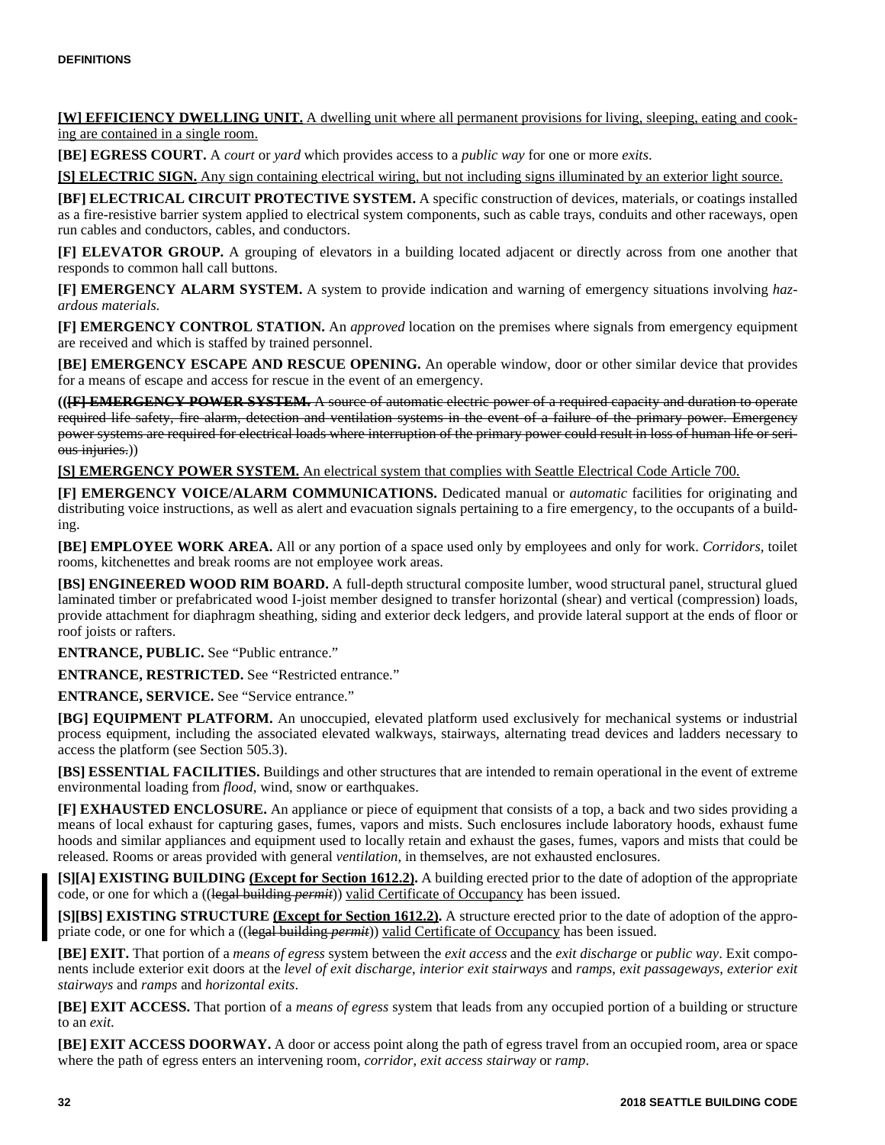**[W] EFFICIENCY DWELLING UNIT.** A dwelling unit where all permanent provisions for living, sleeping, eating and cooking are contained in a single room.

**[BE] EGRESS COURT.** A *court* or *yard* which provides access to a *public way* for one or more *exits*.

**[S] ELECTRIC SIGN.** Any sign containing electrical wiring, but not including signs illuminated by an exterior light source.

**[BF] ELECTRICAL CIRCUIT PROTECTIVE SYSTEM.** A specific construction of devices, materials, or coatings installed as a fire-resistive barrier system applied to electrical system components, such as cable trays, conduits and other raceways, open run cables and conductors, cables, and conductors.

**[F] ELEVATOR GROUP.** A grouping of elevators in a building located adjacent or directly across from one another that responds to common hall call buttons.

**[F] EMERGENCY ALARM SYSTEM.** A system to provide indication and warning of emergency situations involving *hazardous materials*.

**[F] EMERGENCY CONTROL STATION.** An *approved* location on the premises where signals from emergency equipment are received and which is staffed by trained personnel.

**[BE] EMERGENCY ESCAPE AND RESCUE OPENING.** An operable window, door or other similar device that provides for a means of escape and access for rescue in the event of an emergency.

**(([F] EMERGENCY POWER SYSTEM.** A source of automatic electric power of a required capacity and duration to operate required life safety, fire alarm, detection and ventilation systems in the event of a failure of the primary power. Emergency power systems are required for electrical loads where interruption of the primary power could result in loss of human life or serious injuries.))

**[S] EMERGENCY POWER SYSTEM.** An electrical system that complies with Seattle Electrical Code Article 700.

**[F] EMERGENCY VOICE/ALARM COMMUNICATIONS.** Dedicated manual or *automatic* facilities for originating and distributing voice instructions, as well as alert and evacuation signals pertaining to a fire emergency, to the occupants of a building.

**[BE] EMPLOYEE WORK AREA.** All or any portion of a space used only by employees and only for work. *Corridors,* toilet rooms, kitchenettes and break rooms are not employee work areas.

**[BS] ENGINEERED WOOD RIM BOARD.** A full-depth structural composite lumber, wood structural panel, structural glued laminated timber or prefabricated wood I-joist member designed to transfer horizontal (shear) and vertical (compression) loads, provide attachment for diaphragm sheathing, siding and exterior deck ledgers, and provide lateral support at the ends of floor or roof joists or rafters.

**ENTRANCE, PUBLIC.** See "Public entrance."

**ENTRANCE, RESTRICTED.** See "Restricted entrance."

**ENTRANCE, SERVICE.** See "Service entrance."

**[BG] EQUIPMENT PLATFORM.** An unoccupied, elevated platform used exclusively for mechanical systems or industrial process equipment, including the associated elevated walkways, stairways, alternating tread devices and ladders necessary to access the platform (see Section 505.3).

**[BS] ESSENTIAL FACILITIES.** Buildings and other structures that are intended to remain operational in the event of extreme environmental loading from *flood*, wind, snow or earthquakes.

**[F] EXHAUSTED ENCLOSURE.** An appliance or piece of equipment that consists of a top, a back and two sides providing a means of local exhaust for capturing gases, fumes, vapors and mists. Such enclosures include laboratory hoods, exhaust fume hoods and similar appliances and equipment used to locally retain and exhaust the gases, fumes, vapors and mists that could be released. Rooms or areas provided with general *ventilation*, in themselves, are not exhausted enclosures.

**[S][A] EXISTING BUILDING (Except for Section 1612.2).** A building erected prior to the date of adoption of the appropriate code, or one for which a ((legal building *permit*)) valid Certificate of Occupancy has been issued.

**[S][BS] EXISTING STRUCTURE (Except for Section 1612.2).** A structure erected prior to the date of adoption of the appropriate code, or one for which a ((legal building *permit*)) valid Certificate of Occupancy has been issued.

**[BE] EXIT.** That portion of a *means of egress* system between the *exit access* and the *exit discharge* or *public way*. Exit components include exterior exit doors at the *level of exit discharge*, *interior exit stairways* and *ramps*, *exit passageways*, *exterior exit stairways* and *ramps* and *horizontal exits*.

**[BE] EXIT ACCESS.** That portion of a *means of egress* system that leads from any occupied portion of a building or structure to an *exit*.

**[BE] EXIT ACCESS DOORWAY.** A door or access point along the path of egress travel from an occupied room, area or space where the path of egress enters an intervening room, *corridor*, *exit access stairway* or *ramp*.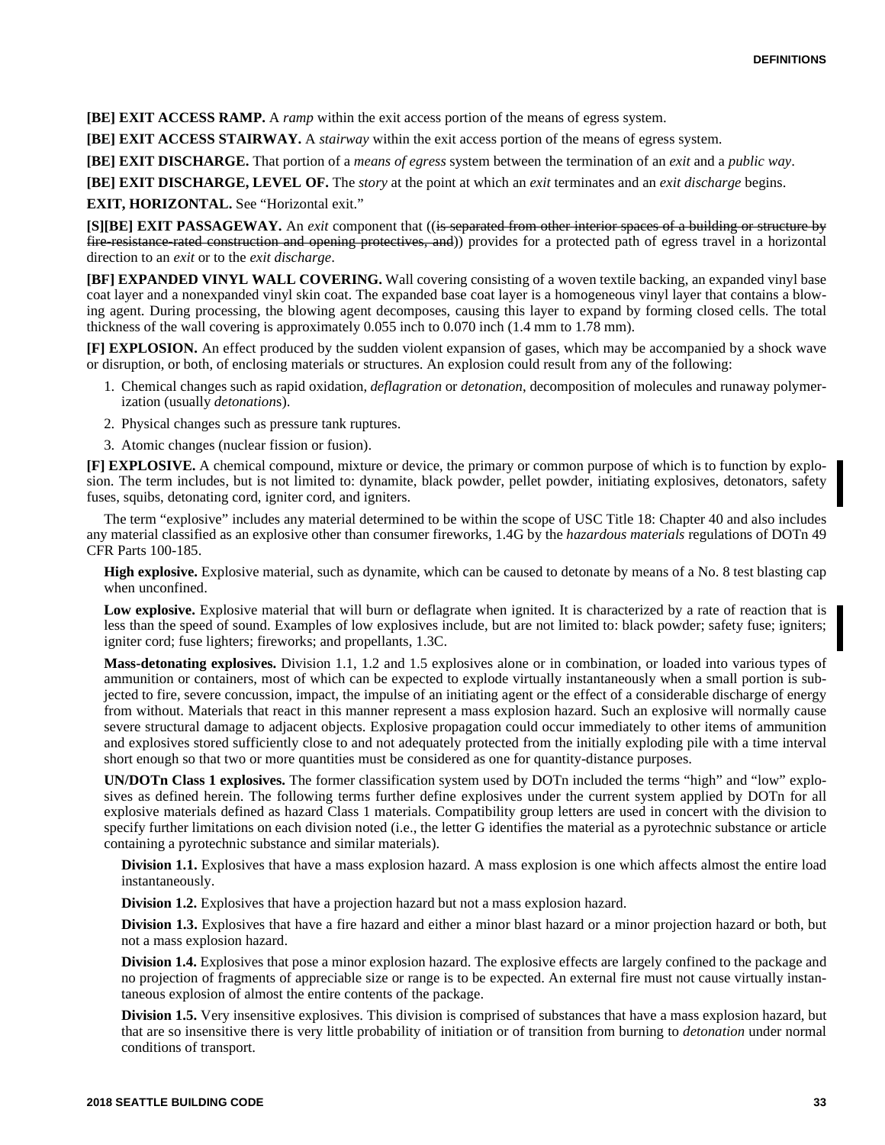**[BE] EXIT ACCESS RAMP.** A *ramp* within the exit access portion of the means of egress system.

**[BE] EXIT ACCESS STAIRWAY.** A *stairway* within the exit access portion of the means of egress system.

**[BE] EXIT DISCHARGE.** That portion of a *means of egress* system between the termination of an *exit* and a *public way*.

**[BE] EXIT DISCHARGE, LEVEL OF.** The *story* at the point at which an *exit* terminates and an *exit discharge* begins.

**EXIT, HORIZONTAL.** See "Horizontal exit."

**[S][BE] EXIT PASSAGEWAY.** An *exit* component that ((is separated from other interior spaces of a building or structure by fire-resistance-rated construction and opening protectives, and) provides for a protected path of egress travel in a horizontal direction to an *exit* or to the *exit discharge*.

**[BF] EXPANDED VINYL WALL COVERING.** Wall covering consisting of a woven textile backing, an expanded vinyl base coat layer and a nonexpanded vinyl skin coat. The expanded base coat layer is a homogeneous vinyl layer that contains a blowing agent. During processing, the blowing agent decomposes, causing this layer to expand by forming closed cells. The total thickness of the wall covering is approximately 0.055 inch to 0.070 inch (1.4 mm to 1.78 mm).

**[F] EXPLOSION.** An effect produced by the sudden violent expansion of gases, which may be accompanied by a shock wave or disruption, or both, of enclosing materials or structures. An explosion could result from any of the following:

- 1. Chemical changes such as rapid oxidation, *deflagration* or *detonation*, decomposition of molecules and runaway polymerization (usually *detonation*s).
- 2. Physical changes such as pressure tank ruptures.
- 3. Atomic changes (nuclear fission or fusion).

**[F] EXPLOSIVE.** A chemical compound, mixture or device, the primary or common purpose of which is to function by explosion. The term includes, but is not limited to: dynamite, black powder, pellet powder, initiating explosives, detonators, safety fuses, squibs, detonating cord, igniter cord, and igniters.

The term "explosive" includes any material determined to be within the scope of USC Title 18: Chapter 40 and also includes any material classified as an explosive other than consumer fireworks, 1.4G by the *hazardous materials* regulations of DOTn 49 CFR Parts 100-185.

**High explosive.** Explosive material, such as dynamite, which can be caused to detonate by means of a No. 8 test blasting cap when unconfined.

**Low explosive.** Explosive material that will burn or deflagrate when ignited. It is characterized by a rate of reaction that is less than the speed of sound. Examples of low explosives include, but are not limited to: black powder; safety fuse; igniters; igniter cord; fuse lighters; fireworks; and propellants, 1.3C.

**Mass-detonating explosives.** Division 1.1, 1.2 and 1.5 explosives alone or in combination, or loaded into various types of ammunition or containers, most of which can be expected to explode virtually instantaneously when a small portion is subjected to fire, severe concussion, impact, the impulse of an initiating agent or the effect of a considerable discharge of energy from without. Materials that react in this manner represent a mass explosion hazard. Such an explosive will normally cause severe structural damage to adjacent objects. Explosive propagation could occur immediately to other items of ammunition and explosives stored sufficiently close to and not adequately protected from the initially exploding pile with a time interval short enough so that two or more quantities must be considered as one for quantity-distance purposes.

**UN/DOTn Class 1 explosives.** The former classification system used by DOTn included the terms "high" and "low" explosives as defined herein. The following terms further define explosives under the current system applied by DOTn for all explosive materials defined as hazard Class 1 materials. Compatibility group letters are used in concert with the division to specify further limitations on each division noted (i.e., the letter G identifies the material as a pyrotechnic substance or article containing a pyrotechnic substance and similar materials).

**Division 1.1.** Explosives that have a mass explosion hazard. A mass explosion is one which affects almost the entire load instantaneously.

**Division 1.2.** Explosives that have a projection hazard but not a mass explosion hazard.

**Division 1.3.** Explosives that have a fire hazard and either a minor blast hazard or a minor projection hazard or both, but not a mass explosion hazard.

**Division 1.4.** Explosives that pose a minor explosion hazard. The explosive effects are largely confined to the package and no projection of fragments of appreciable size or range is to be expected. An external fire must not cause virtually instantaneous explosion of almost the entire contents of the package.

**Division 1.5.** Very insensitive explosives. This division is comprised of substances that have a mass explosion hazard, but that are so insensitive there is very little probability of initiation or of transition from burning to *detonation* under normal conditions of transport.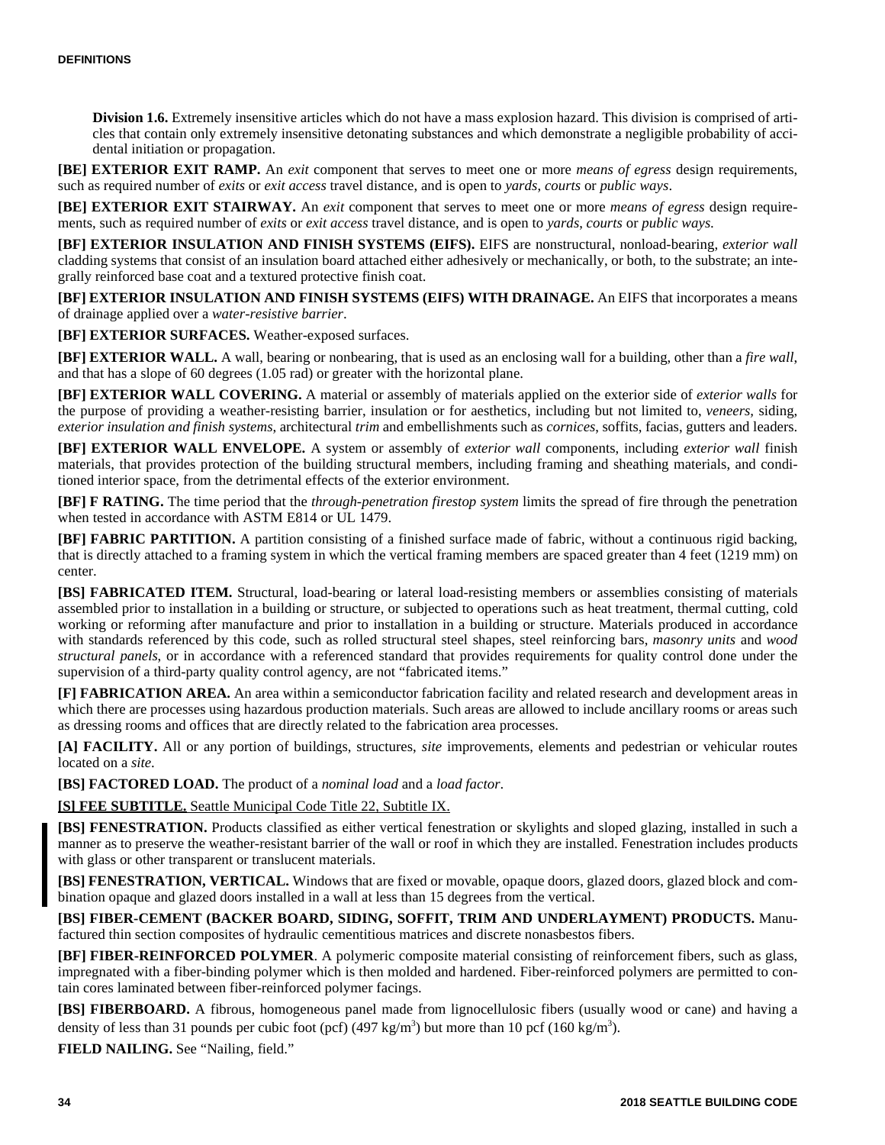**Division 1.6.** Extremely insensitive articles which do not have a mass explosion hazard. This division is comprised of articles that contain only extremely insensitive detonating substances and which demonstrate a negligible probability of accidental initiation or propagation.

**[BE] EXTERIOR EXIT RAMP.** An *exit* component that serves to meet one or more *means of egress* design requirements, such as required number of *exits* or *exit access* travel distance, and is open to *yards*, *courts* or *public ways*.

**[BE] EXTERIOR EXIT STAIRWAY.** An *exit* component that serves to meet one or more *means of egress* design requirements, such as required number of *exits* or *exit access* travel distance, and is open to *yards*, *courts* or *public ways*.

**[BF] EXTERIOR INSULATION AND FINISH SYSTEMS (EIFS).** EIFS are nonstructural, nonload-bearing, *exterior wall* cladding systems that consist of an insulation board attached either adhesively or mechanically, or both, to the substrate; an integrally reinforced base coat and a textured protective finish coat.

**[BF] EXTERIOR INSULATION AND FINISH SYSTEMS (EIFS) WITH DRAINAGE.** An EIFS that incorporates a means of drainage applied over a *water-resistive barrier*.

**[BF] EXTERIOR SURFACES.** Weather-exposed surfaces.

**[BF] EXTERIOR WALL.** A wall, bearing or nonbearing, that is used as an enclosing wall for a building, other than a *fire wall*, and that has a slope of 60 degrees (1.05 rad) or greater with the horizontal plane.

**[BF] EXTERIOR WALL COVERING.** A material or assembly of materials applied on the exterior side of *exterior walls* for the purpose of providing a weather-resisting barrier, insulation or for aesthetics, including but not limited to, *veneers,* siding, *exterior insulation and finish systems*, architectural *trim* and embellishments such as *cornices*, soffits, facias, gutters and leaders.

**[BF] EXTERIOR WALL ENVELOPE.** A system or assembly of *exterior wall* components, including *exterior wall* finish materials, that provides protection of the building structural members, including framing and sheathing materials, and conditioned interior space, from the detrimental effects of the exterior environment.

**[BF] F RATING.** The time period that the *through-penetration firestop system* limits the spread of fire through the penetration when tested in accordance with ASTM E814 or UL 1479.

**[BF] FABRIC PARTITION.** A partition consisting of a finished surface made of fabric, without a continuous rigid backing, that is directly attached to a framing system in which the vertical framing members are spaced greater than 4 feet (1219 mm) on center.

**[BS] FABRICATED ITEM.** Structural, load-bearing or lateral load-resisting members or assemblies consisting of materials assembled prior to installation in a building or structure, or subjected to operations such as heat treatment, thermal cutting, cold working or reforming after manufacture and prior to installation in a building or structure. Materials produced in accordance with standards referenced by this code, such as rolled structural steel shapes, steel reinforcing bars, *masonry units* and *wood structural panels*, or in accordance with a referenced standard that provides requirements for quality control done under the supervision of a third-party quality control agency, are not "fabricated items."

**[F] FABRICATION AREA.** An area within a semiconductor fabrication facility and related research and development areas in which there are processes using hazardous production materials. Such areas are allowed to include ancillary rooms or areas such as dressing rooms and offices that are directly related to the fabrication area processes.

**[A] FACILITY.** All or any portion of buildings, structures, *site* improvements, elements and pedestrian or vehicular routes located on a *site*.

**[BS] FACTORED LOAD.** The product of a *nominal load* and a *load factor*.

**[S] FEE SUBTITLE.** Seattle Municipal Code Title 22, Subtitle IX.

**[BS] FENESTRATION.** Products classified as either vertical fenestration or skylights and sloped glazing, installed in such a manner as to preserve the weather-resistant barrier of the wall or roof in which they are installed. Fenestration includes products with glass or other transparent or translucent materials.

**[BS] FENESTRATION, VERTICAL.** Windows that are fixed or movable, opaque doors, glazed doors, glazed block and combination opaque and glazed doors installed in a wall at less than 15 degrees from the vertical.

**[BS] FIBER-CEMENT (BACKER BOARD, SIDING, SOFFIT, TRIM AND UNDERLAYMENT) PRODUCTS.** Manufactured thin section composites of hydraulic cementitious matrices and discrete nonasbestos fibers.

**[BF] FIBER-REINFORCED POLYMER**. A polymeric composite material consisting of reinforcement fibers, such as glass, impregnated with a fiber-binding polymer which is then molded and hardened. Fiber-reinforced polymers are permitted to contain cores laminated between fiber-reinforced polymer facings.

**[BS] FIBERBOARD.** A fibrous, homogeneous panel made from lignocellulosic fibers (usually wood or cane) and having a density of less than 31 pounds per cubic foot (pcf)  $(497 \text{ kg/m}^3)$  but more than 10 pcf (160 kg/m<sup>3</sup>).

**FIELD NAILING.** See "Nailing, field."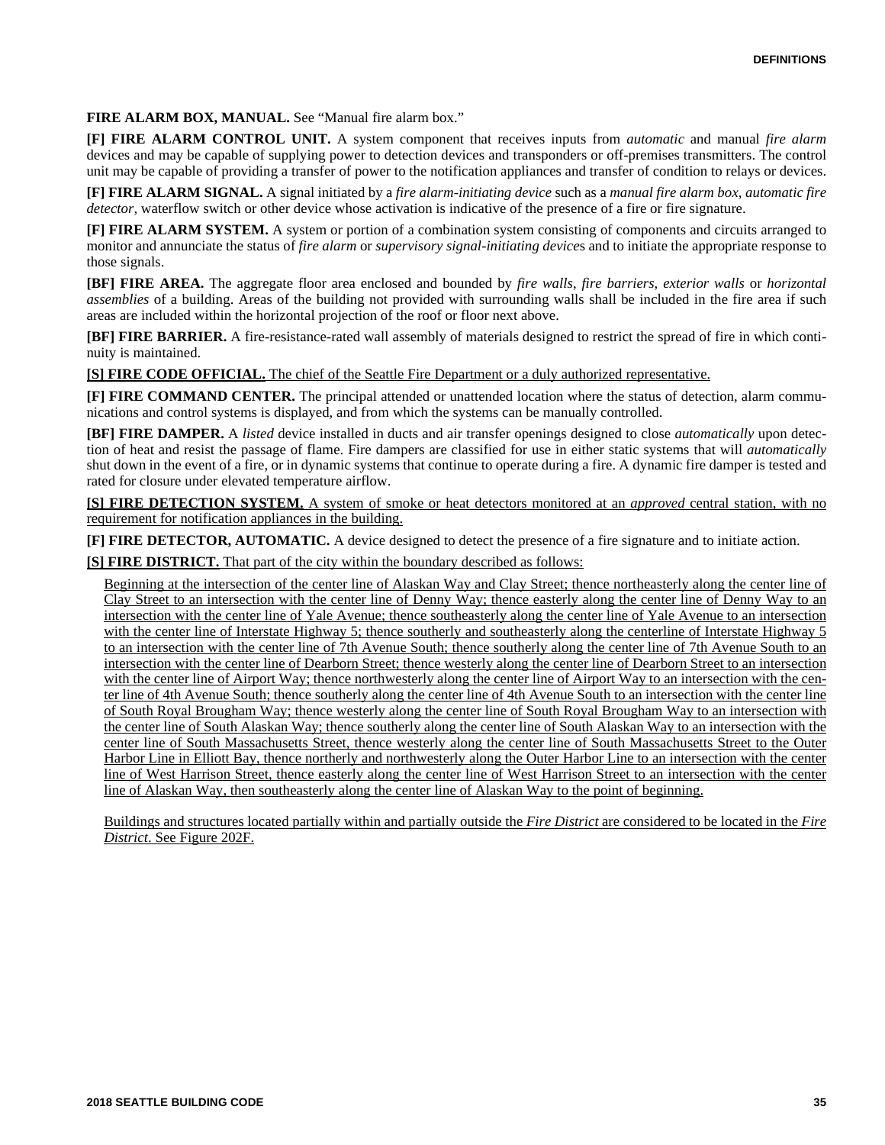# FIRE ALARM BOX, MANUAL. See "Manual fire alarm box."

**[F] FIRE ALARM CONTROL UNIT.** A system component that receives inputs from *automatic* and manual *fire alarm* devices and may be capable of supplying power to detection devices and transponders or off-premises transmitters. The control unit may be capable of providing a transfer of power to the notification appliances and transfer of condition to relays or devices.

**[F] FIRE ALARM SIGNAL.** A signal initiated by a *fire alarm*-*initiating device* such as a *manual fire alarm box*, *automatic fire detector*, waterflow switch or other device whose activation is indicative of the presence of a fire or fire signature.

**[F] FIRE ALARM SYSTEM.** A system or portion of a combination system consisting of components and circuits arranged to monitor and annunciate the status of *fire alarm* or *supervisory signal-initiating device*s and to initiate the appropriate response to those signals.

**[BF] FIRE AREA.** The aggregate floor area enclosed and bounded by *fire walls*, *fire barriers*, *exterior walls* or *horizontal assemblies* of a building. Areas of the building not provided with surrounding walls shall be included in the fire area if such areas are included within the horizontal projection of the roof or floor next above.

**[BF] FIRE BARRIER.** A fire-resistance-rated wall assembly of materials designed to restrict the spread of fire in which continuity is maintained.

**[S] FIRE CODE OFFICIAL.** The chief of the Seattle Fire Department or a duly authorized representative.

**[F] FIRE COMMAND CENTER.** The principal attended or unattended location where the status of detection, alarm communications and control systems is displayed, and from which the systems can be manually controlled.

**[BF] FIRE DAMPER.** A *listed* device installed in ducts and air transfer openings designed to close *automatically* upon detection of heat and resist the passage of flame. Fire dampers are classified for use in either static systems that will *automatically* shut down in the event of a fire, or in dynamic systems that continue to operate during a fire. A dynamic fire damper is tested and rated for closure under elevated temperature airflow.

**[S] FIRE DETECTION SYSTEM.** A system of smoke or heat detectors monitored at an *approved* central station, with no requirement for notification appliances in the building.

**[F] FIRE DETECTOR, AUTOMATIC.** A device designed to detect the presence of a fire signature and to initiate action.

**[S] FIRE DISTRICT.** That part of the city within the boundary described as follows:

Beginning at the intersection of the center line of Alaskan Way and Clay Street; thence northeasterly along the center line of Clay Street to an intersection with the center line of Denny Way; thence easterly along the center line of Denny Way to an intersection with the center line of Yale Avenue; thence southeasterly along the center line of Yale Avenue to an intersection with the center line of Interstate Highway 5; thence southerly and southeasterly along the centerline of Interstate Highway 5 to an intersection with the center line of 7th Avenue South; thence southerly along the center line of 7th Avenue South to an intersection with the center line of Dearborn Street; thence westerly along the center line of Dearborn Street to an intersection with the center line of Airport Way; thence northwesterly along the center line of Airport Way to an intersection with the center line of 4th Avenue South; thence southerly along the center line of 4th Avenue South to an intersection with the center line of South Royal Brougham Way; thence westerly along the center line of South Royal Brougham Way to an intersection with the center line of South Alaskan Way; thence southerly along the center line of South Alaskan Way to an intersection with the center line of South Massachusetts Street, thence westerly along the center line of South Massachusetts Street to the Outer Harbor Line in Elliott Bay, thence northerly and northwesterly along the Outer Harbor Line to an intersection with the center line of West Harrison Street, thence easterly along the center line of West Harrison Street to an intersection with the center line of Alaskan Way, then southeasterly along the center line of Alaskan Way to the point of beginning.

Buildings and structures located partially within and partially outside the *Fire District* are considered to be located in the *Fire District*. See Figure 202F.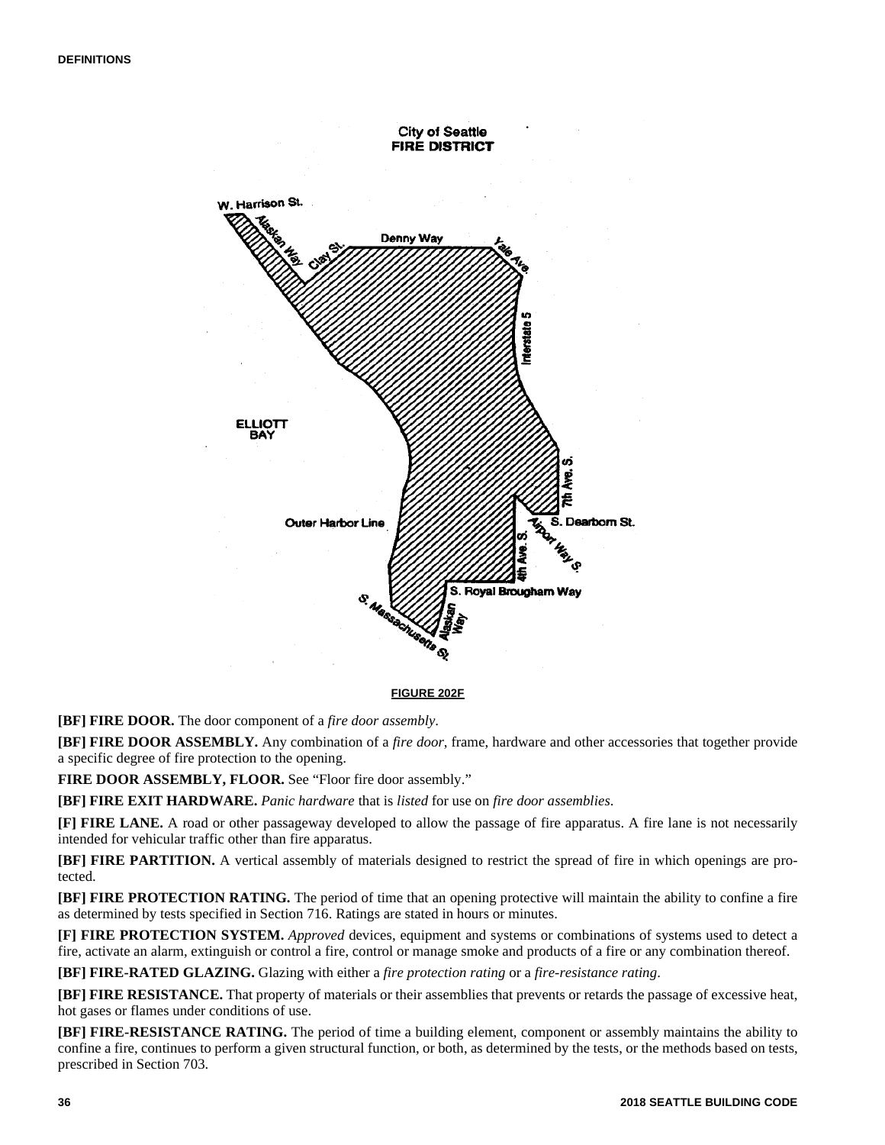



**[BF] FIRE DOOR.** The door component of a *fire door assembly*.

**[BF] FIRE DOOR ASSEMBLY.** Any combination of a *fire door*, frame, hardware and other accessories that together provide a specific degree of fire protection to the opening.

**FIRE DOOR ASSEMBLY, FLOOR.** See "Floor fire door assembly."

**[BF] FIRE EXIT HARDWARE.** *Panic hardware* that is *listed* for use on *fire door assemblies*.

**[F] FIRE LANE.** A road or other passageway developed to allow the passage of fire apparatus. A fire lane is not necessarily intended for vehicular traffic other than fire apparatus.

**[BF] FIRE PARTITION.** A vertical assembly of materials designed to restrict the spread of fire in which openings are protected.

**[BF] FIRE PROTECTION RATING.** The period of time that an opening protective will maintain the ability to confine a fire as determined by tests specified in Section 716. Ratings are stated in hours or minutes.

**[F] FIRE PROTECTION SYSTEM.** *Approved* devices, equipment and systems or combinations of systems used to detect a fire, activate an alarm, extinguish or control a fire, control or manage smoke and products of a fire or any combination thereof.

**[BF] FIRE-RATED GLAZING.** Glazing with either a *fire protection rating* or a *fire-resistance rating*.

**[BF] FIRE RESISTANCE.** That property of materials or their assemblies that prevents or retards the passage of excessive heat, hot gases or flames under conditions of use.

**[BF] FIRE-RESISTANCE RATING.** The period of time a building element, component or assembly maintains the ability to confine a fire, continues to perform a given structural function, or both, as determined by the tests, or the methods based on tests, prescribed in Section 703.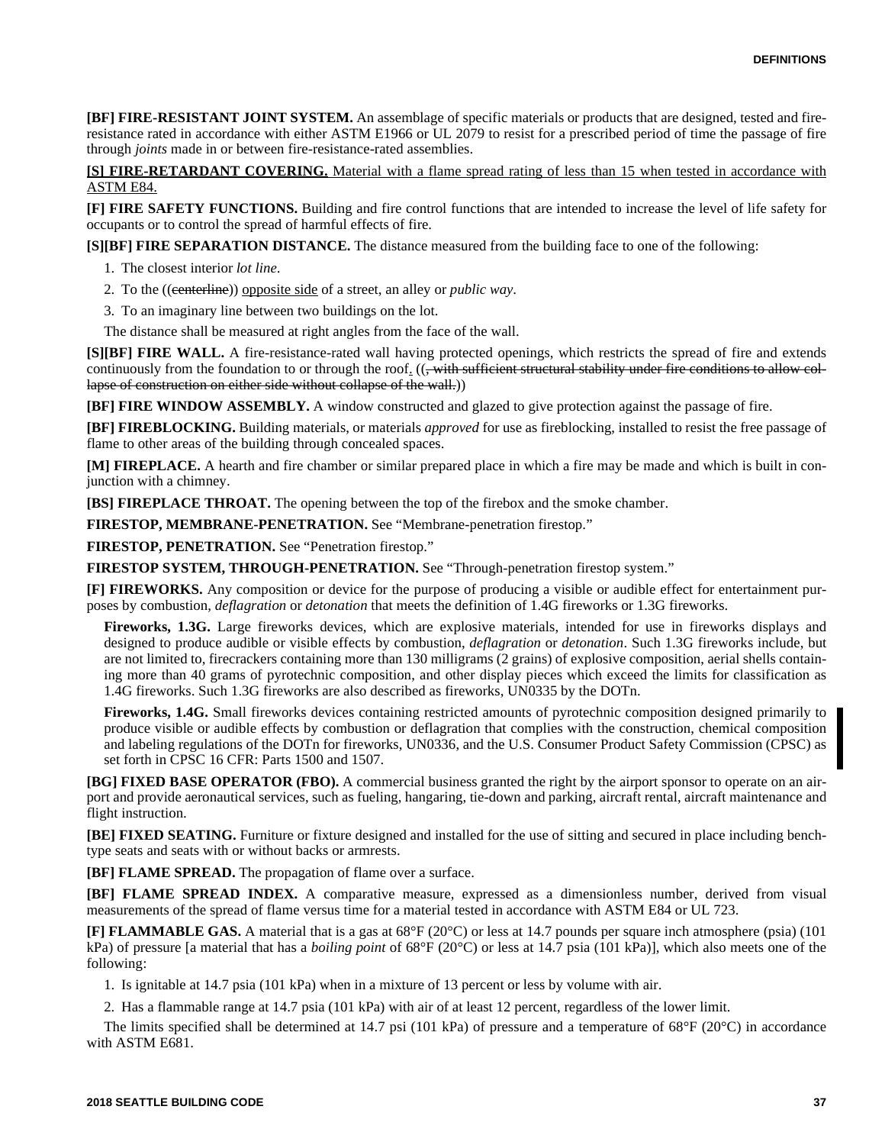**[BF] FIRE-RESISTANT JOINT SYSTEM.** An assemblage of specific materials or products that are designed, tested and fireresistance rated in accordance with either ASTM E1966 or UL 2079 to resist for a prescribed period of time the passage of fire through *joints* made in or between fire-resistance-rated assemblies.

**[S] FIRE-RETARDANT COVERING.** Material with a flame spread rating of less than 15 when tested in accordance with ASTM E84.

**[F] FIRE SAFETY FUNCTIONS.** Building and fire control functions that are intended to increase the level of life safety for occupants or to control the spread of harmful effects of fire.

**[S][BF] FIRE SEPARATION DISTANCE.** The distance measured from the building face to one of the following:

- 1. The closest interior *lot line*.
- 2. To the ((centerline)) opposite side of a street, an alley or *public way*.

3. To an imaginary line between two buildings on the lot.

The distance shall be measured at right angles from the face of the wall.

**[S][BF] FIRE WALL.** A fire-resistance-rated wall having protected openings, which restricts the spread of fire and extends continuously from the foundation to or through the roof. ((<del>, with sufficient structural stability under fire conditions to allow col-</del> lapse of construction on either side without collapse of the wall.))

**[BF] FIRE WINDOW ASSEMBLY.** A window constructed and glazed to give protection against the passage of fire.

**[BF] FIREBLOCKING.** Building materials, or materials *approved* for use as fireblocking, installed to resist the free passage of flame to other areas of the building through concealed spaces.

**[M] FIREPLACE.** A hearth and fire chamber or similar prepared place in which a fire may be made and which is built in conjunction with a chimney.

**[BS] FIREPLACE THROAT.** The opening between the top of the firebox and the smoke chamber.

**FIRESTOP, MEMBRANE-PENETRATION.** See "Membrane-penetration firestop."

**FIRESTOP, PENETRATION.** See "Penetration firestop."

**FIRESTOP SYSTEM, THROUGH-PENETRATION.** See "Through-penetration firestop system."

**[F] FIREWORKS.** Any composition or device for the purpose of producing a visible or audible effect for entertainment purposes by combustion, *deflagration* or *detonation* that meets the definition of 1.4G fireworks or 1.3G fireworks.

**Fireworks, 1.3G.** Large fireworks devices, which are explosive materials, intended for use in fireworks displays and designed to produce audible or visible effects by combustion, *deflagration* or *detonation*. Such 1.3G fireworks include, but are not limited to, firecrackers containing more than 130 milligrams (2 grains) of explosive composition, aerial shells containing more than 40 grams of pyrotechnic composition, and other display pieces which exceed the limits for classification as 1.4G fireworks. Such 1.3G fireworks are also described as fireworks, UN0335 by the DOTn.

**Fireworks, 1.4G.** Small fireworks devices containing restricted amounts of pyrotechnic composition designed primarily to produce visible or audible effects by combustion or deflagration that complies with the construction, chemical composition and labeling regulations of the DOTn for fireworks, UN0336, and the U.S. Consumer Product Safety Commission (CPSC) as set forth in CPSC 16 CFR: Parts 1500 and 1507.

**[BG] FIXED BASE OPERATOR (FBO).** A commercial business granted the right by the airport sponsor to operate on an airport and provide aeronautical services, such as fueling, hangaring, tie-down and parking, aircraft rental, aircraft maintenance and flight instruction.

**[BE] FIXED SEATING.** Furniture or fixture designed and installed for the use of sitting and secured in place including benchtype seats and seats with or without backs or armrests.

**[BF] FLAME SPREAD.** The propagation of flame over a surface.

**[BF] FLAME SPREAD INDEX.** A comparative measure, expressed as a dimensionless number, derived from visual measurements of the spread of flame versus time for a material tested in accordance with ASTM E84 or UL 723.

**[F] FLAMMABLE GAS.** A material that is a gas at 68°F (20°C) or less at 14.7 pounds per square inch atmosphere (psia) (101 kPa) of pressure [a material that has a *boiling point* of 68°F (20°C) or less at 14.7 psia (101 kPa)], which also meets one of the following:

1. Is ignitable at 14.7 psia (101 kPa) when in a mixture of 13 percent or less by volume with air.

2. Has a flammable range at 14.7 psia (101 kPa) with air of at least 12 percent, regardless of the lower limit.

The limits specified shall be determined at 14.7 psi (101 kPa) of pressure and a temperature of 68 $^{\circ}$ F (20 $^{\circ}$ C) in accordance with ASTM E681.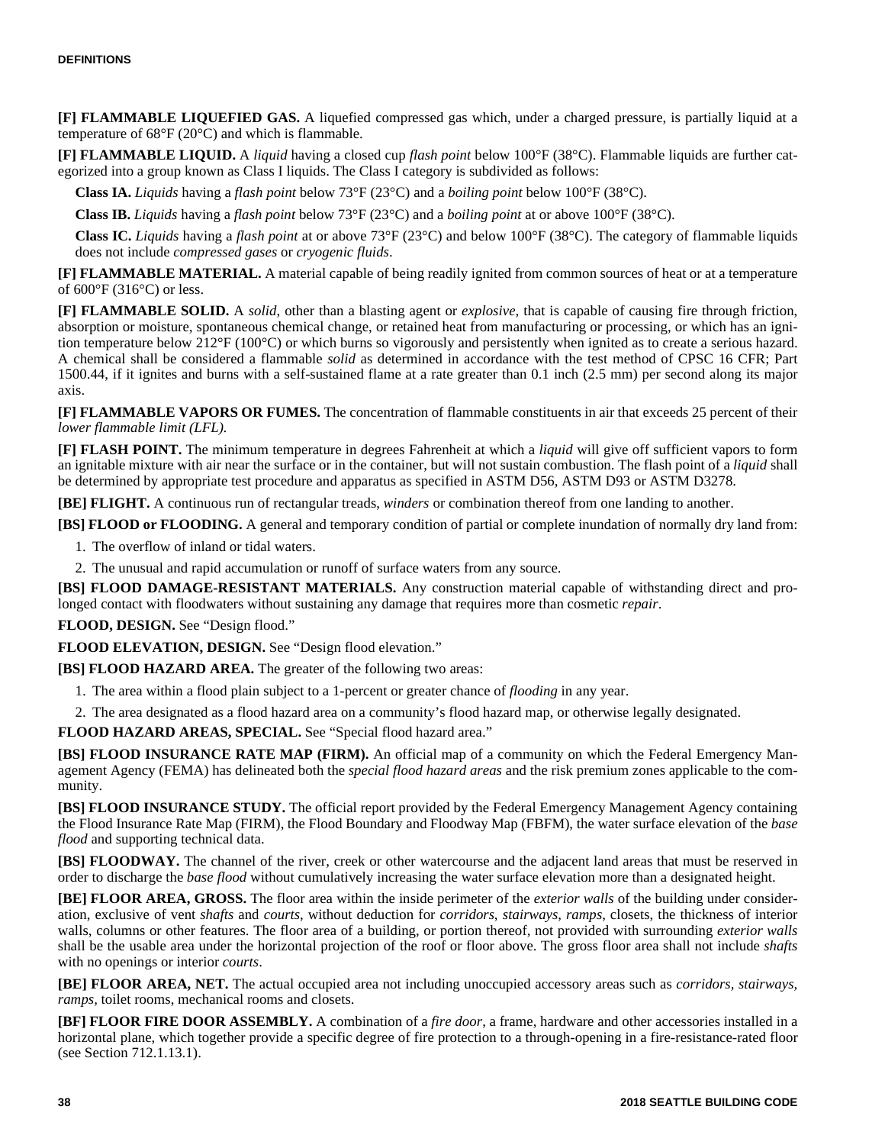**[F] FLAMMABLE LIQUEFIED GAS.** A liquefied compressed gas which, under a charged pressure, is partially liquid at a temperature of 68°F (20°C) and which is flammable.

**[F] FLAMMABLE LIQUID.** A *liquid* having a closed cup *flash point* below 100°F (38°C). Flammable liquids are further categorized into a group known as Class I liquids. The Class I category is subdivided as follows:

**Class IA.** *Liquids* having a *flash point* below 73°F (23°C) and a *boiling point* below 100°F (38°C).

**Class IB.** *Liquids* having a *flash point* below 73°F (23°C) and a *boiling point* at or above 100°F (38°C).

**Class IC.** *Liquids* having a *flash point* at or above 73°F (23°C) and below 100°F (38°C). The category of flammable liquids does not include *compressed gases* or *cryogenic fluids*.

**[F] FLAMMABLE MATERIAL.** A material capable of being readily ignited from common sources of heat or at a temperature of 600°F (316°C) or less.

**[F] FLAMMABLE SOLID.** A *solid*, other than a blasting agent or *explosive*, that is capable of causing fire through friction, absorption or moisture, spontaneous chemical change, or retained heat from manufacturing or processing, or which has an ignition temperature below 212°F (100°C) or which burns so vigorously and persistently when ignited as to create a serious hazard. A chemical shall be considered a flammable *solid* as determined in accordance with the test method of CPSC 16 CFR; Part 1500.44, if it ignites and burns with a self-sustained flame at a rate greater than 0.1 inch (2.5 mm) per second along its major axis.

**[F] FLAMMABLE VAPORS OR FUMES.** The concentration of flammable constituents in air that exceeds 25 percent of their *lower flammable limit (LFL).*

**[F] FLASH POINT.** The minimum temperature in degrees Fahrenheit at which a *liquid* will give off sufficient vapors to form an ignitable mixture with air near the surface or in the container, but will not sustain combustion. The flash point of a *liquid* shall be determined by appropriate test procedure and apparatus as specified in ASTM D56, ASTM D93 or ASTM D3278.

**[BE] FLIGHT.** A continuous run of rectangular treads, *winders* or combination thereof from one landing to another.

**[BS] FLOOD or FLOODING.** A general and temporary condition of partial or complete inundation of normally dry land from:

- 1. The overflow of inland or tidal waters.
- 2. The unusual and rapid accumulation or runoff of surface waters from any source.

**[BS] FLOOD DAMAGE-RESISTANT MATERIALS.** Any construction material capable of withstanding direct and prolonged contact with floodwaters without sustaining any damage that requires more than cosmetic *repair*.

**FLOOD, DESIGN.** See "Design flood."

**FLOOD ELEVATION, DESIGN.** See "Design flood elevation."

**[BS] FLOOD HAZARD AREA.** The greater of the following two areas:

- 1. The area within a flood plain subject to a 1-percent or greater chance of *flooding* in any year.
- 2. The area designated as a flood hazard area on a community's flood hazard map, or otherwise legally designated.

**FLOOD HAZARD AREAS, SPECIAL.** See "Special flood hazard area."

**[BS] FLOOD INSURANCE RATE MAP (FIRM).** An official map of a community on which the Federal Emergency Management Agency (FEMA) has delineated both the *special flood hazard areas* and the risk premium zones applicable to the community.

**[BS] FLOOD INSURANCE STUDY.** The official report provided by the Federal Emergency Management Agency containing the Flood Insurance Rate Map (FIRM), the Flood Boundary and Floodway Map (FBFM), the water surface elevation of the *base flood* and supporting technical data.

**[BS] FLOODWAY.** The channel of the river, creek or other watercourse and the adjacent land areas that must be reserved in order to discharge the *base flood* without cumulatively increasing the water surface elevation more than a designated height.

**[BE] FLOOR AREA, GROSS.** The floor area within the inside perimeter of the *exterior walls* of the building under consideration, exclusive of vent *shafts* and *courts*, without deduction for *corridors*, *stairways*, *ramps*, closets, the thickness of interior walls, columns or other features. The floor area of a building, or portion thereof, not provided with surrounding *exterior walls* shall be the usable area under the horizontal projection of the roof or floor above. The gross floor area shall not include *shafts* with no openings or interior *courts*.

**[BE] FLOOR AREA, NET.** The actual occupied area not including unoccupied accessory areas such as *corridors, stairways, ramps,* toilet rooms, mechanical rooms and closets.

**[BF] FLOOR FIRE DOOR ASSEMBLY.** A combination of a *fire door*, a frame, hardware and other accessories installed in a horizontal plane, which together provide a specific degree of fire protection to a through-opening in a fire-resistance-rated floor (see Section 712.1.13.1).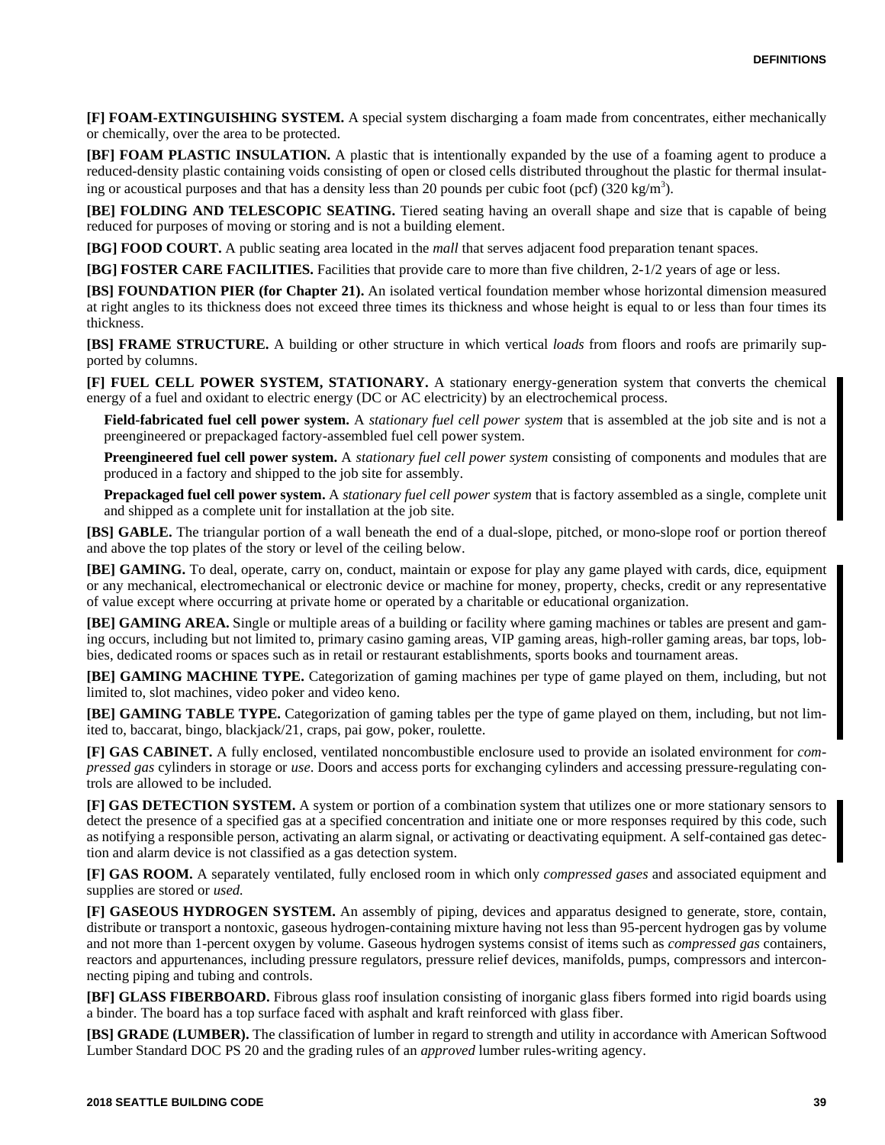**[F] FOAM-EXTINGUISHING SYSTEM.** A special system discharging a foam made from concentrates, either mechanically or chemically, over the area to be protected.

**[BF] FOAM PLASTIC INSULATION.** A plastic that is intentionally expanded by the use of a foaming agent to produce a reduced-density plastic containing voids consisting of open or closed cells distributed throughout the plastic for thermal insulating or acoustical purposes and that has a density less than 20 pounds per cubic foot (pcf)  $(320 \text{ kg/m}^3)$ .

**[BE] FOLDING AND TELESCOPIC SEATING.** Tiered seating having an overall shape and size that is capable of being reduced for purposes of moving or storing and is not a building element.

**[BG] FOOD COURT.** A public seating area located in the *mall* that serves adjacent food preparation tenant spaces.

**[BG] FOSTER CARE FACILITIES.** Facilities that provide care to more than five children, 2-1/2 years of age or less.

**[BS] FOUNDATION PIER (for Chapter 21).** An isolated vertical foundation member whose horizontal dimension measured at right angles to its thickness does not exceed three times its thickness and whose height is equal to or less than four times its thickness.

**[BS] FRAME STRUCTURE.** A building or other structure in which vertical *loads* from floors and roofs are primarily supported by columns.

**[F] FUEL CELL POWER SYSTEM, STATIONARY.** A stationary energy-generation system that converts the chemical energy of a fuel and oxidant to electric energy (DC or AC electricity) by an electrochemical process.

**Field-fabricated fuel cell power system.** A *stationary fuel cell power system* that is assembled at the job site and is not a preengineered or prepackaged factory-assembled fuel cell power system.

**Preengineered fuel cell power system.** A *stationary fuel cell power system* consisting of components and modules that are produced in a factory and shipped to the job site for assembly.

**Prepackaged fuel cell power system.** A *stationary fuel cell power system* that is factory assembled as a single, complete unit and shipped as a complete unit for installation at the job site.

**[BS] GABLE.** The triangular portion of a wall beneath the end of a dual-slope, pitched, or mono-slope roof or portion thereof and above the top plates of the story or level of the ceiling below.

**[BE] GAMING.** To deal, operate, carry on, conduct, maintain or expose for play any game played with cards, dice, equipment or any mechanical, electromechanical or electronic device or machine for money, property, checks, credit or any representative of value except where occurring at private home or operated by a charitable or educational organization.

**[BE] GAMING AREA.** Single or multiple areas of a building or facility where gaming machines or tables are present and gaming occurs, including but not limited to, primary casino gaming areas, VIP gaming areas, high-roller gaming areas, bar tops, lobbies, dedicated rooms or spaces such as in retail or restaurant establishments, sports books and tournament areas.

**[BE] GAMING MACHINE TYPE.** Categorization of gaming machines per type of game played on them, including, but not limited to, slot machines, video poker and video keno.

**[BE] GAMING TABLE TYPE.** Categorization of gaming tables per the type of game played on them, including, but not limited to, baccarat, bingo, blackjack/21, craps, pai gow, poker, roulette.

**[F] GAS CABINET.** A fully enclosed, ventilated noncombustible enclosure used to provide an isolated environment for *compressed gas* cylinders in storage or *use*. Doors and access ports for exchanging cylinders and accessing pressure-regulating controls are allowed to be included.

**[F] GAS DETECTION SYSTEM.** A system or portion of a combination system that utilizes one or more stationary sensors to detect the presence of a specified gas at a specified concentration and initiate one or more responses required by this code, such as notifying a responsible person, activating an alarm signal, or activating or deactivating equipment. A self-contained gas detection and alarm device is not classified as a gas detection system.

**[F] GAS ROOM.** A separately ventilated, fully enclosed room in which only *compressed gases* and associated equipment and supplies are stored or *used.*

**[F] GASEOUS HYDROGEN SYSTEM.** An assembly of piping, devices and apparatus designed to generate, store, contain, distribute or transport a nontoxic, gaseous hydrogen-containing mixture having not less than 95-percent hydrogen gas by volume and not more than 1-percent oxygen by volume. Gaseous hydrogen systems consist of items such as *compressed gas* containers, reactors and appurtenances, including pressure regulators, pressure relief devices, manifolds, pumps, compressors and interconnecting piping and tubing and controls.

**[BF] GLASS FIBERBOARD.** Fibrous glass roof insulation consisting of inorganic glass fibers formed into rigid boards using a binder. The board has a top surface faced with asphalt and kraft reinforced with glass fiber.

**[BS] GRADE (LUMBER).** The classification of lumber in regard to strength and utility in accordance with American Softwood Lumber Standard DOC PS 20 and the grading rules of an *approved* lumber rules-writing agency.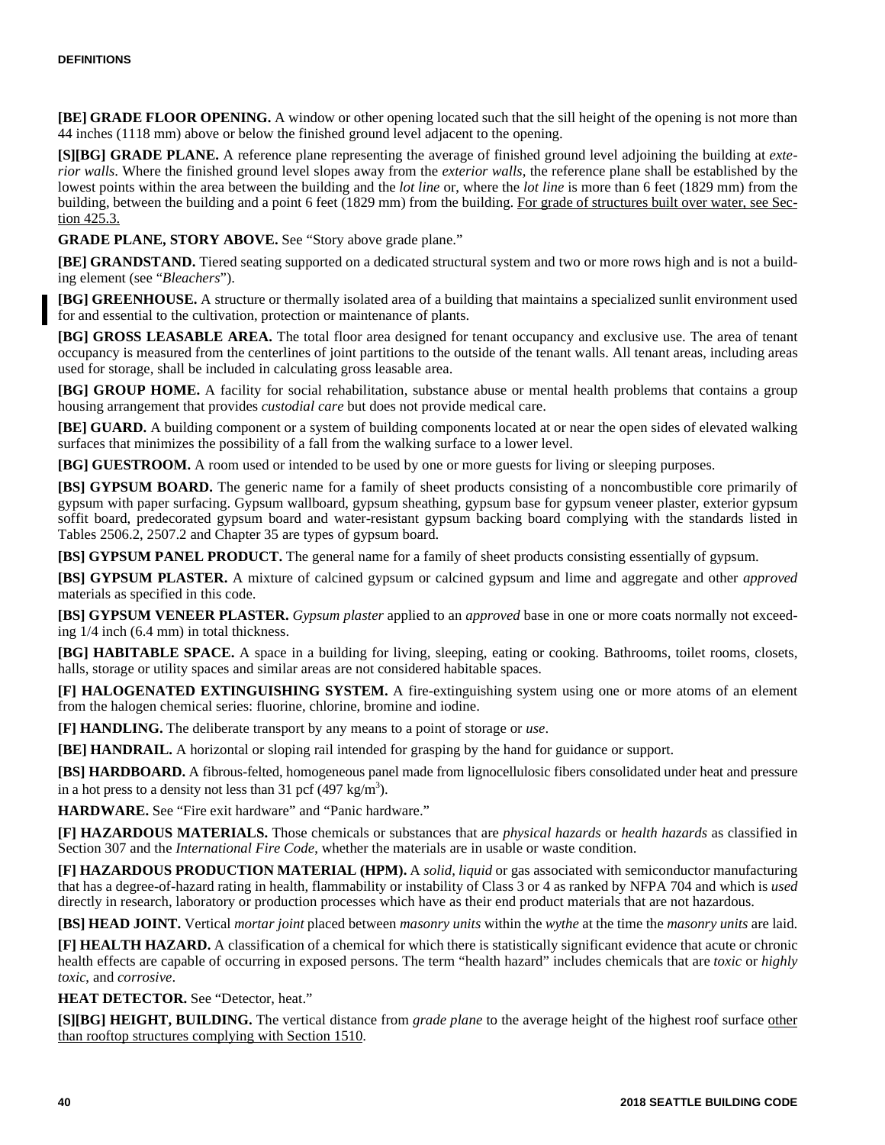**[BE] GRADE FLOOR OPENING.** A window or other opening located such that the sill height of the opening is not more than 44 inches (1118 mm) above or below the finished ground level adjacent to the opening.

**[S][BG] GRADE PLANE.** A reference plane representing the average of finished ground level adjoining the building at *exterior walls*. Where the finished ground level slopes away from the *exterior walls*, the reference plane shall be established by the lowest points within the area between the building and the *lot line* or, where the *lot line* is more than 6 feet (1829 mm) from the building, between the building and a point 6 feet (1829 mm) from the building. For grade of structures built over water, see Section 425.3.

**GRADE PLANE, STORY ABOVE.** See "Story above grade plane."

**[BE] GRANDSTAND.** Tiered seating supported on a dedicated structural system and two or more rows high and is not a building element (see "*Bleachers*").

**[BG] GREENHOUSE.** A structure or thermally isolated area of a building that maintains a specialized sunlit environment used for and essential to the cultivation, protection or maintenance of plants.

**[BG] GROSS LEASABLE AREA.** The total floor area designed for tenant occupancy and exclusive use. The area of tenant occupancy is measured from the centerlines of joint partitions to the outside of the tenant walls. All tenant areas, including areas used for storage, shall be included in calculating gross leasable area.

**[BG] GROUP HOME.** A facility for social rehabilitation, substance abuse or mental health problems that contains a group housing arrangement that provides *custodial care* but does not provide medical care.

**[BE] GUARD.** A building component or a system of building components located at or near the open sides of elevated walking surfaces that minimizes the possibility of a fall from the walking surface to a lower level.

**[BG] GUESTROOM.** A room used or intended to be used by one or more guests for living or sleeping purposes.

**[BS] GYPSUM BOARD.** The generic name for a family of sheet products consisting of a noncombustible core primarily of gypsum with paper surfacing. Gypsum wallboard, gypsum sheathing, gypsum base for gypsum veneer plaster, exterior gypsum soffit board, predecorated gypsum board and water-resistant gypsum backing board complying with the standards listed in Tables 2506.2, 2507.2 and Chapter 35 are types of gypsum board.

**[BS] GYPSUM PANEL PRODUCT.** The general name for a family of sheet products consisting essentially of gypsum.

**[BS] GYPSUM PLASTER.** A mixture of calcined gypsum or calcined gypsum and lime and aggregate and other *approved* materials as specified in this code.

**[BS] GYPSUM VENEER PLASTER.** *Gypsum plaster* applied to an *approved* base in one or more coats normally not exceeding 1/4 inch (6.4 mm) in total thickness.

**[BG] HABITABLE SPACE.** A space in a building for living, sleeping, eating or cooking. Bathrooms, toilet rooms, closets, halls, storage or utility spaces and similar areas are not considered habitable spaces.

**[F] HALOGENATED EXTINGUISHING SYSTEM.** A fire-extinguishing system using one or more atoms of an element from the halogen chemical series: fluorine, chlorine, bromine and iodine.

**[F] HANDLING.** The deliberate transport by any means to a point of storage or *use*.

**[BE] HANDRAIL.** A horizontal or sloping rail intended for grasping by the hand for guidance or support.

**[BS] HARDBOARD.** A fibrous-felted, homogeneous panel made from lignocellulosic fibers consolidated under heat and pressure in a hot press to a density not less than 31 pcf  $(497 \text{ kg/m}^3)$ .

**HARDWARE.** See "Fire exit hardware" and "Panic hardware."

**[F] HAZARDOUS MATERIALS.** Those chemicals or substances that are *physical hazards* or *health hazards* as classified in Section 307 and the *International Fire Code*, whether the materials are in usable or waste condition.

**[F] HAZARDOUS PRODUCTION MATERIAL (HPM).** A *solid*, *liquid* or gas associated with semiconductor manufacturing that has a degree-of-hazard rating in health, flammability or instability of Class 3 or 4 as ranked by NFPA 704 and which is *used* directly in research, laboratory or production processes which have as their end product materials that are not hazardous.

**[BS] HEAD JOINT.** Vertical *mortar joint* placed between *masonry units* within the *wythe* at the time the *masonry units* are laid.

**[F] HEALTH HAZARD.** A classification of a chemical for which there is statistically significant evidence that acute or chronic health effects are capable of occurring in exposed persons. The term "health hazard" includes chemicals that are *toxic* or *highly toxic*, and *corrosive*.

**HEAT DETECTOR.** See "Detector, heat."

**[S][BG] HEIGHT, BUILDING.** The vertical distance from *grade plane* to the average height of the highest roof surface other than rooftop structures complying with Section 1510.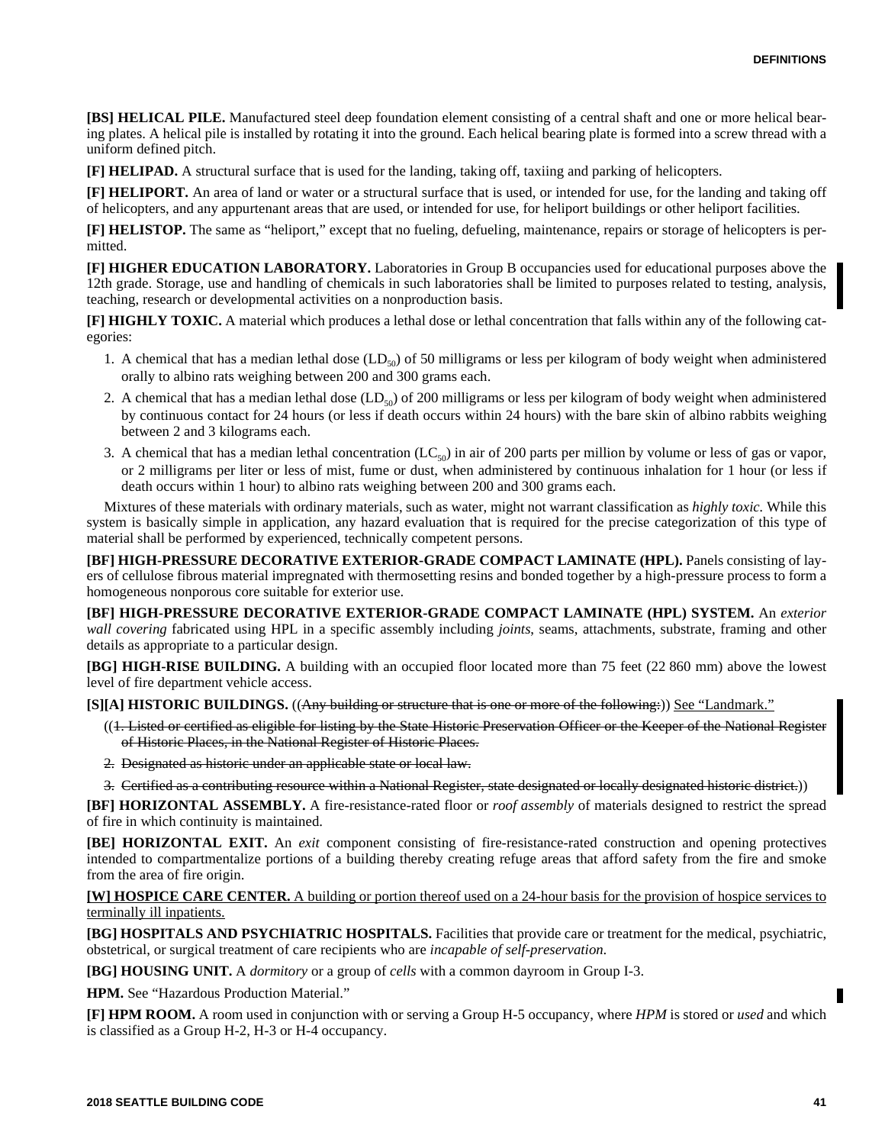**[BS] HELICAL PILE.** Manufactured steel deep foundation element consisting of a central shaft and one or more helical bearing plates. A helical pile is installed by rotating it into the ground. Each helical bearing plate is formed into a screw thread with a uniform defined pitch.

**[F] HELIPAD.** A structural surface that is used for the landing, taking off, taxiing and parking of helicopters.

**[F] HELIPORT.** An area of land or water or a structural surface that is used, or intended for use, for the landing and taking off of helicopters, and any appurtenant areas that are used, or intended for use, for heliport buildings or other heliport facilities.

**[F] HELISTOP.** The same as "heliport," except that no fueling, defueling, maintenance, repairs or storage of helicopters is permitted.

**[F] HIGHER EDUCATION LABORATORY.** Laboratories in Group B occupancies used for educational purposes above the 12th grade. Storage, use and handling of chemicals in such laboratories shall be limited to purposes related to testing, analysis, teaching, research or developmental activities on a nonproduction basis.

**[F] HIGHLY TOXIC.** A material which produces a lethal dose or lethal concentration that falls within any of the following categories:

- 1. A chemical that has a median lethal dose  $(LD_{50})$  of 50 milligrams or less per kilogram of body weight when administered orally to albino rats weighing between 200 and 300 grams each.
- 2. A chemical that has a median lethal dose  $(LD_{50})$  of 200 milligrams or less per kilogram of body weight when administered by continuous contact for 24 hours (or less if death occurs within 24 hours) with the bare skin of albino rabbits weighing between 2 and 3 kilograms each.
- 3. A chemical that has a median lethal concentration  $(LC_{50})$  in air of 200 parts per million by volume or less of gas or vapor, or 2 milligrams per liter or less of mist, fume or dust, when administered by continuous inhalation for 1 hour (or less if death occurs within 1 hour) to albino rats weighing between 200 and 300 grams each.

Mixtures of these materials with ordinary materials, such as water, might not warrant classification as *highly toxic.* While this system is basically simple in application, any hazard evaluation that is required for the precise categorization of this type of material shall be performed by experienced, technically competent persons.

**[BF] HIGH-PRESSURE DECORATIVE EXTERIOR-GRADE COMPACT LAMINATE (HPL).** Panels consisting of layers of cellulose fibrous material impregnated with thermosetting resins and bonded together by a high-pressure process to form a homogeneous nonporous core suitable for exterior use.

**[BF] HIGH-PRESSURE DECORATIVE EXTERIOR-GRADE COMPACT LAMINATE (HPL) SYSTEM.** An *exterior wall covering* fabricated using HPL in a specific assembly including *joints*, seams, attachments, substrate, framing and other details as appropriate to a particular design.

**[BG] HIGH-RISE BUILDING.** A building with an occupied floor located more than 75 feet (22 860 mm) above the lowest level of fire department vehicle access.

**[S][A] HISTORIC BUILDINGS.** ((Any building or structure that is one or more of the following:)) See "Landmark."

- ((1. Listed or certified as eligible for listing by the State Historic Preservation Officer or the Keeper of the National Register of Historic Places, in the National Register of Historic Places.
- 2. Designated as historic under an applicable state or local law.
- 3. Certified as a contributing resource within a National Register, state designated or locally designated historic district.))

**[BF] HORIZONTAL ASSEMBLY.** A fire-resistance-rated floor or *roof assembly* of materials designed to restrict the spread of fire in which continuity is maintained.

**[BE] HORIZONTAL EXIT.** An *exit* component consisting of fire-resistance-rated construction and opening protectives intended to compartmentalize portions of a building thereby creating refuge areas that afford safety from the fire and smoke from the area of fire origin.

**[W] HOSPICE CARE CENTER.** A building or portion thereof used on a 24-hour basis for the provision of hospice services to terminally ill inpatients.

**[BG] HOSPITALS AND PSYCHIATRIC HOSPITALS.** Facilities that provide care or treatment for the medical, psychiatric, obstetrical, or surgical treatment of care recipients who are *incapable of self-preservation*.

**[BG] HOUSING UNIT.** A *dormitory* or a group of *cells* with a common dayroom in Group I-3.

**HPM.** See "Hazardous Production Material."

**[F] HPM ROOM.** A room used in conjunction with or serving a Group H-5 occupancy, where *HPM* is stored or *used* and which is classified as a Group H-2, H-3 or H-4 occupancy.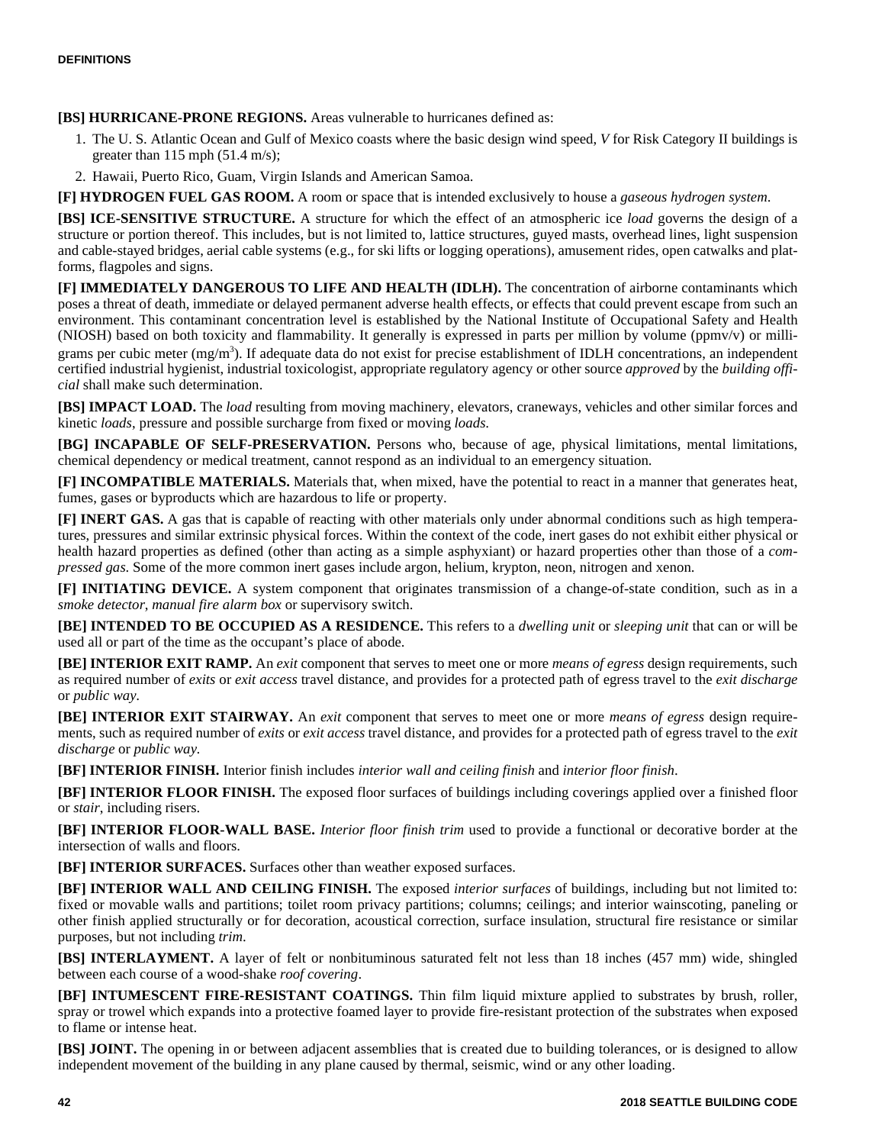**[BS] HURRICANE-PRONE REGIONS.** Areas vulnerable to hurricanes defined as:

- 1. The U. S. Atlantic Ocean and Gulf of Mexico coasts where the basic design wind speed, *V* for Risk Category II buildings is greater than 115 mph  $(51.4 \text{ m/s})$ ;
- 2. Hawaii, Puerto Rico, Guam, Virgin Islands and American Samoa.

**[F] HYDROGEN FUEL GAS ROOM.** A room or space that is intended exclusively to house a *gaseous hydrogen system*.

**[BS] ICE-SENSITIVE STRUCTURE.** A structure for which the effect of an atmospheric ice *load* governs the design of a structure or portion thereof. This includes, but is not limited to, lattice structures, guyed masts, overhead lines, light suspension and cable-stayed bridges, aerial cable systems (e.g., for ski lifts or logging operations), amusement rides, open catwalks and platforms, flagpoles and signs.

**[F] IMMEDIATELY DANGEROUS TO LIFE AND HEALTH (IDLH).** The concentration of airborne contaminants which poses a threat of death, immediate or delayed permanent adverse health effects, or effects that could prevent escape from such an environment. This contaminant concentration level is established by the National Institute of Occupational Safety and Health (NIOSH) based on both toxicity and flammability. It generally is expressed in parts per million by volume (ppmv/v) or milligrams per cubic meter (mg/m<sup>3</sup>). If adequate data do not exist for precise establishment of IDLH concentrations, an independent certified industrial hygienist, industrial toxicologist, appropriate regulatory agency or other source *approved* by the *building official* shall make such determination.

**[BS] IMPACT LOAD.** The *load* resulting from moving machinery, elevators, craneways, vehicles and other similar forces and kinetic *loads*, pressure and possible surcharge from fixed or moving *loads.*

**[BG] INCAPABLE OF SELF-PRESERVATION.** Persons who, because of age, physical limitations, mental limitations, chemical dependency or medical treatment, cannot respond as an individual to an emergency situation.

**[F] INCOMPATIBLE MATERIALS.** Materials that, when mixed, have the potential to react in a manner that generates heat, fumes, gases or byproducts which are hazardous to life or property.

**[F] INERT GAS.** A gas that is capable of reacting with other materials only under abnormal conditions such as high temperatures, pressures and similar extrinsic physical forces. Within the context of the code, inert gases do not exhibit either physical or health hazard properties as defined (other than acting as a simple asphyxiant) or hazard properties other than those of a *compressed gas*. Some of the more common inert gases include argon, helium, krypton, neon, nitrogen and xenon.

**[F] INITIATING DEVICE.** A system component that originates transmission of a change-of-state condition, such as in a *smoke detector*, *manual fire alarm box* or supervisory switch.

**[BE] INTENDED TO BE OCCUPIED AS A RESIDENCE.** This refers to a *dwelling unit* or *sleeping unit* that can or will be used all or part of the time as the occupant's place of abode.

**[BE] INTERIOR EXIT RAMP.** An *exit* component that serves to meet one or more *means of egress* design requirements, such as required number of *exits* or *exit access* travel distance, and provides for a protected path of egress travel to the *exit discharge* or *public way.*

**[BE] INTERIOR EXIT STAIRWAY.** An *exit* component that serves to meet one or more *means of egress* design requirements, such as required number of *exits* or *exit access* travel distance, and provides for a protected path of egress travel to the *exit discharge* or *public way.*

**[BF] INTERIOR FINISH.** Interior finish includes *interior wall and ceiling finish* and *interior floor finish*.

**[BF] INTERIOR FLOOR FINISH.** The exposed floor surfaces of buildings including coverings applied over a finished floor or *stair*, including risers.

**[BF] INTERIOR FLOOR-WALL BASE.** *Interior floor finish trim* used to provide a functional or decorative border at the intersection of walls and floors.

**[BF] INTERIOR SURFACES.** Surfaces other than weather exposed surfaces.

**[BF] INTERIOR WALL AND CEILING FINISH.** The exposed *interior surfaces* of buildings, including but not limited to: fixed or movable walls and partitions; toilet room privacy partitions; columns; ceilings; and interior wainscoting, paneling or other finish applied structurally or for decoration, acoustical correction, surface insulation, structural fire resistance or similar purposes, but not including *trim*.

**[BS] INTERLAYMENT.** A layer of felt or nonbituminous saturated felt not less than 18 inches (457 mm) wide, shingled between each course of a wood-shake *roof covering*.

**[BF] INTUMESCENT FIRE-RESISTANT COATINGS.** Thin film liquid mixture applied to substrates by brush, roller, spray or trowel which expands into a protective foamed layer to provide fire-resistant protection of the substrates when exposed to flame or intense heat.

**[BS] JOINT.** The opening in or between adjacent assemblies that is created due to building tolerances, or is designed to allow independent movement of the building in any plane caused by thermal, seismic, wind or any other loading.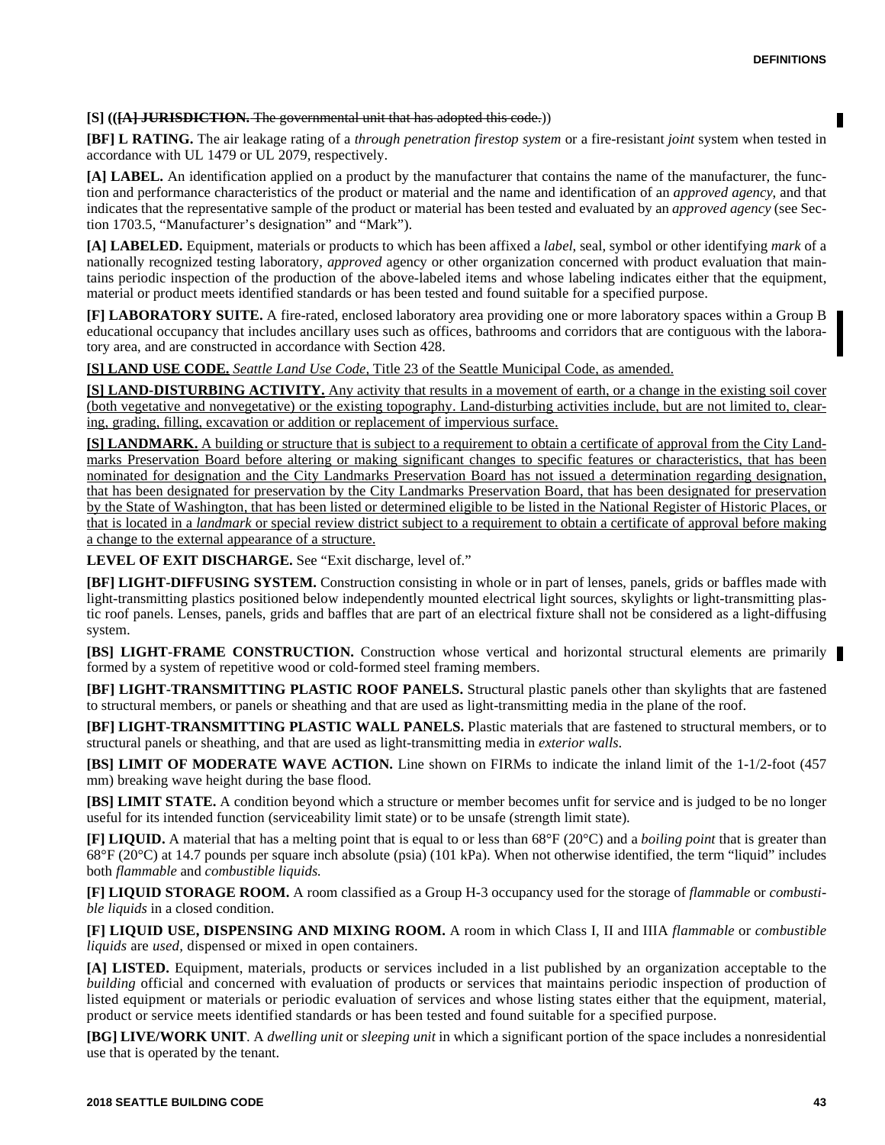## **[S] (([A] JURISDICTION.** The governmental unit that has adopted this code.))

**[BF] L RATING.** The air leakage rating of a *through penetration firestop system* or a fire-resistant *joint* system when tested in accordance with UL 1479 or UL 2079, respectively.

**[A] LABEL.** An identification applied on a product by the manufacturer that contains the name of the manufacturer, the function and performance characteristics of the product or material and the name and identification of an *approved agency*, and that indicates that the representative sample of the product or material has been tested and evaluated by an *approved agency* (see Section 1703.5, "Manufacturer's designation" and "Mark").

**[A] LABELED.** Equipment, materials or products to which has been affixed a *label*, seal, symbol or other identifying *mark* of a nationally recognized testing laboratory, *approved* agency or other organization concerned with product evaluation that maintains periodic inspection of the production of the above-labeled items and whose labeling indicates either that the equipment, material or product meets identified standards or has been tested and found suitable for a specified purpose.

**[F] LABORATORY SUITE.** A fire-rated, enclosed laboratory area providing one or more laboratory spaces within a Group B educational occupancy that includes ancillary uses such as offices, bathrooms and corridors that are contiguous with the laboratory area, and are constructed in accordance with Section 428.

**[S] LAND USE CODE.** *Seattle Land Use Code,* Title 23 of the Seattle Municipal Code, as amended.

**[S] LAND-DISTURBING ACTIVITY.** Any activity that results in a movement of earth, or a change in the existing soil cover (both vegetative and nonvegetative) or the existing topography. Land-disturbing activities include, but are not limited to, clearing, grading, filling, excavation or addition or replacement of impervious surface.

**[S] LANDMARK.** A building or structure that is subject to a requirement to obtain a certificate of approval from the City Landmarks Preservation Board before altering or making significant changes to specific features or characteristics, that has been nominated for designation and the City Landmarks Preservation Board has not issued a determination regarding designation, that has been designated for preservation by the City Landmarks Preservation Board, that has been designated for preservation by the State of Washington, that has been listed or determined eligible to be listed in the National Register of Historic Places, or that is located in a *landmark* or special review district subject to a requirement to obtain a certificate of approval before making a change to the external appearance of a structure.

**LEVEL OF EXIT DISCHARGE.** See "Exit discharge, level of."

**[BF] LIGHT-DIFFUSING SYSTEM.** Construction consisting in whole or in part of lenses, panels, grids or baffles made with light-transmitting plastics positioned below independently mounted electrical light sources, skylights or light-transmitting plastic roof panels. Lenses, panels, grids and baffles that are part of an electrical fixture shall not be considered as a light-diffusing system.

**[BS] LIGHT-FRAME CONSTRUCTION.** Construction whose vertical and horizontal structural elements are primarily formed by a system of repetitive wood or cold-formed steel framing members.

**[BF] LIGHT-TRANSMITTING PLASTIC ROOF PANELS.** Structural plastic panels other than skylights that are fastened to structural members, or panels or sheathing and that are used as light-transmitting media in the plane of the roof.

**[BF] LIGHT-TRANSMITTING PLASTIC WALL PANELS.** Plastic materials that are fastened to structural members, or to structural panels or sheathing, and that are used as light-transmitting media in *exterior walls*.

**[BS] LIMIT OF MODERATE WAVE ACTION.** Line shown on FIRMs to indicate the inland limit of the 1-1/2-foot (457 mm) breaking wave height during the base flood.

**[BS] LIMIT STATE.** A condition beyond which a structure or member becomes unfit for service and is judged to be no longer useful for its intended function (serviceability limit state) or to be unsafe (strength limit state).

**[F] LIQUID.** A material that has a melting point that is equal to or less than 68°F (20°C) and a *boiling point* that is greater than 68°F (20°C) at 14.7 pounds per square inch absolute (psia) (101 kPa). When not otherwise identified, the term "liquid" includes both *flammable* and *combustible liquids.*

**[F] LIQUID STORAGE ROOM.** A room classified as a Group H-3 occupancy used for the storage of *flammable* or *combustible liquids* in a closed condition.

**[F] LIQUID USE, DISPENSING AND MIXING ROOM.** A room in which Class I, II and IIIA *flammable* or *combustible liquids* are *used,* dispensed or mixed in open containers.

**[A] LISTED.** Equipment, materials, products or services included in a list published by an organization acceptable to the *building* official and concerned with evaluation of products or services that maintains periodic inspection of production of listed equipment or materials or periodic evaluation of services and whose listing states either that the equipment, material, product or service meets identified standards or has been tested and found suitable for a specified purpose.

**[BG] LIVE/WORK UNIT**. A *dwelling unit* or *sleeping unit* in which a significant portion of the space includes a nonresidential use that is operated by the tenant.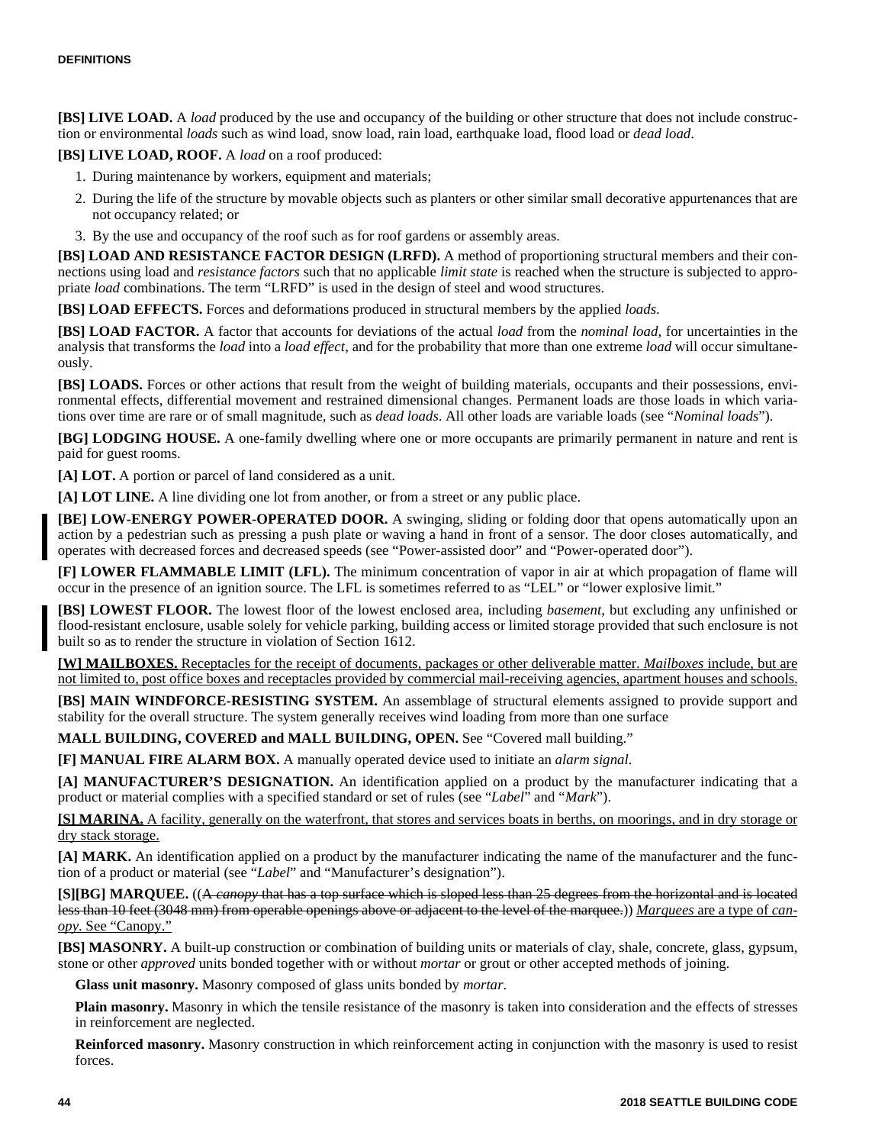**[BS] LIVE LOAD.** A *load* produced by the use and occupancy of the building or other structure that does not include construction or environmental *loads* such as wind load, snow load, rain load, earthquake load, flood load or *dead load*.

**[BS] LIVE LOAD, ROOF.** A *load* on a roof produced:

- 1. During maintenance by workers, equipment and materials;
- 2. During the life of the structure by movable objects such as planters or other similar small decorative appurtenances that are not occupancy related; or
- 3. By the use and occupancy of the roof such as for roof gardens or assembly areas.

**[BS] LOAD AND RESISTANCE FACTOR DESIGN (LRFD).** A method of proportioning structural members and their connections using load and *resistance factors* such that no applicable *limit state* is reached when the structure is subjected to appropriate *load* combinations. The term "LRFD" is used in the design of steel and wood structures.

**[BS] LOAD EFFECTS.** Forces and deformations produced in structural members by the applied *loads*.

**[BS] LOAD FACTOR.** A factor that accounts for deviations of the actual *load* from the *nominal load*, for uncertainties in the analysis that transforms the *load* into a *load effect*, and for the probability that more than one extreme *load* will occur simultaneously.

**[BS] LOADS.** Forces or other actions that result from the weight of building materials, occupants and their possessions, environmental effects, differential movement and restrained dimensional changes. Permanent loads are those loads in which variations over time are rare or of small magnitude, such as *dead loads*. All other loads are variable loads (see "*Nominal loads*").

**[BG] LODGING HOUSE.** A one-family dwelling where one or more occupants are primarily permanent in nature and rent is paid for guest rooms.

**[A] LOT.** A portion or parcel of land considered as a unit.

**[A] LOT LINE.** A line dividing one lot from another, or from a street or any public place.

**[BE] LOW-ENERGY POWER-OPERATED DOOR.** A swinging, sliding or folding door that opens automatically upon an action by a pedestrian such as pressing a push plate or waving a hand in front of a sensor. The door closes automatically, and operates with decreased forces and decreased speeds (see "Power-assisted door" and "Power-operated door").

**[F] LOWER FLAMMABLE LIMIT (LFL).** The minimum concentration of vapor in air at which propagation of flame will occur in the presence of an ignition source. The LFL is sometimes referred to as "LEL" or "lower explosive limit."

**[BS] LOWEST FLOOR.** The lowest floor of the lowest enclosed area, including *basement*, but excluding any unfinished or flood-resistant enclosure, usable solely for vehicle parking, building access or limited storage provided that such enclosure is not built so as to render the structure in violation of Section 1612.

**[W] MAILBOXES.** Receptacles for the receipt of documents, packages or other deliverable matter. *Mailboxes* include, but are not limited to, post office boxes and receptacles provided by commercial mail-receiving agencies, apartment houses and schools.

**[BS] MAIN WINDFORCE-RESISTING SYSTEM.** An assemblage of structural elements assigned to provide support and stability for the overall structure. The system generally receives wind loading from more than one surface

**MALL BUILDING, COVERED and MALL BUILDING, OPEN.** See "Covered mall building."

**[F] MANUAL FIRE ALARM BOX.** A manually operated device used to initiate an *alarm signal*.

**[A] MANUFACTURER'S DESIGNATION.** An identification applied on a product by the manufacturer indicating that a product or material complies with a specified standard or set of rules (see "*Label*" and "*Mark*").

**[S] MARINA.** A facility, generally on the waterfront, that stores and services boats in berths, on moorings, and in dry storage or dry stack storage.

**[A] MARK.** An identification applied on a product by the manufacturer indicating the name of the manufacturer and the function of a product or material (see "*Label*" and "Manufacturer's designation").

**[S][BG] MARQUEE.** ((A *canopy* that has a top surface which is sloped less than 25 degrees from the horizontal and is located less than 10 feet (3048 mm) from operable openings above or adjacent to the level of the marquee.)) *Marquees* are a type of *canopy*. See "Canopy."

**[BS] MASONRY.** A built-up construction or combination of building units or materials of clay, shale, concrete, glass, gypsum, stone or other *approved* units bonded together with or without *mortar* or grout or other accepted methods of joining.

**Glass unit masonry.** Masonry composed of glass units bonded by *mortar*.

**Plain masonry.** Masonry in which the tensile resistance of the masonry is taken into consideration and the effects of stresses in reinforcement are neglected.

**Reinforced masonry.** Masonry construction in which reinforcement acting in conjunction with the masonry is used to resist forces.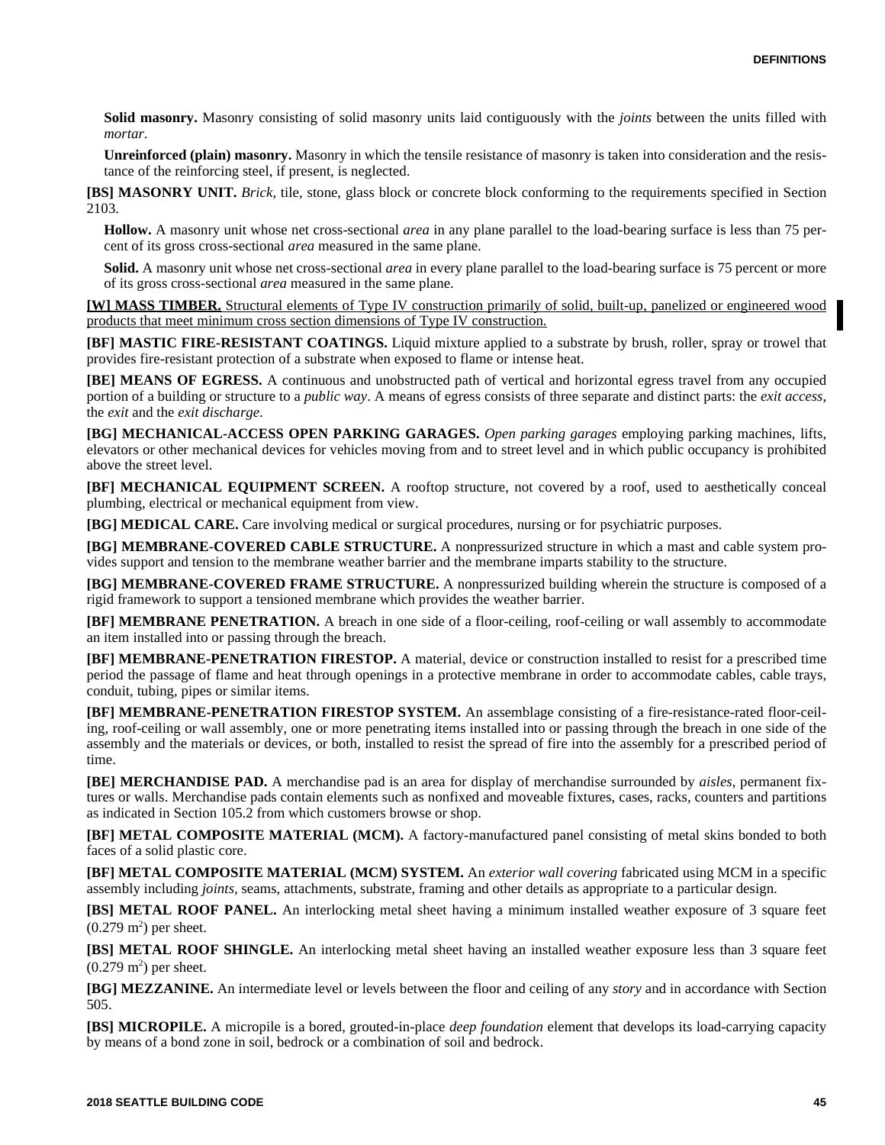**Solid masonry.** Masonry consisting of solid masonry units laid contiguously with the *joints* between the units filled with *mortar*.

**Unreinforced (plain) masonry.** Masonry in which the tensile resistance of masonry is taken into consideration and the resistance of the reinforcing steel, if present, is neglected.

**[BS] MASONRY UNIT.** *Brick*, tile, stone, glass block or concrete block conforming to the requirements specified in Section 2103.

**Hollow.** A masonry unit whose net cross-sectional *area* in any plane parallel to the load-bearing surface is less than 75 percent of its gross cross-sectional *area* measured in the same plane.

**Solid.** A masonry unit whose net cross-sectional *area* in every plane parallel to the load-bearing surface is 75 percent or more of its gross cross-sectional *area* measured in the same plane.

**[W] MASS TIMBER.** Structural elements of Type IV construction primarily of solid, built-up, panelized or engineered wood products that meet minimum cross section dimensions of Type IV construction.

**[BF] MASTIC FIRE-RESISTANT COATINGS.** Liquid mixture applied to a substrate by brush, roller, spray or trowel that provides fire-resistant protection of a substrate when exposed to flame or intense heat.

**[BE] MEANS OF EGRESS.** A continuous and unobstructed path of vertical and horizontal egress travel from any occupied portion of a building or structure to a *public way*. A means of egress consists of three separate and distinct parts: the *exit access*, the *exit* and the *exit discharge*.

**[BG] MECHANICAL-ACCESS OPEN PARKING GARAGES.** *Open parking garages* employing parking machines, lifts, elevators or other mechanical devices for vehicles moving from and to street level and in which public occupancy is prohibited above the street level.

**[BF] MECHANICAL EQUIPMENT SCREEN.** A rooftop structure, not covered by a roof, used to aesthetically conceal plumbing, electrical or mechanical equipment from view.

**[BG] MEDICAL CARE.** Care involving medical or surgical procedures, nursing or for psychiatric purposes.

**[BG] MEMBRANE-COVERED CABLE STRUCTURE.** A nonpressurized structure in which a mast and cable system provides support and tension to the membrane weather barrier and the membrane imparts stability to the structure.

**[BG] MEMBRANE-COVERED FRAME STRUCTURE.** A nonpressurized building wherein the structure is composed of a rigid framework to support a tensioned membrane which provides the weather barrier.

**[BF] MEMBRANE PENETRATION.** A breach in one side of a floor-ceiling, roof-ceiling or wall assembly to accommodate an item installed into or passing through the breach.

**[BF] MEMBRANE-PENETRATION FIRESTOP.** A material, device or construction installed to resist for a prescribed time period the passage of flame and heat through openings in a protective membrane in order to accommodate cables, cable trays, conduit, tubing, pipes or similar items.

**[BF] MEMBRANE-PENETRATION FIRESTOP SYSTEM.** An assemblage consisting of a fire-resistance-rated floor-ceiling, roof-ceiling or wall assembly, one or more penetrating items installed into or passing through the breach in one side of the assembly and the materials or devices, or both, installed to resist the spread of fire into the assembly for a prescribed period of time.

**[BE] MERCHANDISE PAD.** A merchandise pad is an area for display of merchandise surrounded by *aisles*, permanent fixtures or walls. Merchandise pads contain elements such as nonfixed and moveable fixtures, cases, racks, counters and partitions as indicated in Section 105.2 from which customers browse or shop.

**[BF] METAL COMPOSITE MATERIAL (MCM).** A factory-manufactured panel consisting of metal skins bonded to both faces of a solid plastic core.

**[BF] METAL COMPOSITE MATERIAL (MCM) SYSTEM.** An *exterior wall covering* fabricated using MCM in a specific assembly including *joints,* seams, attachments, substrate, framing and other details as appropriate to a particular design.

**[BS] METAL ROOF PANEL.** An interlocking metal sheet having a minimum installed weather exposure of 3 square feet  $(0.279 \text{ m}^2)$  per sheet.

**[BS] METAL ROOF SHINGLE.** An interlocking metal sheet having an installed weather exposure less than 3 square feet  $(0.279 \text{ m}^2)$  per sheet.

**[BG] MEZZANINE.** An intermediate level or levels between the floor and ceiling of any *story* and in accordance with Section 505.

**[BS] MICROPILE.** A micropile is a bored, grouted-in-place *deep foundation* element that develops its load-carrying capacity by means of a bond zone in soil, bedrock or a combination of soil and bedrock.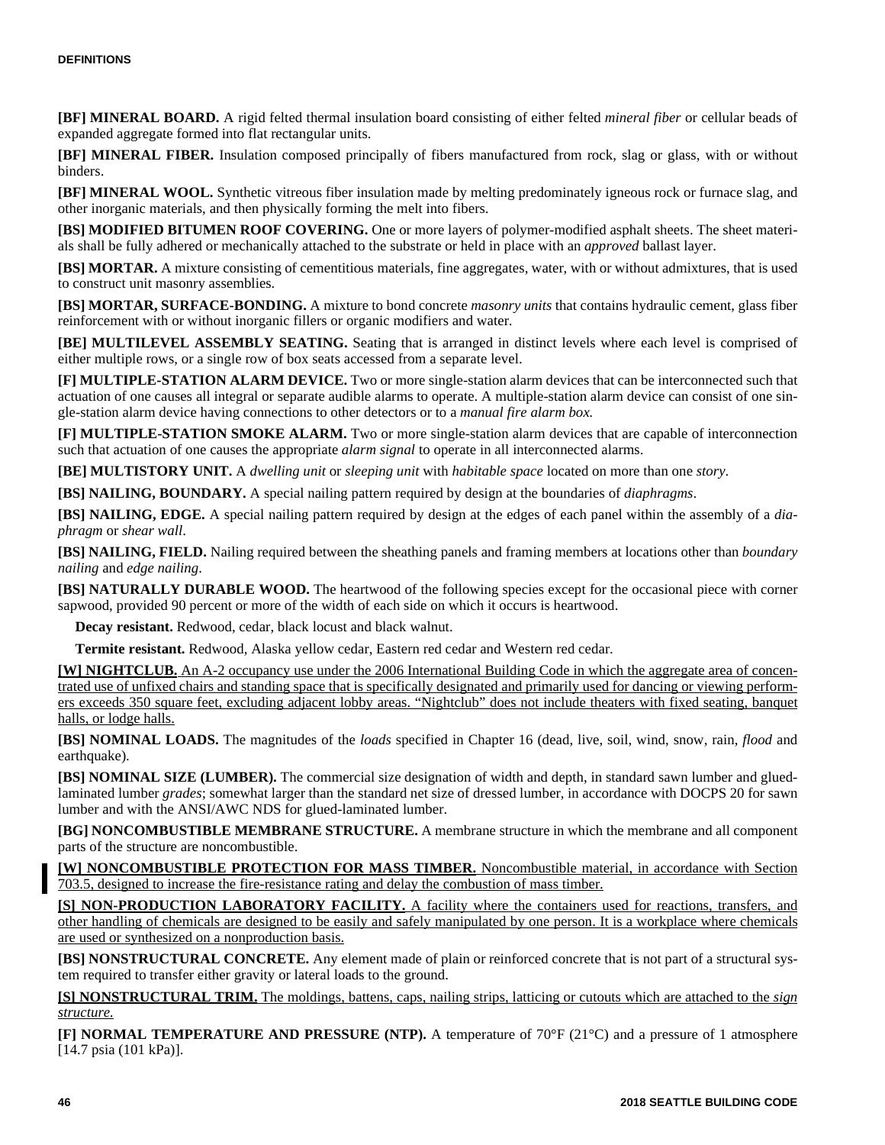**[BF] MINERAL BOARD.** A rigid felted thermal insulation board consisting of either felted *mineral fiber* or cellular beads of expanded aggregate formed into flat rectangular units.

**[BF] MINERAL FIBER.** Insulation composed principally of fibers manufactured from rock, slag or glass, with or without binders.

**[BF] MINERAL WOOL.** Synthetic vitreous fiber insulation made by melting predominately igneous rock or furnace slag, and other inorganic materials, and then physically forming the melt into fibers.

**[BS] MODIFIED BITUMEN ROOF COVERING.** One or more layers of polymer-modified asphalt sheets. The sheet materials shall be fully adhered or mechanically attached to the substrate or held in place with an *approved* ballast layer.

**[BS] MORTAR.** A mixture consisting of cementitious materials, fine aggregates, water, with or without admixtures, that is used to construct unit masonry assemblies.

**[BS] MORTAR, SURFACE-BONDING.** A mixture to bond concrete *masonry units* that contains hydraulic cement, glass fiber reinforcement with or without inorganic fillers or organic modifiers and water.

**[BE] MULTILEVEL ASSEMBLY SEATING.** Seating that is arranged in distinct levels where each level is comprised of either multiple rows, or a single row of box seats accessed from a separate level.

**[F] MULTIPLE-STATION ALARM DEVICE.** Two or more single-station alarm devices that can be interconnected such that actuation of one causes all integral or separate audible alarms to operate. A multiple-station alarm device can consist of one single-station alarm device having connections to other detectors or to a *manual fire alarm box.*

**[F] MULTIPLE-STATION SMOKE ALARM.** Two or more single-station alarm devices that are capable of interconnection such that actuation of one causes the appropriate *alarm signal* to operate in all interconnected alarms.

**[BE] MULTISTORY UNIT.** A *dwelling unit* or *sleeping unit* with *habitable space* located on more than one *story*.

**[BS] NAILING, BOUNDARY.** A special nailing pattern required by design at the boundaries of *diaphragms*.

**[BS] NAILING, EDGE.** A special nailing pattern required by design at the edges of each panel within the assembly of a *diaphragm* or *shear wall*.

**[BS] NAILING, FIELD.** Nailing required between the sheathing panels and framing members at locations other than *boundary nailing* and *edge nailing*.

**[BS] NATURALLY DURABLE WOOD.** The heartwood of the following species except for the occasional piece with corner sapwood, provided 90 percent or more of the width of each side on which it occurs is heartwood.

**Decay resistant.** Redwood, cedar, black locust and black walnut.

**Termite resistant.** Redwood, Alaska yellow cedar, Eastern red cedar and Western red cedar.

**[W] NIGHTCLUB.** An A-2 occupancy use under the 2006 International Building Code in which the aggregate area of concentrated use of unfixed chairs and standing space that is specifically designated and primarily used for dancing or viewing performers exceeds 350 square feet, excluding adjacent lobby areas. "Nightclub" does not include theaters with fixed seating, banquet halls, or lodge halls.

**[BS] NOMINAL LOADS.** The magnitudes of the *loads* specified in Chapter 16 (dead, live, soil, wind, snow, rain, *flood* and earthquake).

**[BS] NOMINAL SIZE (LUMBER).** The commercial size designation of width and depth, in standard sawn lumber and gluedlaminated lumber *grades*; somewhat larger than the standard net size of dressed lumber, in accordance with DOCPS 20 for sawn lumber and with the ANSI/AWC NDS for glued-laminated lumber.

**[BG] NONCOMBUSTIBLE MEMBRANE STRUCTURE.** A membrane structure in which the membrane and all component parts of the structure are noncombustible.

**[W] NONCOMBUSTIBLE PROTECTION FOR MASS TIMBER.** Noncombustible material, in accordance with Section 703.5, designed to increase the fire-resistance rating and delay the combustion of mass timber.

**[S] NON-PRODUCTION LABORATORY FACILITY.** A facility where the containers used for reactions, transfers, and other handling of chemicals are designed to be easily and safely manipulated by one person. It is a workplace where chemicals are used or synthesized on a nonproduction basis.

**[BS] NONSTRUCTURAL CONCRETE.** Any element made of plain or reinforced concrete that is not part of a structural system required to transfer either gravity or lateral loads to the ground.

**[S] NONSTRUCTURAL TRIM.** The moldings, battens, caps, nailing strips, latticing or cutouts which are attached to the *sign structure.*

**[F] NORMAL TEMPERATURE AND PRESSURE (NTP).** A temperature of 70°F (21°C) and a pressure of 1 atmosphere [14.7 psia (101 kPa)].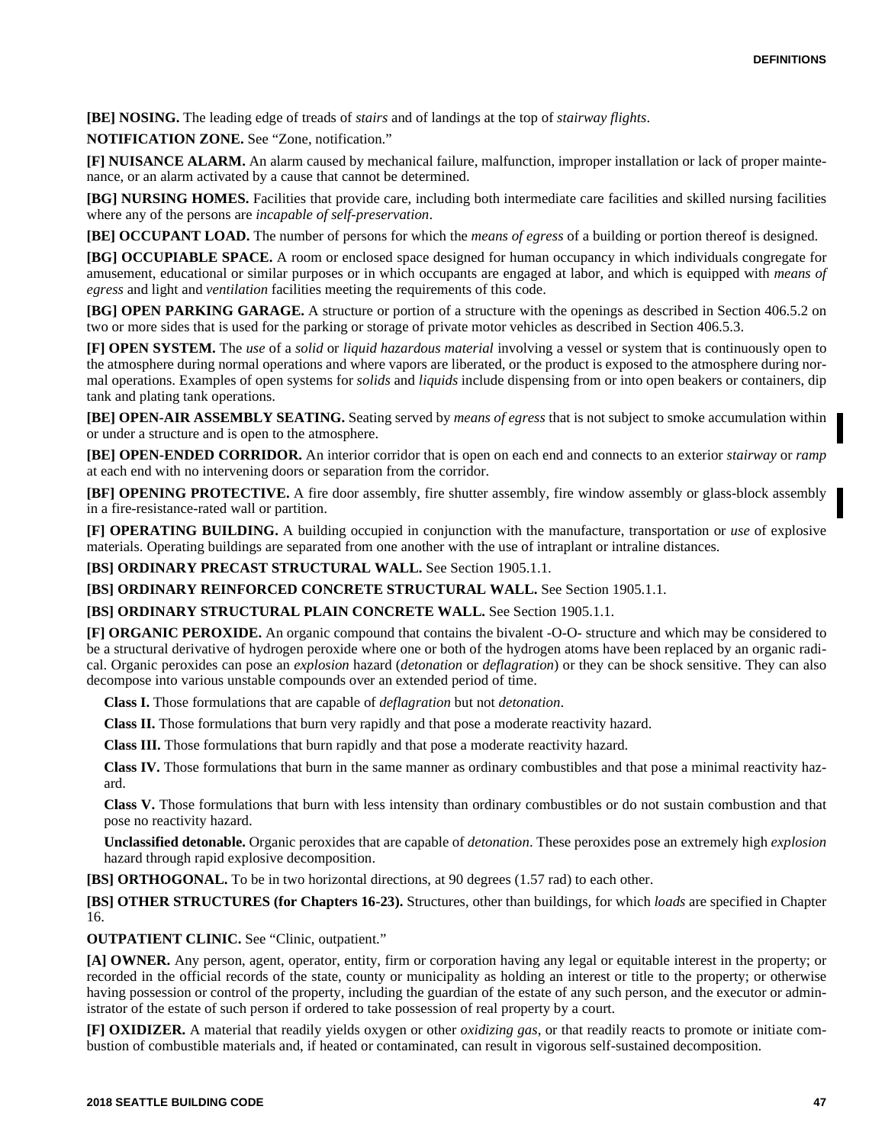**[BE] NOSING.** The leading edge of treads of *stairs* and of landings at the top of *stairway flights*.

**NOTIFICATION ZONE.** See "Zone, notification."

**[F] NUISANCE ALARM.** An alarm caused by mechanical failure, malfunction, improper installation or lack of proper maintenance, or an alarm activated by a cause that cannot be determined.

**[BG] NURSING HOMES.** Facilities that provide care, including both intermediate care facilities and skilled nursing facilities where any of the persons are *incapable of self-preservation*.

**[BE] OCCUPANT LOAD.** The number of persons for which the *means of egress* of a building or portion thereof is designed.

**[BG] OCCUPIABLE SPACE.** A room or enclosed space designed for human occupancy in which individuals congregate for amusement, educational or similar purposes or in which occupants are engaged at labor, and which is equipped with *means of egress* and light and *ventilation* facilities meeting the requirements of this code.

**[BG] OPEN PARKING GARAGE.** A structure or portion of a structure with the openings as described in Section 406.5.2 on two or more sides that is used for the parking or storage of private motor vehicles as described in Section 406.5.3.

**[F] OPEN SYSTEM.** The *use* of a *solid* or *liquid hazardous material* involving a vessel or system that is continuously open to the atmosphere during normal operations and where vapors are liberated, or the product is exposed to the atmosphere during normal operations. Examples of open systems for *solids* and *liquids* include dispensing from or into open beakers or containers, dip tank and plating tank operations.

**[BE] OPEN-AIR ASSEMBLY SEATING.** Seating served by *means of egress* that is not subject to smoke accumulation within or under a structure and is open to the atmosphere.

**[BE] OPEN-ENDED CORRIDOR.** An interior corridor that is open on each end and connects to an exterior *stairway* or *ramp* at each end with no intervening doors or separation from the corridor.

**[BF] OPENING PROTECTIVE.** A fire door assembly, fire shutter assembly, fire window assembly or glass-block assembly in a fire-resistance-rated wall or partition.

**[F] OPERATING BUILDING.** A building occupied in conjunction with the manufacture, transportation or *use* of explosive materials. Operating buildings are separated from one another with the use of intraplant or intraline distances.

**[BS] ORDINARY PRECAST STRUCTURAL WALL.** See Section 1905.1.1.

**[BS] ORDINARY REINFORCED CONCRETE STRUCTURAL WALL.** See Section 1905.1.1.

**[BS] ORDINARY STRUCTURAL PLAIN CONCRETE WALL.** See Section 1905.1.1.

**[F] ORGANIC PEROXIDE.** An organic compound that contains the bivalent -O-O- structure and which may be considered to be a structural derivative of hydrogen peroxide where one or both of the hydrogen atoms have been replaced by an organic radical. Organic peroxides can pose an *explosion* hazard (*detonation* or *deflagration*) or they can be shock sensitive. They can also decompose into various unstable compounds over an extended period of time.

**Class I.** Those formulations that are capable of *deflagration* but not *detonation*.

**Class II.** Those formulations that burn very rapidly and that pose a moderate reactivity hazard.

**Class III.** Those formulations that burn rapidly and that pose a moderate reactivity hazard.

**Class IV.** Those formulations that burn in the same manner as ordinary combustibles and that pose a minimal reactivity hazard.

**Class V.** Those formulations that burn with less intensity than ordinary combustibles or do not sustain combustion and that pose no reactivity hazard.

**Unclassified detonable.** Organic peroxides that are capable of *detonation*. These peroxides pose an extremely high *explosion* hazard through rapid explosive decomposition.

**[BS] ORTHOGONAL.** To be in two horizontal directions, at 90 degrees (1.57 rad) to each other.

**[BS] OTHER STRUCTURES (for Chapters 16-23).** Structures, other than buildings, for which *loads* are specified in Chapter 16.

**OUTPATIENT CLINIC.** See "Clinic, outpatient."

**[A] OWNER.** Any person, agent, operator, entity, firm or corporation having any legal or equitable interest in the property; or recorded in the official records of the state, county or municipality as holding an interest or title to the property; or otherwise having possession or control of the property, including the guardian of the estate of any such person, and the executor or administrator of the estate of such person if ordered to take possession of real property by a court.

**[F] OXIDIZER.** A material that readily yields oxygen or other *oxidizing gas*, or that readily reacts to promote or initiate combustion of combustible materials and, if heated or contaminated, can result in vigorous self-sustained decomposition.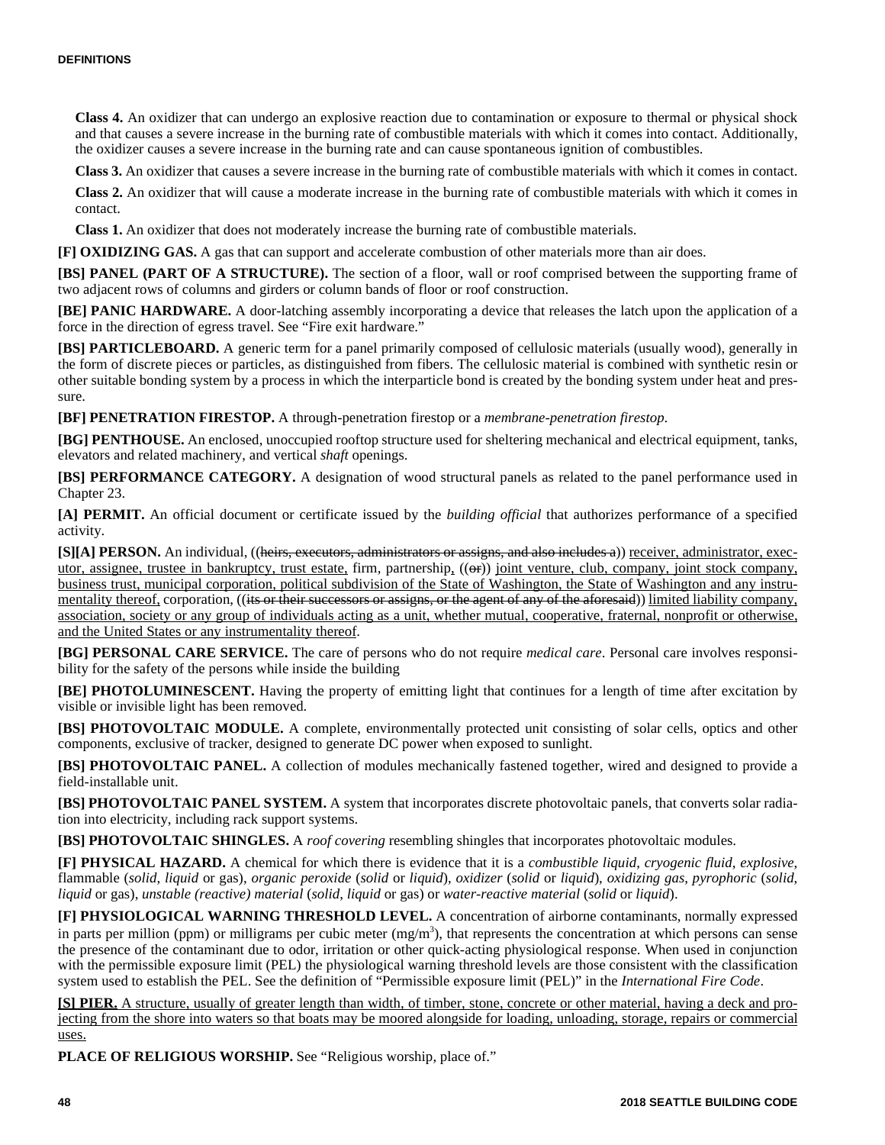**Class 4.** An oxidizer that can undergo an explosive reaction due to contamination or exposure to thermal or physical shock and that causes a severe increase in the burning rate of combustible materials with which it comes into contact. Additionally, the oxidizer causes a severe increase in the burning rate and can cause spontaneous ignition of combustibles.

**Class 3.** An oxidizer that causes a severe increase in the burning rate of combustible materials with which it comes in contact.

**Class 2.** An oxidizer that will cause a moderate increase in the burning rate of combustible materials with which it comes in contact.

**Class 1.** An oxidizer that does not moderately increase the burning rate of combustible materials.

**[F] OXIDIZING GAS.** A gas that can support and accelerate combustion of other materials more than air does.

**[BS] PANEL (PART OF A STRUCTURE).** The section of a floor, wall or roof comprised between the supporting frame of two adjacent rows of columns and girders or column bands of floor or roof construction.

**[BE] PANIC HARDWARE.** A door-latching assembly incorporating a device that releases the latch upon the application of a force in the direction of egress travel. See "Fire exit hardware."

**[BS] PARTICLEBOARD.** A generic term for a panel primarily composed of cellulosic materials (usually wood), generally in the form of discrete pieces or particles, as distinguished from fibers. The cellulosic material is combined with synthetic resin or other suitable bonding system by a process in which the interparticle bond is created by the bonding system under heat and pressure.

**[BF] PENETRATION FIRESTOP.** A through-penetration firestop or a *membrane-penetration firestop*.

**[BG] PENTHOUSE.** An enclosed, unoccupied rooftop structure used for sheltering mechanical and electrical equipment, tanks, elevators and related machinery, and vertical *shaft* openings.

**[BS] PERFORMANCE CATEGORY.** A designation of wood structural panels as related to the panel performance used in Chapter 23.

**[A] PERMIT.** An official document or certificate issued by the *building official* that authorizes performance of a specified activity.

**[S][A] PERSON.** An individual, ((heirs, executors, administrators or assigns, and also includes a)) receiver, administrator, executor, assignee, trustee in bankruptcy, trust estate, firm, partnership,  $((\Theta F))$  joint venture, club, company, joint stock company, business trust, municipal corporation, political subdivision of the State of Washington, the State of Washington and any instrumentality thereof, corporation, ((its or their successors or assigns, or the agent of any of the aforesaid)) limited liability company, association, society or any group of individuals acting as a unit, whether mutual, cooperative, fraternal, nonprofit or otherwise, and the United States or any instrumentality thereof.

**[BG] PERSONAL CARE SERVICE.** The care of persons who do not require *medical care*. Personal care involves responsibility for the safety of the persons while inside the building

**[BE] PHOTOLUMINESCENT.** Having the property of emitting light that continues for a length of time after excitation by visible or invisible light has been removed.

**[BS] PHOTOVOLTAIC MODULE.** A complete, environmentally protected unit consisting of solar cells, optics and other components, exclusive of tracker, designed to generate DC power when exposed to sunlight.

**[BS] PHOTOVOLTAIC PANEL.** A collection of modules mechanically fastened together, wired and designed to provide a field-installable unit.

**[BS] PHOTOVOLTAIC PANEL SYSTEM.** A system that incorporates discrete photovoltaic panels, that converts solar radiation into electricity, including rack support systems.

**[BS] PHOTOVOLTAIC SHINGLES.** A *roof covering* resembling shingles that incorporates photovoltaic modules.

**[F] PHYSICAL HAZARD.** A chemical for which there is evidence that it is a *combustible liquid*, *cryogenic fluid*, *explosive*, flammable (*solid*, *liquid* or gas), *organic peroxide* (*solid* or *liquid*), *oxidizer* (*solid* or *liquid*), *oxidizing gas*, *pyrophoric* (*solid*, *liquid* or gas), *unstable (reactive) material* (*solid*, *liquid* or gas) or *water-reactive material* (*solid* or *liquid*).

**[F] PHYSIOLOGICAL WARNING THRESHOLD LEVEL.** A concentration of airborne contaminants, normally expressed in parts per million (ppm) or milligrams per cubic meter  $(mg/m<sup>3</sup>)$ , that represents the concentration at which persons can sense the presence of the contaminant due to odor, irritation or other quick-acting physiological response. When used in conjunction with the permissible exposure limit (PEL) the physiological warning threshold levels are those consistent with the classification system used to establish the PEL. See the definition of "Permissible exposure limit (PEL)" in the *International Fire Code*.

**[S] PIER.** A structure, usually of greater length than width, of timber, stone, concrete or other material, having a deck and projecting from the shore into waters so that boats may be moored alongside for loading, unloading, storage, repairs or commercial uses.

**PLACE OF RELIGIOUS WORSHIP.** See "Religious worship, place of."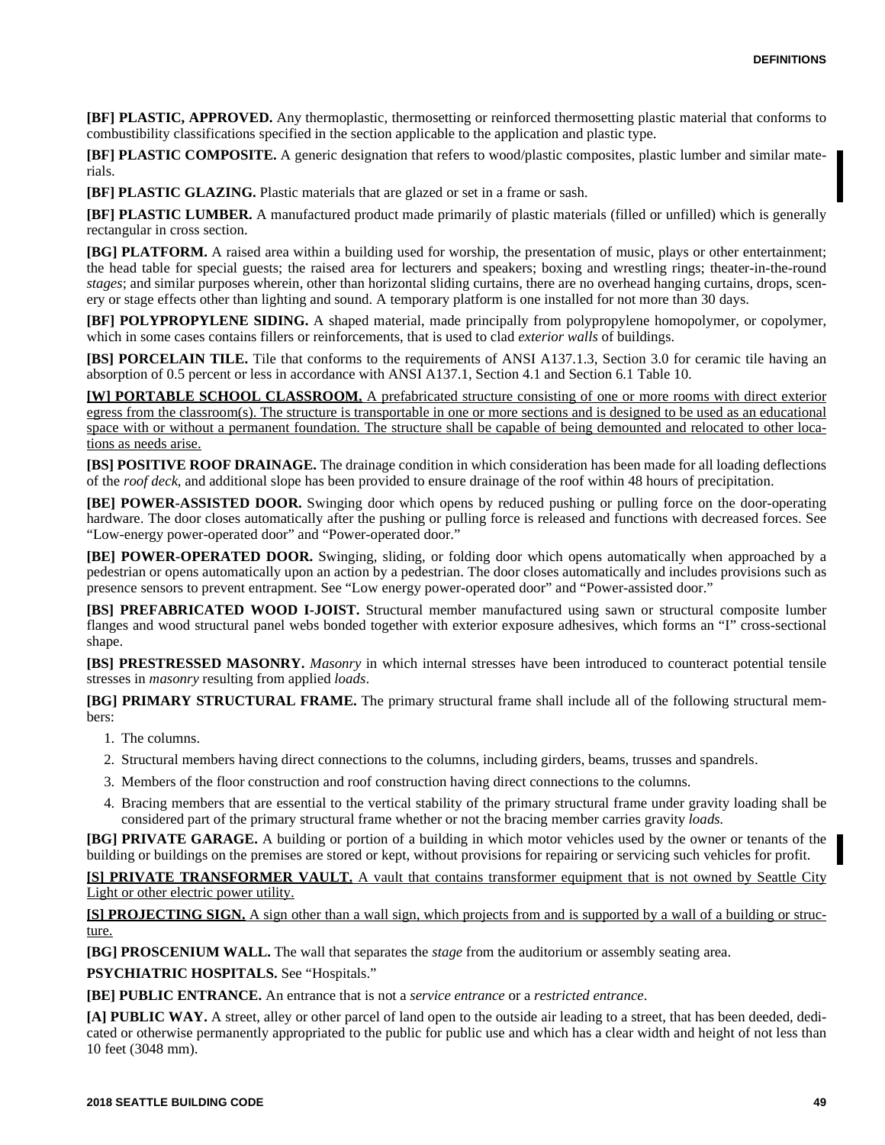**[BF] PLASTIC, APPROVED.** Any thermoplastic, thermosetting or reinforced thermosetting plastic material that conforms to combustibility classifications specified in the section applicable to the application and plastic type.

**[BF] PLASTIC COMPOSITE.** A generic designation that refers to wood/plastic composites, plastic lumber and similar materials.

**[BF] PLASTIC GLAZING.** Plastic materials that are glazed or set in a frame or sash.

**[BF] PLASTIC LUMBER.** A manufactured product made primarily of plastic materials (filled or unfilled) which is generally rectangular in cross section.

**[BG] PLATFORM.** A raised area within a building used for worship, the presentation of music, plays or other entertainment; the head table for special guests; the raised area for lecturers and speakers; boxing and wrestling rings; theater-in-the-round *stages*; and similar purposes wherein, other than horizontal sliding curtains, there are no overhead hanging curtains, drops, scenery or stage effects other than lighting and sound. A temporary platform is one installed for not more than 30 days.

**[BF] POLYPROPYLENE SIDING.** A shaped material, made principally from polypropylene homopolymer, or copolymer, which in some cases contains fillers or reinforcements, that is used to clad *exterior walls* of buildings.

**[BS] PORCELAIN TILE.** Tile that conforms to the requirements of ANSI A137.1.3, Section 3.0 for ceramic tile having an absorption of 0.5 percent or less in accordance with ANSI A137.1, Section 4.1 and Section 6.1 Table 10.

**[W] PORTABLE SCHOOL CLASSROOM.** A prefabricated structure consisting of one or more rooms with direct exterior egress from the classroom(s). The structure is transportable in one or more sections and is designed to be used as an educational space with or without a permanent foundation. The structure shall be capable of being demounted and relocated to other locations as needs arise.

**[BS] POSITIVE ROOF DRAINAGE.** The drainage condition in which consideration has been made for all loading deflections of the *roof deck*, and additional slope has been provided to ensure drainage of the roof within 48 hours of precipitation.

**[BE] POWER-ASSISTED DOOR.** Swinging door which opens by reduced pushing or pulling force on the door-operating hardware. The door closes automatically after the pushing or pulling force is released and functions with decreased forces. See "Low-energy power-operated door" and "Power-operated door."

**[BE] POWER-OPERATED DOOR.** Swinging, sliding, or folding door which opens automatically when approached by a pedestrian or opens automatically upon an action by a pedestrian. The door closes automatically and includes provisions such as presence sensors to prevent entrapment. See "Low energy power-operated door" and "Power-assisted door."

**[BS] PREFABRICATED WOOD I-JOIST.** Structural member manufactured using sawn or structural composite lumber flanges and wood structural panel webs bonded together with exterior exposure adhesives, which forms an "I" cross-sectional shape.

**[BS] PRESTRESSED MASONRY.** *Masonry* in which internal stresses have been introduced to counteract potential tensile stresses in *masonry* resulting from applied *loads*.

**[BG] PRIMARY STRUCTURAL FRAME.** The primary structural frame shall include all of the following structural members:

- 1. The columns.
- 2. Structural members having direct connections to the columns, including girders, beams, trusses and spandrels.
- 3. Members of the floor construction and roof construction having direct connections to the columns.
- 4. Bracing members that are essential to the vertical stability of the primary structural frame under gravity loading shall be considered part of the primary structural frame whether or not the bracing member carries gravity *loads.*

**[BG] PRIVATE GARAGE.** A building or portion of a building in which motor vehicles used by the owner or tenants of the building or buildings on the premises are stored or kept, without provisions for repairing or servicing such vehicles for profit.

**[S] PRIVATE TRANSFORMER VAULT.** A vault that contains transformer equipment that is not owned by Seattle City Light or other electric power utility.

**[S] PROJECTING SIGN.** A sign other than a wall sign, which projects from and is supported by a wall of a building or structure.

**[BG] PROSCENIUM WALL.** The wall that separates the *stage* from the auditorium or assembly seating area.

**PSYCHIATRIC HOSPITALS.** See "Hospitals."

**[BE] PUBLIC ENTRANCE.** An entrance that is not a *service entrance* or a *restricted entrance*.

**[A] PUBLIC WAY.** A street, alley or other parcel of land open to the outside air leading to a street, that has been deeded, dedicated or otherwise permanently appropriated to the public for public use and which has a clear width and height of not less than 10 feet (3048 mm).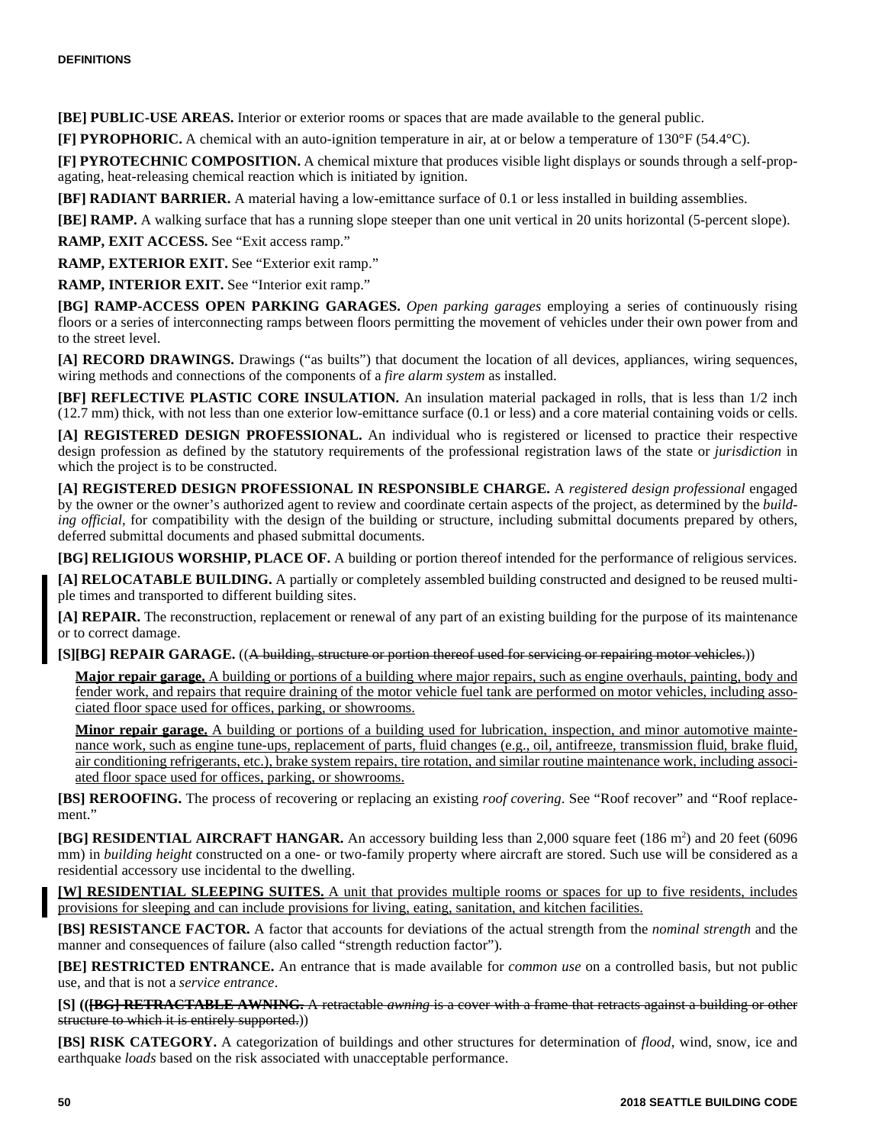**[BE] PUBLIC-USE AREAS.** Interior or exterior rooms or spaces that are made available to the general public.

**[F] PYROPHORIC.** A chemical with an auto-ignition temperature in air, at or below a temperature of 130°F (54.4°C).

**[F] PYROTECHNIC COMPOSITION.** A chemical mixture that produces visible light displays or sounds through a self-propagating, heat-releasing chemical reaction which is initiated by ignition.

**[BF] RADIANT BARRIER.** A material having a low-emittance surface of 0.1 or less installed in building assemblies.

**[BE] RAMP.** A walking surface that has a running slope steeper than one unit vertical in 20 units horizontal (5-percent slope).

**RAMP, EXIT ACCESS.** See "Exit access ramp."

**RAMP, EXTERIOR EXIT.** See "Exterior exit ramp."

**RAMP, INTERIOR EXIT.** See "Interior exit ramp."

**[BG] RAMP-ACCESS OPEN PARKING GARAGES.** *Open parking garages* employing a series of continuously rising floors or a series of interconnecting ramps between floors permitting the movement of vehicles under their own power from and to the street level.

**[A] RECORD DRAWINGS.** Drawings ("as builts") that document the location of all devices, appliances, wiring sequences, wiring methods and connections of the components of a *fire alarm system* as installed.

**[BF] REFLECTIVE PLASTIC CORE INSULATION.** An insulation material packaged in rolls, that is less than 1/2 inch (12.7 mm) thick, with not less than one exterior low-emittance surface (0.1 or less) and a core material containing voids or cells.

**[A] REGISTERED DESIGN PROFESSIONAL.** An individual who is registered or licensed to practice their respective design profession as defined by the statutory requirements of the professional registration laws of the state or *jurisdiction* in which the project is to be constructed.

**[A] REGISTERED DESIGN PROFESSIONAL IN RESPONSIBLE CHARGE.** A *registered design professional* engaged by the owner or the owner's authorized agent to review and coordinate certain aspects of the project, as determined by the *building official*, for compatibility with the design of the building or structure, including submittal documents prepared by others, deferred submittal documents and phased submittal documents.

**[BG] RELIGIOUS WORSHIP, PLACE OF.** A building or portion thereof intended for the performance of religious services.

**[A] RELOCATABLE BUILDING.** A partially or completely assembled building constructed and designed to be reused multiple times and transported to different building sites.

**[A] REPAIR.** The reconstruction, replacement or renewal of any part of an existing building for the purpose of its maintenance or to correct damage.

**[S][BG] REPAIR GARAGE.** ((A building, structure or portion thereof used for servicing or repairing motor vehicles.))

**Major repair garage.** A building or portions of a building where major repairs, such as engine overhauls, painting, body and fender work, and repairs that require draining of the motor vehicle fuel tank are performed on motor vehicles, including associated floor space used for offices, parking, or showrooms.

**Minor repair garage.** A building or portions of a building used for lubrication, inspection, and minor automotive maintenance work, such as engine tune-ups, replacement of parts, fluid changes (e.g., oil, antifreeze, transmission fluid, brake fluid, air conditioning refrigerants, etc.), brake system repairs, tire rotation, and similar routine maintenance work, including associated floor space used for offices, parking, or showrooms.

**[BS] REROOFING.** The process of recovering or replacing an existing *roof covering*. See "Roof recover" and "Roof replacement."

[BG] RESIDENTIAL AIRCRAFT HANGAR. An accessory building less than 2,000 square feet (186 m<sup>2</sup>) and 20 feet (6096 mm) in *building height* constructed on a one- or two-family property where aircraft are stored. Such use will be considered as a residential accessory use incidental to the dwelling.

**[W] RESIDENTIAL SLEEPING SUITES.** A unit that provides multiple rooms or spaces for up to five residents, includes provisions for sleeping and can include provisions for living, eating, sanitation, and kitchen facilities.

**[BS] RESISTANCE FACTOR.** A factor that accounts for deviations of the actual strength from the *nominal strength* and the manner and consequences of failure (also called "strength reduction factor").

**[BE] RESTRICTED ENTRANCE.** An entrance that is made available for *common use* on a controlled basis, but not public use, and that is not a *service entrance*.

**[S] (([BG] RETRACTABLE AWNING.** A retractable *awning* is a cover with a frame that retracts against a building or other structure to which it is entirely supported.)

**[BS] RISK CATEGORY.** A categorization of buildings and other structures for determination of *flood*, wind, snow, ice and earthquake *loads* based on the risk associated with unacceptable performance.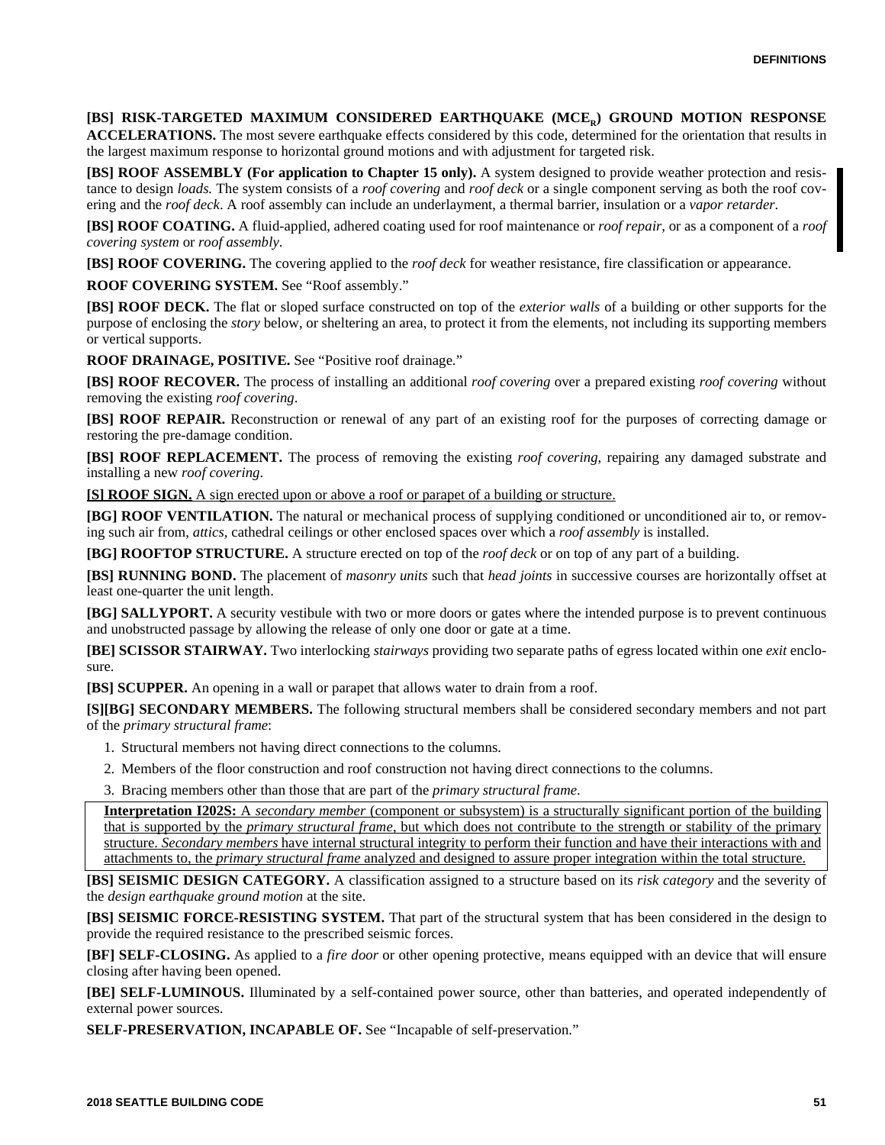**[BS] RISK-TARGETED MAXIMUM CONSIDERED EARTHQUAKE (MCE<sup>R</sup> ) GROUND MOTION RESPONSE ACCELERATIONS.** The most severe earthquake effects considered by this code, determined for the orientation that results in the largest maximum response to horizontal ground motions and with adjustment for targeted risk.

**[BS] ROOF ASSEMBLY (For application to Chapter 15 only).** A system designed to provide weather protection and resistance to design *loads.* The system consists of a *roof covering* and *roof deck* or a single component serving as both the roof covering and the *roof deck*. A roof assembly can include an underlayment, a thermal barrier, insulation or a *vapor retarder*.

**[BS] ROOF COATING.** A fluid-applied, adhered coating used for roof maintenance or *roof repair*, or as a component of a *roof covering system* or *roof assembly*.

**[BS] ROOF COVERING.** The covering applied to the *roof deck* for weather resistance, fire classification or appearance.

**ROOF COVERING SYSTEM.** See "Roof assembly."

**[BS] ROOF DECK.** The flat or sloped surface constructed on top of the *exterior walls* of a building or other supports for the purpose of enclosing the *story* below, or sheltering an area, to protect it from the elements, not including its supporting members or vertical supports.

**ROOF DRAINAGE, POSITIVE.** See "Positive roof drainage."

**[BS] ROOF RECOVER.** The process of installing an additional *roof covering* over a prepared existing *roof covering* without removing the existing *roof covering*.

**[BS] ROOF REPAIR.** Reconstruction or renewal of any part of an existing roof for the purposes of correcting damage or restoring the pre-damage condition.

**[BS] ROOF REPLACEMENT.** The process of removing the existing *roof covering*, repairing any damaged substrate and installing a new *roof covering*.

**[S] ROOF SIGN.** A sign erected upon or above a roof or parapet of a building or structure.

**[BG] ROOF VENTILATION.** The natural or mechanical process of supplying conditioned or unconditioned air to, or removing such air from, *attics,* cathedral ceilings or other enclosed spaces over which a *roof assembly* is installed.

**[BG] ROOFTOP STRUCTURE.** A structure erected on top of the *roof deck* or on top of any part of a building.

**[BS] RUNNING BOND.** The placement of *masonry units* such that *head joints* in successive courses are horizontally offset at least one-quarter the unit length.

**[BG] SALLYPORT.** A security vestibule with two or more doors or gates where the intended purpose is to prevent continuous and unobstructed passage by allowing the release of only one door or gate at a time.

**[BE] SCISSOR STAIRWAY.** Two interlocking *stairways* providing two separate paths of egress located within one *exit* enclosure.

**[BS] SCUPPER.** An opening in a wall or parapet that allows water to drain from a roof.

**[S][BG] SECONDARY MEMBERS.** The following structural members shall be considered secondary members and not part of the *primary structural frame*:

- 1. Structural members not having direct connections to the columns.
- 2. Members of the floor construction and roof construction not having direct connections to the columns.
- 3. Bracing members other than those that are part of the *primary structural frame*.

**Interpretation I202S:** A *secondary member* (component or subsystem) is a structurally significant portion of the building that is supported by the *primary structural frame*, but which does not contribute to the strength or stability of the primary structure. *Secondary members* have internal structural integrity to perform their function and have their interactions with and attachments to, the *primary structural frame* analyzed and designed to assure proper integration within the total structure.

**[BS] SEISMIC DESIGN CATEGORY.** A classification assigned to a structure based on its *risk category* and the severity of the *design earthquake ground motion* at the site.

**[BS] SEISMIC FORCE-RESISTING SYSTEM.** That part of the structural system that has been considered in the design to provide the required resistance to the prescribed seismic forces.

**[BF] SELF-CLOSING.** As applied to a *fire door* or other opening protective, means equipped with an device that will ensure closing after having been opened.

**[BE] SELF-LUMINOUS.** Illuminated by a self-contained power source, other than batteries, and operated independently of external power sources.

**SELF-PRESERVATION, INCAPABLE OF.** See "Incapable of self-preservation."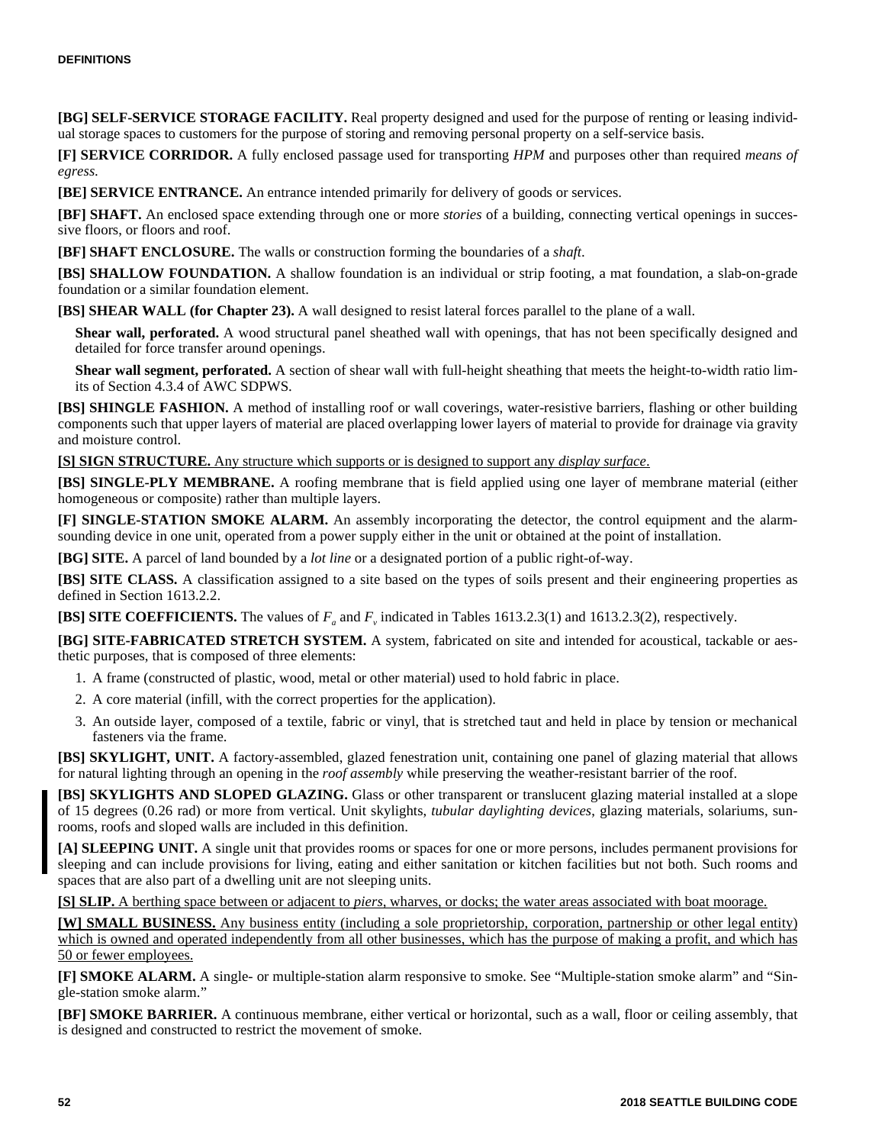**[BG] SELF-SERVICE STORAGE FACILITY.** Real property designed and used for the purpose of renting or leasing individual storage spaces to customers for the purpose of storing and removing personal property on a self-service basis.

**[F] SERVICE CORRIDOR.** A fully enclosed passage used for transporting *HPM* and purposes other than required *means of egress*.

**[BE] SERVICE ENTRANCE.** An entrance intended primarily for delivery of goods or services.

**[BF] SHAFT.** An enclosed space extending through one or more *stories* of a building, connecting vertical openings in successive floors, or floors and roof.

**[BF] SHAFT ENCLOSURE.** The walls or construction forming the boundaries of a *shaft*.

**[BS] SHALLOW FOUNDATION.** A shallow foundation is an individual or strip footing, a mat foundation, a slab-on-grade foundation or a similar foundation element.

**[BS] SHEAR WALL (for Chapter 23).** A wall designed to resist lateral forces parallel to the plane of a wall.

**Shear wall, perforated.** A wood structural panel sheathed wall with openings, that has not been specifically designed and detailed for force transfer around openings.

**Shear wall segment, perforated.** A section of shear wall with full-height sheathing that meets the height-to-width ratio limits of Section 4.3.4 of AWC SDPWS.

**[BS] SHINGLE FASHION.** A method of installing roof or wall coverings, water-resistive barriers, flashing or other building components such that upper layers of material are placed overlapping lower layers of material to provide for drainage via gravity and moisture control.

**[S] SIGN STRUCTURE.** Any structure which supports or is designed to support any *display surface*.

**[BS] SINGLE-PLY MEMBRANE.** A roofing membrane that is field applied using one layer of membrane material (either homogeneous or composite) rather than multiple layers.

**[F] SINGLE-STATION SMOKE ALARM.** An assembly incorporating the detector, the control equipment and the alarmsounding device in one unit, operated from a power supply either in the unit or obtained at the point of installation.

**[BG] SITE.** A parcel of land bounded by a *lot line* or a designated portion of a public right-of-way.

**[BS] SITE CLASS.** A classification assigned to a site based on the types of soils present and their engineering properties as defined in Section 1613.2.2.

**[BS] SITE COEFFICIENTS.** The values of  $F_a$  and  $F_v$  indicated in Tables 1613.2.3(1) and 1613.2.3(2), respectively.

**[BG] SITE-FABRICATED STRETCH SYSTEM.** A system, fabricated on site and intended for acoustical, tackable or aesthetic purposes, that is composed of three elements:

- 1. A frame (constructed of plastic, wood, metal or other material) used to hold fabric in place.
- 2. A core material (infill, with the correct properties for the application).
- 3. An outside layer, composed of a textile, fabric or vinyl, that is stretched taut and held in place by tension or mechanical fasteners via the frame.

**[BS] SKYLIGHT, UNIT.** A factory-assembled, glazed fenestration unit, containing one panel of glazing material that allows for natural lighting through an opening in the *roof assembly* while preserving the weather-resistant barrier of the roof.

**[BS] SKYLIGHTS AND SLOPED GLAZING.** Glass or other transparent or translucent glazing material installed at a slope of 15 degrees (0.26 rad) or more from vertical. Unit skylights, *tubular daylighting devices*, glazing materials, solariums, sunrooms, roofs and sloped walls are included in this definition.

**[A] SLEEPING UNIT.** A single unit that provides rooms or spaces for one or more persons, includes permanent provisions for sleeping and can include provisions for living, eating and either sanitation or kitchen facilities but not both. Such rooms and spaces that are also part of a dwelling unit are not sleeping units.

**[S] SLIP.** A berthing space between or adjacent to *piers,* wharves, or docks; the water areas associated with boat moorage.

**[W] SMALL BUSINESS.** Any business entity (including a sole proprietorship, corporation, partnership or other legal entity) which is owned and operated independently from all other businesses, which has the purpose of making a profit, and which has 50 or fewer employees.

**[F] SMOKE ALARM.** A single- or multiple-station alarm responsive to smoke. See "Multiple-station smoke alarm" and "Single-station smoke alarm."

**[BF] SMOKE BARRIER.** A continuous membrane, either vertical or horizontal, such as a wall, floor or ceiling assembly, that is designed and constructed to restrict the movement of smoke.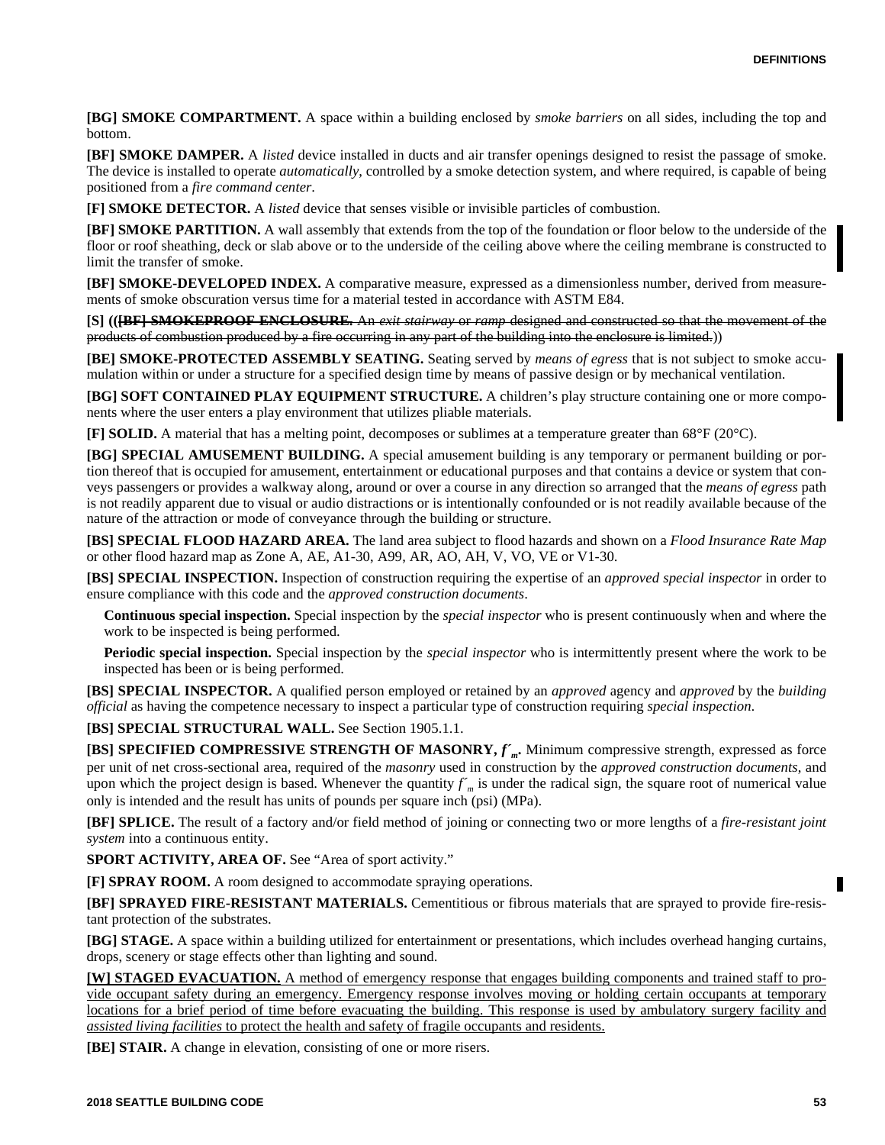**[BG] SMOKE COMPARTMENT.** A space within a building enclosed by *smoke barriers* on all sides, including the top and bottom.

**[BF] SMOKE DAMPER.** A *listed* device installed in ducts and air transfer openings designed to resist the passage of smoke. The device is installed to operate *automatically*, controlled by a smoke detection system, and where required, is capable of being positioned from a *fire command center*.

**[F] SMOKE DETECTOR.** A *listed* device that senses visible or invisible particles of combustion.

**[BF] SMOKE PARTITION.** A wall assembly that extends from the top of the foundation or floor below to the underside of the floor or roof sheathing, deck or slab above or to the underside of the ceiling above where the ceiling membrane is constructed to limit the transfer of smoke.

**[BF] SMOKE-DEVELOPED INDEX.** A comparative measure, expressed as a dimensionless number, derived from measurements of smoke obscuration versus time for a material tested in accordance with ASTM E84.

**[S] (([BF] SMOKEPROOF ENCLOSURE.** An *exit stairway* or *ramp* designed and constructed so that the movement of the products of combustion produced by a fire occurring in any part of the building into the enclosure is limited.))

**[BE] SMOKE-PROTECTED ASSEMBLY SEATING.** Seating served by *means of egress* that is not subject to smoke accumulation within or under a structure for a specified design time by means of passive design or by mechanical ventilation.

**[BG] SOFT CONTAINED PLAY EQUIPMENT STRUCTURE.** A children's play structure containing one or more components where the user enters a play environment that utilizes pliable materials.

**[F] SOLID.** A material that has a melting point, decomposes or sublimes at a temperature greater than 68°F (20°C).

**[BG] SPECIAL AMUSEMENT BUILDING.** A special amusement building is any temporary or permanent building or portion thereof that is occupied for amusement, entertainment or educational purposes and that contains a device or system that conveys passengers or provides a walkway along, around or over a course in any direction so arranged that the *means of egress* path is not readily apparent due to visual or audio distractions or is intentionally confounded or is not readily available because of the nature of the attraction or mode of conveyance through the building or structure.

**[BS] SPECIAL FLOOD HAZARD AREA.** The land area subject to flood hazards and shown on a *Flood Insurance Rate Map* or other flood hazard map as Zone A, AE, A1-30, A99, AR, AO, AH, V, VO, VE or V1-30.

**[BS] SPECIAL INSPECTION.** Inspection of construction requiring the expertise of an *approved special inspector* in order to ensure compliance with this code and the *approved construction documents*.

**Continuous special inspection.** Special inspection by the *special inspector* who is present continuously when and where the work to be inspected is being performed.

**Periodic special inspection.** Special inspection by the *special inspector* who is intermittently present where the work to be inspected has been or is being performed.

**[BS] SPECIAL INSPECTOR.** A qualified person employed or retained by an *approved* agency and *approved* by the *building official* as having the competence necessary to inspect a particular type of construction requiring *special inspection.*

**[BS] SPECIAL STRUCTURAL WALL.** See Section 1905.1.1.

**[BS] SPECIFIED COMPRESSIVE STRENGTH OF MASONRY,**  $f'$ **<sub>***m***</sub>. Minimum compressive strength, expressed as force</mark>** per unit of net cross-sectional area, required of the *masonry* used in construction by the *approved construction documents*, and upon which the project design is based. Whenever the quantity  $f'_m$  is under the radical sign, the square root of numerical value only is intended and the result has units of pounds per square inch (psi) (MPa).

**[BF] SPLICE.** The result of a factory and/or field method of joining or connecting two or more lengths of a *fire-resistant joint system* into a continuous entity.

**SPORT ACTIVITY, AREA OF. See "Area of sport activity."** 

**[F] SPRAY ROOM.** A room designed to accommodate spraying operations.

**[BF] SPRAYED FIRE-RESISTANT MATERIALS.** Cementitious or fibrous materials that are sprayed to provide fire-resistant protection of the substrates.

**[BG] STAGE.** A space within a building utilized for entertainment or presentations, which includes overhead hanging curtains, drops, scenery or stage effects other than lighting and sound.

**[W] STAGED EVACUATION.** A method of emergency response that engages building components and trained staff to provide occupant safety during an emergency. Emergency response involves moving or holding certain occupants at temporary locations for a brief period of time before evacuating the building. This response is used by ambulatory surgery facility and *assisted living facilities* to protect the health and safety of fragile occupants and residents.

**[BE] STAIR.** A change in elevation, consisting of one or more risers.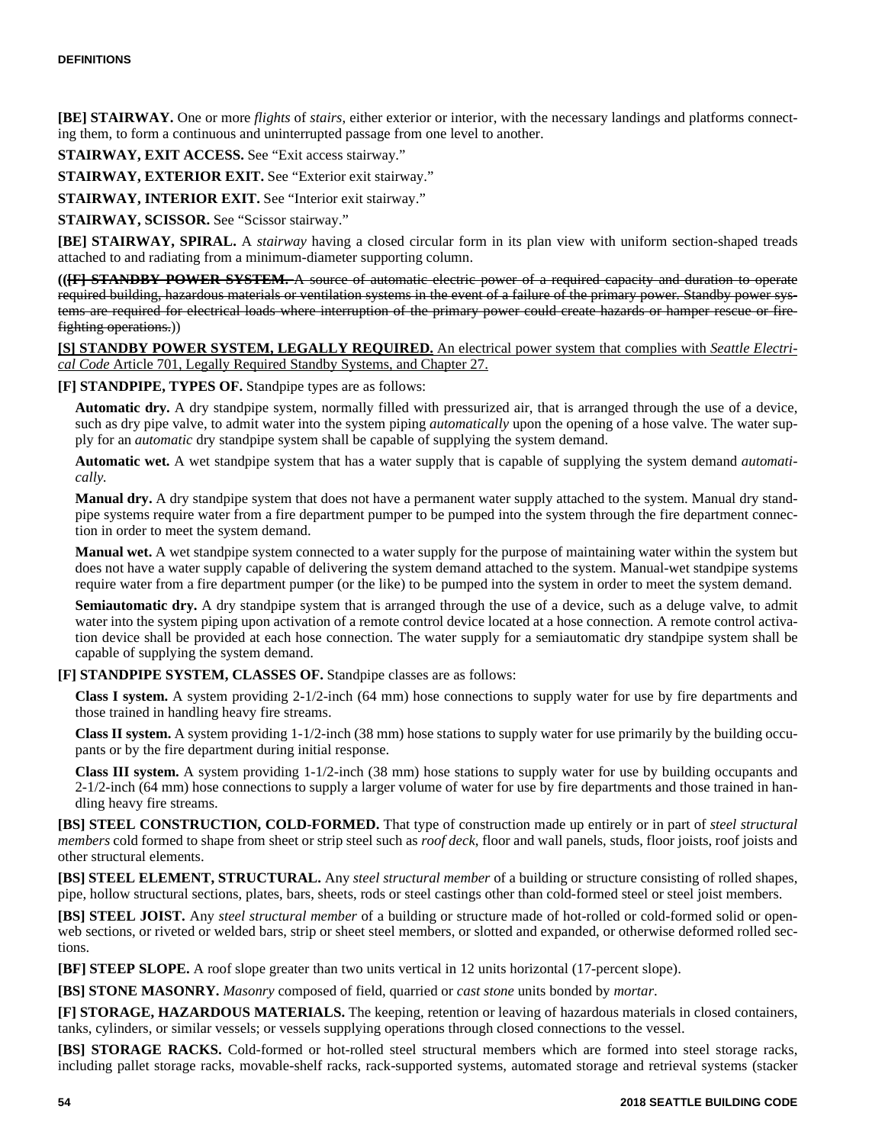**[BE] STAIRWAY.** One or more *flights* of *stairs*, either exterior or interior, with the necessary landings and platforms connecting them, to form a continuous and uninterrupted passage from one level to another.

**STAIRWAY, EXIT ACCESS.** See "Exit access stairway."

**STAIRWAY, EXTERIOR EXIT.** See "Exterior exit stairway."

**STAIRWAY, INTERIOR EXIT.** See "Interior exit stairway."

**STAIRWAY, SCISSOR.** See "Scissor stairway."

**[BE] STAIRWAY, SPIRAL.** A *stairway* having a closed circular form in its plan view with uniform section-shaped treads attached to and radiating from a minimum-diameter supporting column.

**(([F] STANDBY POWER SYSTEM.** A source of automatic electric power of a required capacity and duration to operate required building, hazardous materials or ventilation systems in the event of a failure of the primary power. Standby power systems are required for electrical loads where interruption of the primary power could create hazards or hamper rescue or firefighting operations.))

**[S] STANDBY POWER SYSTEM, LEGALLY REQUIRED.** An electrical power system that complies with *Seattle Electrical Code* Article 701, Legally Required Standby Systems, and Chapter 27.

**[F] STANDPIPE, TYPES OF.** Standpipe types are as follows:

**Automatic dry.** A dry standpipe system, normally filled with pressurized air, that is arranged through the use of a device, such as dry pipe valve, to admit water into the system piping *automatically* upon the opening of a hose valve. The water supply for an *automatic* dry standpipe system shall be capable of supplying the system demand.

**Automatic wet.** A wet standpipe system that has a water supply that is capable of supplying the system demand *automatically.*

**Manual dry.** A dry standpipe system that does not have a permanent water supply attached to the system. Manual dry standpipe systems require water from a fire department pumper to be pumped into the system through the fire department connection in order to meet the system demand.

**Manual wet.** A wet standpipe system connected to a water supply for the purpose of maintaining water within the system but does not have a water supply capable of delivering the system demand attached to the system. Manual-wet standpipe systems require water from a fire department pumper (or the like) to be pumped into the system in order to meet the system demand.

**Semiautomatic dry.** A dry standpipe system that is arranged through the use of a device, such as a deluge valve, to admit water into the system piping upon activation of a remote control device located at a hose connection. A remote control activation device shall be provided at each hose connection. The water supply for a semiautomatic dry standpipe system shall be capable of supplying the system demand.

**[F] STANDPIPE SYSTEM, CLASSES OF.** Standpipe classes are as follows:

**Class I system.** A system providing 2-1/2-inch (64 mm) hose connections to supply water for use by fire departments and those trained in handling heavy fire streams.

**Class II system.** A system providing 1-1/2-inch (38 mm) hose stations to supply water for use primarily by the building occupants or by the fire department during initial response.

**Class III system.** A system providing 1-1/2-inch (38 mm) hose stations to supply water for use by building occupants and 2-1/2-inch (64 mm) hose connections to supply a larger volume of water for use by fire departments and those trained in handling heavy fire streams.

**[BS] STEEL CONSTRUCTION, COLD-FORMED.** That type of construction made up entirely or in part of *steel structural members* cold formed to shape from sheet or strip steel such as *roof deck*, floor and wall panels, studs, floor joists, roof joists and other structural elements.

**[BS] STEEL ELEMENT, STRUCTURAL.** Any *steel structural member* of a building or structure consisting of rolled shapes, pipe, hollow structural sections, plates, bars, sheets, rods or steel castings other than cold-formed steel or steel joist members.

**[BS] STEEL JOIST.** Any *steel structural member* of a building or structure made of hot-rolled or cold-formed solid or openweb sections, or riveted or welded bars, strip or sheet steel members, or slotted and expanded, or otherwise deformed rolled sections.

**[BF] STEEP SLOPE.** A roof slope greater than two units vertical in 12 units horizontal (17-percent slope).

**[BS] STONE MASONRY.** *Masonry* composed of field, quarried or *cast stone* units bonded by *mortar*.

**[F] STORAGE, HAZARDOUS MATERIALS.** The keeping, retention or leaving of hazardous materials in closed containers, tanks, cylinders, or similar vessels; or vessels supplying operations through closed connections to the vessel.

**[BS] STORAGE RACKS.** Cold-formed or hot-rolled steel structural members which are formed into steel storage racks, including pallet storage racks, movable-shelf racks, rack-supported systems, automated storage and retrieval systems (stacker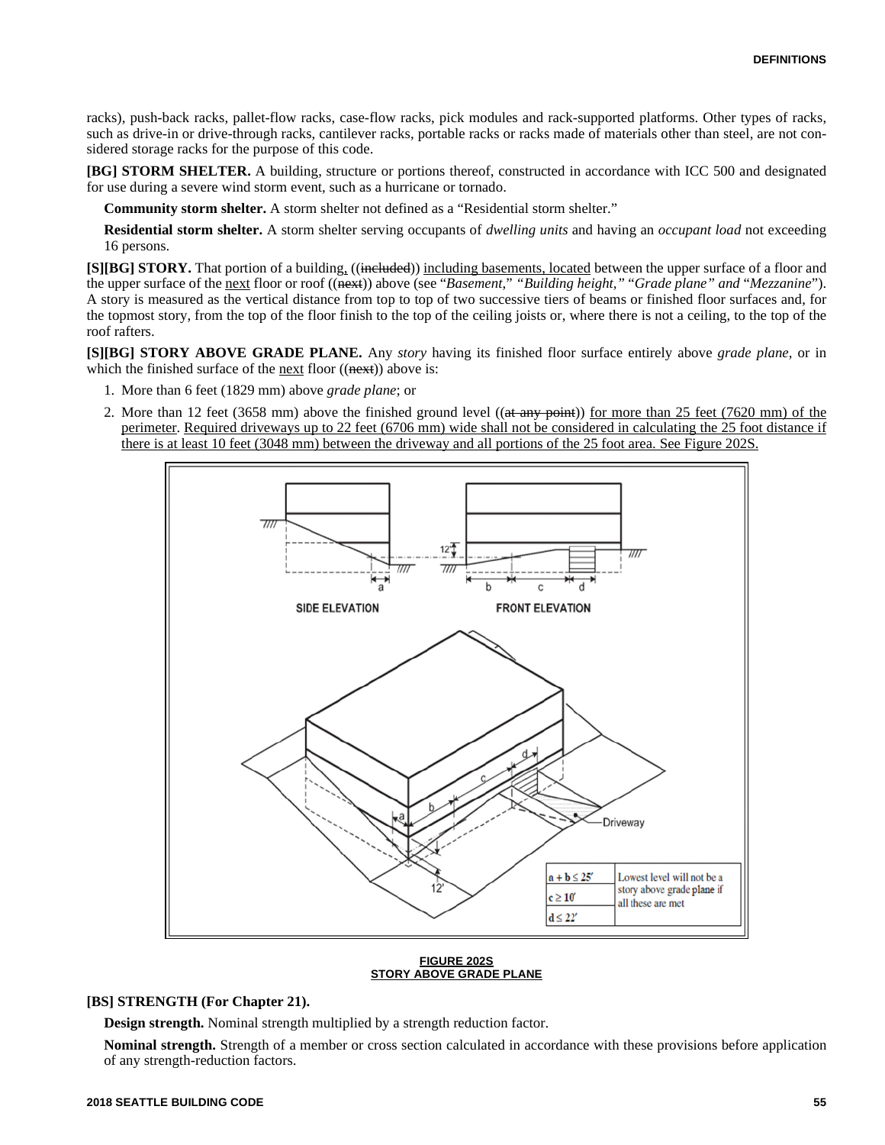racks), push-back racks, pallet-flow racks, case-flow racks, pick modules and rack-supported platforms. Other types of racks, such as drive-in or drive-through racks, cantilever racks, portable racks or racks made of materials other than steel, are not considered storage racks for the purpose of this code.

**[BG] STORM SHELTER.** A building, structure or portions thereof, constructed in accordance with ICC 500 and designated for use during a severe wind storm event, such as a hurricane or tornado.

**Community storm shelter.** A storm shelter not defined as a "Residential storm shelter."

**Residential storm shelter.** A storm shelter serving occupants of *dwelling units* and having an *occupant load* not exceeding 16 persons.

**[S][BG] STORY.** That portion of a building, ((included)) including basements, located between the upper surface of a floor and the upper surface of the next floor or roof ((next)) above (see "*Basement*," *"Building height,"* "*Grade plane" and* "*Mezzanine*"). A story is measured as the vertical distance from top to top of two successive tiers of beams or finished floor surfaces and, for the topmost story, from the top of the floor finish to the top of the ceiling joists or, where there is not a ceiling, to the top of the roof rafters.

**[S][BG] STORY ABOVE GRADE PLANE.** Any *story* having its finished floor surface entirely above *grade plane*, or in which the finished surface of the next floor  $((\text{next}))$  above is:

- 1. More than 6 feet (1829 mm) above *grade plane*; or
- 2. More than 12 feet (3658 mm) above the finished ground level ( $(a<sub>t</sub>$  any point)) for more than 25 feet (7620 mm) of the perimeter. Required driveways up to 22 feet (6706 mm) wide shall not be considered in calculating the 25 foot distance if there is at least 10 feet (3048 mm) between the driveway and all portions of the 25 foot area. See Figure 202S.



**FIGURE 202S STORY ABOVE GRADE PLANE**

# **[BS] STRENGTH (For Chapter 21).**

**Design strength.** Nominal strength multiplied by a strength reduction factor.

**Nominal strength.** Strength of a member or cross section calculated in accordance with these provisions before application of any strength-reduction factors.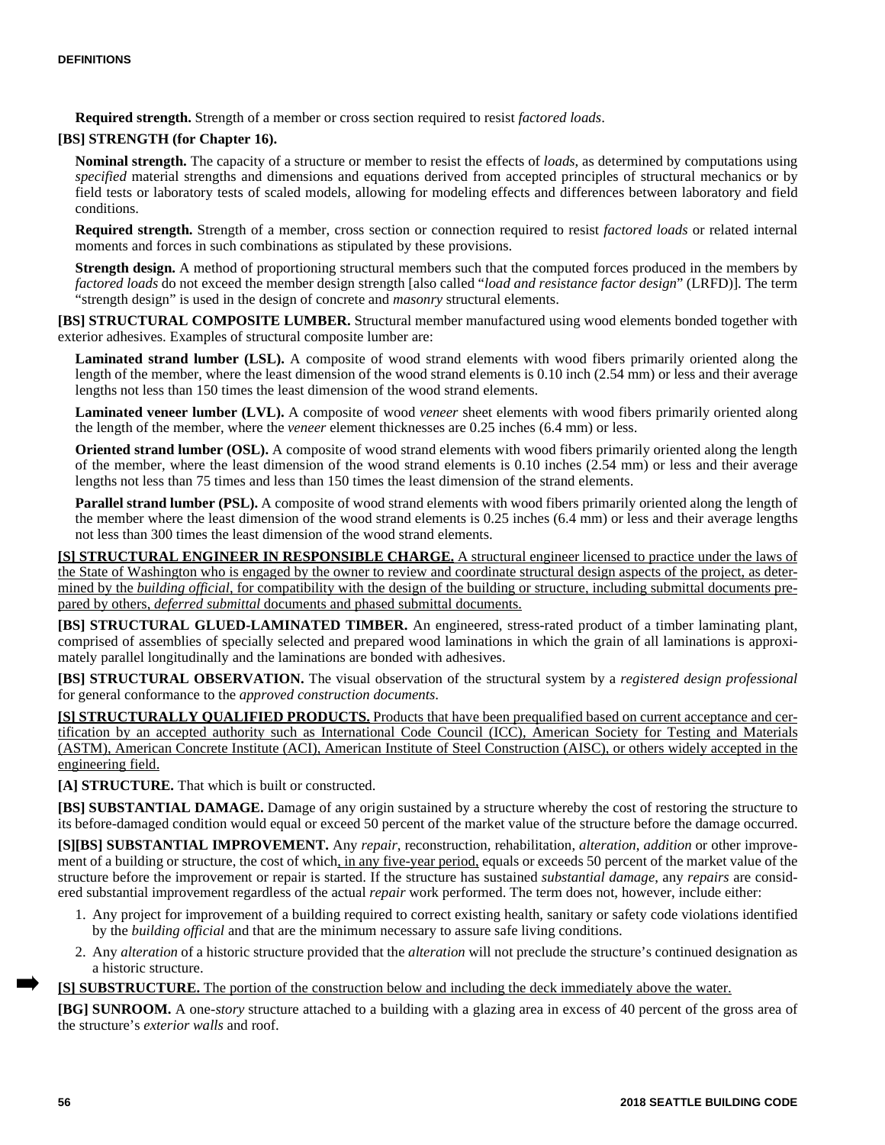**Required strength.** Strength of a member or cross section required to resist *factored loads*.

# **[BS] STRENGTH (for Chapter 16).**

**Nominal strength.** The capacity of a structure or member to resist the effects of *loads*, as determined by computations using *specified* material strengths and dimensions and equations derived from accepted principles of structural mechanics or by field tests or laboratory tests of scaled models, allowing for modeling effects and differences between laboratory and field conditions.

**Required strength.** Strength of a member, cross section or connection required to resist *factored loads* or related internal moments and forces in such combinations as stipulated by these provisions.

**Strength design.** A method of proportioning structural members such that the computed forces produced in the members by *factored loads* do not exceed the member design strength [also called "*load and resistance factor design*" (LRFD)]. The term "strength design" is used in the design of concrete and *masonry* structural elements.

**[BS] STRUCTURAL COMPOSITE LUMBER.** Structural member manufactured using wood elements bonded together with exterior adhesives. Examples of structural composite lumber are:

**Laminated strand lumber (LSL).** A composite of wood strand elements with wood fibers primarily oriented along the length of the member, where the least dimension of the wood strand elements is 0.10 inch (2.54 mm) or less and their average lengths not less than 150 times the least dimension of the wood strand elements.

**Laminated veneer lumber (LVL).** A composite of wood *veneer* sheet elements with wood fibers primarily oriented along the length of the member, where the *veneer* element thicknesses are 0.25 inches (6.4 mm) or less.

**Oriented strand lumber (OSL).** A composite of wood strand elements with wood fibers primarily oriented along the length of the member, where the least dimension of the wood strand elements is 0.10 inches (2.54 mm) or less and their average lengths not less than 75 times and less than 150 times the least dimension of the strand elements.

**Parallel strand lumber (PSL).** A composite of wood strand elements with wood fibers primarily oriented along the length of the member where the least dimension of the wood strand elements is 0.25 inches (6.4 mm) or less and their average lengths not less than 300 times the least dimension of the wood strand elements.

**[S] STRUCTURAL ENGINEER IN RESPONSIBLE CHARGE.** A structural engineer licensed to practice under the laws of the State of Washington who is engaged by the owner to review and coordinate structural design aspects of the project, as determined by the *building official*, for compatibility with the design of the building or structure, including submittal documents prepared by others, *deferred submittal* documents and phased submittal documents.

**[BS] STRUCTURAL GLUED-LAMINATED TIMBER.** An engineered, stress-rated product of a timber laminating plant, comprised of assemblies of specially selected and prepared wood laminations in which the grain of all laminations is approximately parallel longitudinally and the laminations are bonded with adhesives.

**[BS] STRUCTURAL OBSERVATION.** The visual observation of the structural system by a *registered design professional* for general conformance to the *approved construction documents*.

**[S] STRUCTURALLY QUALIFIED PRODUCTS.** Products that have been prequalified based on current acceptance and certification by an accepted authority such as International Code Council (ICC), American Society for Testing and Materials (ASTM), American Concrete Institute (ACI), American Institute of Steel Construction (AISC), or others widely accepted in the engineering field.

**[A] STRUCTURE.** That which is built or constructed.

**[BS] SUBSTANTIAL DAMAGE.** Damage of any origin sustained by a structure whereby the cost of restoring the structure to its before-damaged condition would equal or exceed 50 percent of the market value of the structure before the damage occurred.

**[S][BS] SUBSTANTIAL IMPROVEMENT.** Any *repair*, reconstruction, rehabilitation, *alteration*, *addition* or other improvement of a building or structure, the cost of which, in any five-year period, equals or exceeds 50 percent of the market value of the structure before the improvement or repair is started. If the structure has sustained *substantial damage*, any *repairs* are considered substantial improvement regardless of the actual *repair* work performed. The term does not, however, include either:

- 1. Any project for improvement of a building required to correct existing health, sanitary or safety code violations identified by the *building official* and that are the minimum necessary to assure safe living conditions.
- 2. Any *alteration* of a historic structure provided that the *alteration* will not preclude the structure's continued designation as a historic structure.
- **[S] SUBSTRUCTURE.** The portion of the construction below and including the deck immediately above the water.

**[BG] SUNROOM.** A one-*story* structure attached to a building with a glazing area in excess of 40 percent of the gross area of the structure's *exterior walls* and roof.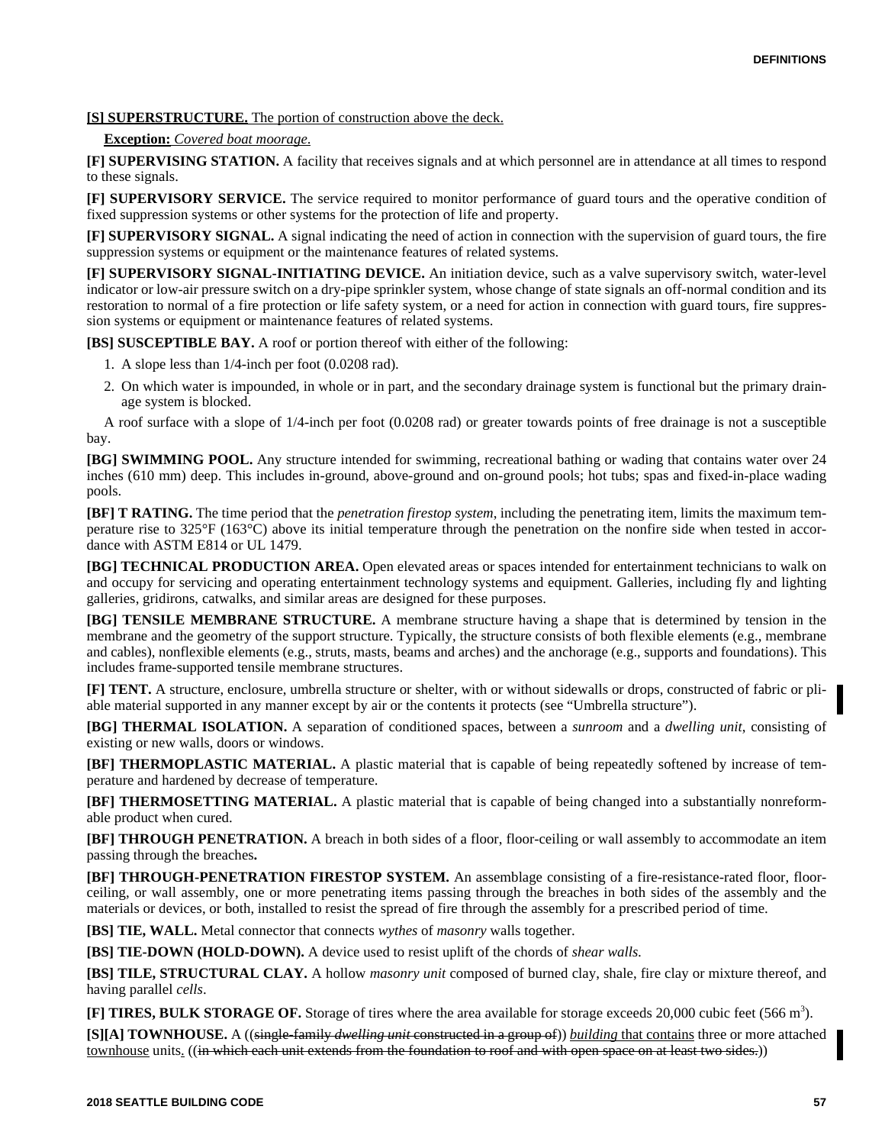**[S] SUPERSTRUCTURE.** The portion of construction above the deck.

**Exception:** *Covered boat moorage*.

**[F] SUPERVISING STATION.** A facility that receives signals and at which personnel are in attendance at all times to respond to these signals.

**[F] SUPERVISORY SERVICE.** The service required to monitor performance of guard tours and the operative condition of fixed suppression systems or other systems for the protection of life and property.

**[F] SUPERVISORY SIGNAL.** A signal indicating the need of action in connection with the supervision of guard tours, the fire suppression systems or equipment or the maintenance features of related systems.

**[F] SUPERVISORY SIGNAL-INITIATING DEVICE.** An initiation device, such as a valve supervisory switch, water-level indicator or low-air pressure switch on a dry-pipe sprinkler system, whose change of state signals an off-normal condition and its restoration to normal of a fire protection or life safety system, or a need for action in connection with guard tours, fire suppression systems or equipment or maintenance features of related systems.

**[BS] SUSCEPTIBLE BAY.** A roof or portion thereof with either of the following:

- 1. A slope less than 1/4-inch per foot (0.0208 rad).
- 2. On which water is impounded, in whole or in part, and the secondary drainage system is functional but the primary drainage system is blocked.

A roof surface with a slope of 1/4-inch per foot (0.0208 rad) or greater towards points of free drainage is not a susceptible bay.

**[BG] SWIMMING POOL.** Any structure intended for swimming, recreational bathing or wading that contains water over 24 inches (610 mm) deep. This includes in-ground, above-ground and on-ground pools; hot tubs; spas and fixed-in-place wading pools.

**[BF] T RATING.** The time period that the *penetration firestop system*, including the penetrating item, limits the maximum temperature rise to 325°F (163°C) above its initial temperature through the penetration on the nonfire side when tested in accordance with ASTM E814 or UL 1479.

**[BG] TECHNICAL PRODUCTION AREA.** Open elevated areas or spaces intended for entertainment technicians to walk on and occupy for servicing and operating entertainment technology systems and equipment. Galleries, including fly and lighting galleries, gridirons, catwalks, and similar areas are designed for these purposes.

**[BG] TENSILE MEMBRANE STRUCTURE.** A membrane structure having a shape that is determined by tension in the membrane and the geometry of the support structure. Typically, the structure consists of both flexible elements (e.g., membrane and cables), nonflexible elements (e.g., struts, masts, beams and arches) and the anchorage (e.g., supports and foundations). This includes frame-supported tensile membrane structures.

**[F] TENT.** A structure, enclosure, umbrella structure or shelter, with or without sidewalls or drops, constructed of fabric or pliable material supported in any manner except by air or the contents it protects (see "Umbrella structure").

**[BG] THERMAL ISOLATION.** A separation of conditioned spaces, between a *sunroom* and a *dwelling unit*, consisting of existing or new walls, doors or windows.

**[BF] THERMOPLASTIC MATERIAL.** A plastic material that is capable of being repeatedly softened by increase of temperature and hardened by decrease of temperature.

**[BF] THERMOSETTING MATERIAL.** A plastic material that is capable of being changed into a substantially nonreformable product when cured.

**[BF] THROUGH PENETRATION.** A breach in both sides of a floor, floor-ceiling or wall assembly to accommodate an item passing through the breaches**.**

**[BF] THROUGH-PENETRATION FIRESTOP SYSTEM.** An assemblage consisting of a fire-resistance-rated floor, floorceiling, or wall assembly, one or more penetrating items passing through the breaches in both sides of the assembly and the materials or devices, or both, installed to resist the spread of fire through the assembly for a prescribed period of time.

**[BS] TIE, WALL.** Metal connector that connects *wythes* of *masonry* walls together.

**[BS] TIE-DOWN (HOLD-DOWN).** A device used to resist uplift of the chords of *shear walls.*

**[BS] TILE, STRUCTURAL CLAY.** A hollow *masonry unit* composed of burned clay, shale, fire clay or mixture thereof, and having parallel *cells*.

**[F] TIRES, BULK STORAGE OF.** Storage of tires where the area available for storage exceeds 20,000 cubic feet (566 m<sup>3</sup> ).

**[S][A] TOWNHOUSE.** A ((single-family *dwelling unit* constructed in a group of)) *building* that contains three or more attached townhouse units. ((in which each unit extends from the foundation to roof and with open space on at least two sides.))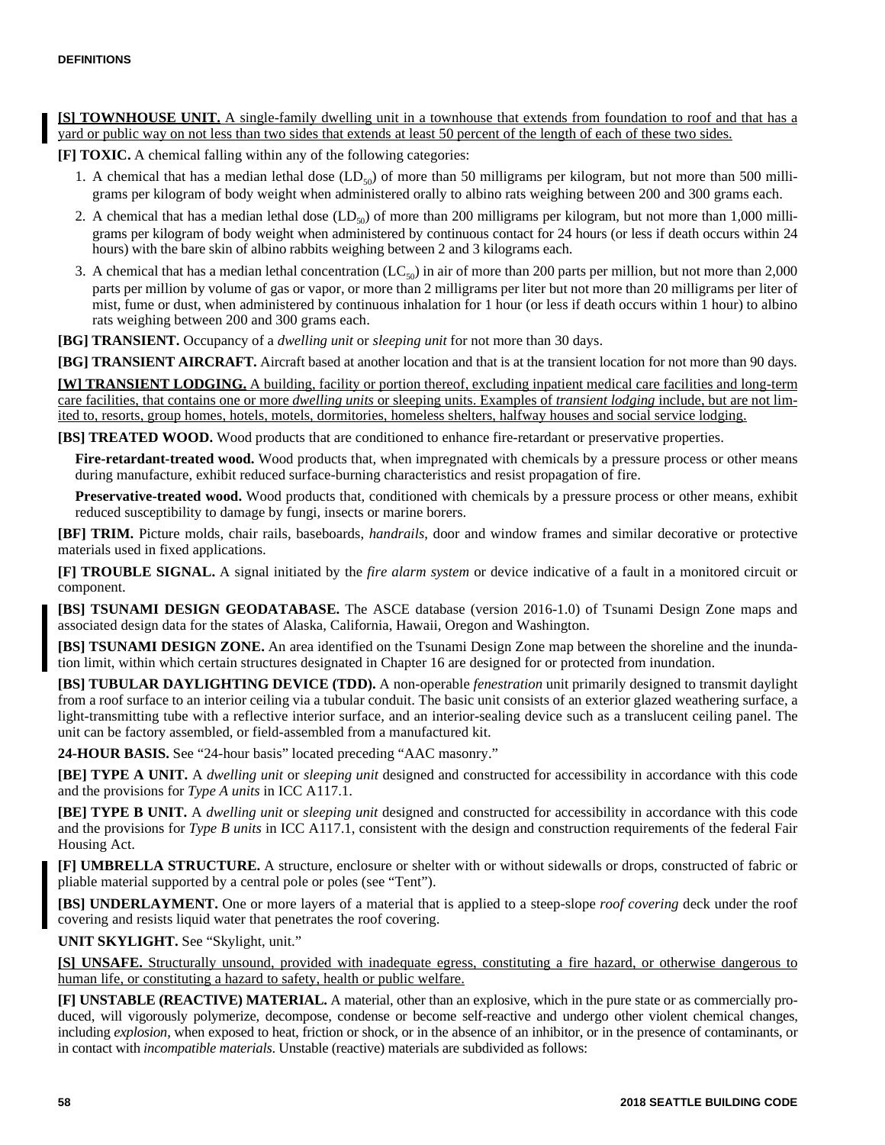**[S] TOWNHOUSE UNIT.** A single-family dwelling unit in a townhouse that extends from foundation to roof and that has a yard or public way on not less than two sides that extends at least 50 percent of the length of each of these two sides.

**[F] TOXIC.** A chemical falling within any of the following categories:

- 1. A chemical that has a median lethal dose  $(LD_{50})$  of more than 50 milligrams per kilogram, but not more than 500 milligrams per kilogram of body weight when administered orally to albino rats weighing between 200 and 300 grams each.
- 2. A chemical that has a median lethal dose  $(LD<sub>50</sub>)$  of more than 200 milligrams per kilogram, but not more than 1,000 milligrams per kilogram of body weight when administered by continuous contact for 24 hours (or less if death occurs within 24 hours) with the bare skin of albino rabbits weighing between 2 and 3 kilograms each.
- 3. A chemical that has a median lethal concentration  $(LC_{50})$  in air of more than 200 parts per million, but not more than 2,000 parts per million by volume of gas or vapor, or more than 2 milligrams per liter but not more than 20 milligrams per liter of mist, fume or dust, when administered by continuous inhalation for 1 hour (or less if death occurs within 1 hour) to albino rats weighing between 200 and 300 grams each.
- **[BG] TRANSIENT.** Occupancy of a *dwelling unit* or *sleeping unit* for not more than 30 days.

**[BG] TRANSIENT AIRCRAFT.** Aircraft based at another location and that is at the transient location for not more than 90 days.

**[W] TRANSIENT LODGING.** A building, facility or portion thereof, excluding inpatient medical care facilities and long-term care facilities, that contains one or more *dwelling units* or sleeping units. Examples of *transient lodging* include, but are not limited to, resorts, group homes, hotels, motels, dormitories, homeless shelters, halfway houses and social service lodging.

**[BS] TREATED WOOD.** Wood products that are conditioned to enhance fire-retardant or preservative properties.

**Fire-retardant-treated wood.** Wood products that, when impregnated with chemicals by a pressure process or other means during manufacture, exhibit reduced surface-burning characteristics and resist propagation of fire.

**Preservative-treated wood.** Wood products that, conditioned with chemicals by a pressure process or other means, exhibit reduced susceptibility to damage by fungi, insects or marine borers.

**[BF] TRIM.** Picture molds, chair rails, baseboards, *handrails*, door and window frames and similar decorative or protective materials used in fixed applications.

**[F] TROUBLE SIGNAL.** A signal initiated by the *fire alarm system* or device indicative of a fault in a monitored circuit or component.

**[BS] TSUNAMI DESIGN GEODATABASE.** The ASCE database (version 2016-1.0) of Tsunami Design Zone maps and associated design data for the states of Alaska, California, Hawaii, Oregon and Washington.

**[BS] TSUNAMI DESIGN ZONE.** An area identified on the Tsunami Design Zone map between the shoreline and the inundation limit, within which certain structures designated in Chapter 16 are designed for or protected from inundation.

**[BS] TUBULAR DAYLIGHTING DEVICE (TDD).** A non-operable *fenestration* unit primarily designed to transmit daylight from a roof surface to an interior ceiling via a tubular conduit. The basic unit consists of an exterior glazed weathering surface, a light-transmitting tube with a reflective interior surface, and an interior-sealing device such as a translucent ceiling panel. The unit can be factory assembled, or field-assembled from a manufactured kit.

**24-HOUR BASIS.** See "24-hour basis" located preceding "AAC masonry."

**[BE] TYPE A UNIT.** A *dwelling unit* or *sleeping unit* designed and constructed for accessibility in accordance with this code and the provisions for *Type A units* in ICC A117.1.

**[BE] TYPE B UNIT.** A *dwelling unit* or *sleeping unit* designed and constructed for accessibility in accordance with this code and the provisions for *Type B units* in ICC A117.1, consistent with the design and construction requirements of the federal Fair Housing Act.

**[F] UMBRELLA STRUCTURE.** A structure, enclosure or shelter with or without sidewalls or drops, constructed of fabric or pliable material supported by a central pole or poles (see "Tent").

**[BS] UNDERLAYMENT.** One or more layers of a material that is applied to a steep-slope *roof covering* deck under the roof covering and resists liquid water that penetrates the roof covering.

**UNIT SKYLIGHT.** See "Skylight, unit."

**[S] UNSAFE.** Structurally unsound, provided with inadequate egress, constituting a fire hazard, or otherwise dangerous to human life, or constituting a hazard to safety, health or public welfare.

**[F] UNSTABLE (REACTIVE) MATERIAL.** A material, other than an explosive, which in the pure state or as commercially produced, will vigorously polymerize, decompose, condense or become self-reactive and undergo other violent chemical changes, including *explosion*, when exposed to heat, friction or shock, or in the absence of an inhibitor, or in the presence of contaminants, or in contact with *incompatible materials*. Unstable (reactive) materials are subdivided as follows: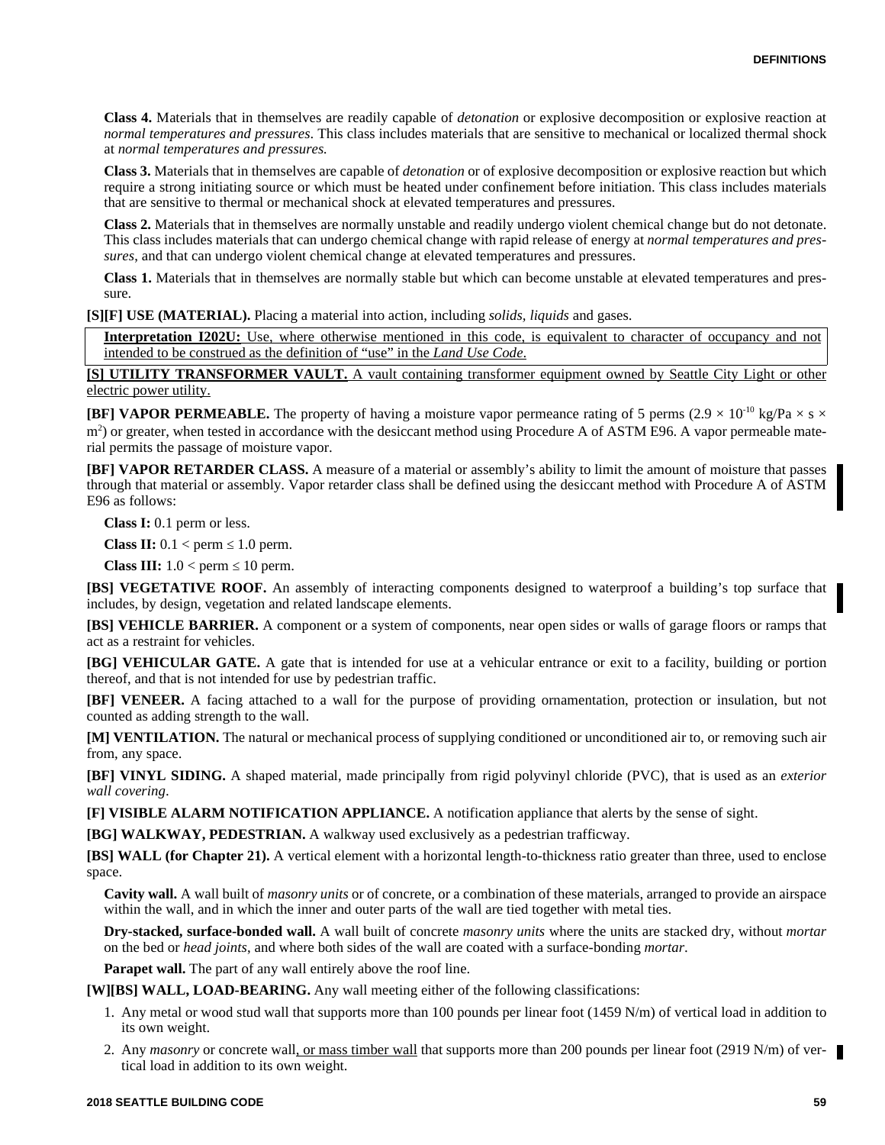**Class 4.** Materials that in themselves are readily capable of *detonation* or explosive decomposition or explosive reaction at *normal temperatures and pressures*. This class includes materials that are sensitive to mechanical or localized thermal shock at *normal temperatures and pressures.*

**Class 3.** Materials that in themselves are capable of *detonation* or of explosive decomposition or explosive reaction but which require a strong initiating source or which must be heated under confinement before initiation. This class includes materials that are sensitive to thermal or mechanical shock at elevated temperatures and pressures.

**Class 2.** Materials that in themselves are normally unstable and readily undergo violent chemical change but do not detonate. This class includes materials that can undergo chemical change with rapid release of energy at *normal temperatures and pressures*, and that can undergo violent chemical change at elevated temperatures and pressures.

**Class 1.** Materials that in themselves are normally stable but which can become unstable at elevated temperatures and pressure.

**[S][F] USE (MATERIAL).** Placing a material into action, including *solids, liquids* and gases.

**Interpretation I202U:** Use, where otherwise mentioned in this code, is equivalent to character of occupancy and not intended to be construed as the definition of "use" in the *Land Use Code*.

**[S] UTILITY TRANSFORMER VAULT.** A vault containing transformer equipment owned by Seattle City Light or other electric power utility.

**[BF] VAPOR PERMEABLE.** The property of having a moisture vapor permeance rating of 5 perms (2.9  $\times$  10<sup>-10</sup> kg/Pa  $\times$  s  $\times$ m<sup>2</sup>) or greater, when tested in accordance with the desiccant method using Procedure A of ASTM E96. A vapor permeable material permits the passage of moisture vapor.

**[BF] VAPOR RETARDER CLASS.** A measure of a material or assembly's ability to limit the amount of moisture that passes through that material or assembly. Vapor retarder class shall be defined using the desiccant method with Procedure A of ASTM E96 as follows:

**Class I:** 0.1 perm or less.

**Class II:**  $0.1 < \text{perm} \leq 1.0$  perm.

**Class III:**  $1.0 < \text{perm} \leq 10 \text{ perm}$ .

**[BS] VEGETATIVE ROOF.** An assembly of interacting components designed to waterproof a building's top surface that includes, by design, vegetation and related landscape elements.

**[BS] VEHICLE BARRIER.** A component or a system of components, near open sides or walls of garage floors or ramps that act as a restraint for vehicles.

**[BG] VEHICULAR GATE.** A gate that is intended for use at a vehicular entrance or exit to a facility, building or portion thereof, and that is not intended for use by pedestrian traffic.

**[BF] VENEER.** A facing attached to a wall for the purpose of providing ornamentation, protection or insulation, but not counted as adding strength to the wall.

**[M] VENTILATION.** The natural or mechanical process of supplying conditioned or unconditioned air to, or removing such air from, any space.

**[BF] VINYL SIDING.** A shaped material, made principally from rigid polyvinyl chloride (PVC), that is used as an *exterior wall covering*.

**[F] VISIBLE ALARM NOTIFICATION APPLIANCE.** A notification appliance that alerts by the sense of sight.

**[BG] WALKWAY, PEDESTRIAN.** A walkway used exclusively as a pedestrian trafficway.

**[BS] WALL (for Chapter 21).** A vertical element with a horizontal length-to-thickness ratio greater than three, used to enclose space.

**Cavity wall.** A wall built of *masonry units* or of concrete, or a combination of these materials, arranged to provide an airspace within the wall, and in which the inner and outer parts of the wall are tied together with metal ties.

**Dry-stacked, surface-bonded wall.** A wall built of concrete *masonry units* where the units are stacked dry, without *mortar* on the bed or *head joints*, and where both sides of the wall are coated with a surface-bonding *mortar*.

Parapet wall. The part of any wall entirely above the roof line.

**[W][BS] WALL, LOAD-BEARING.** Any wall meeting either of the following classifications:

- 1. Any metal or wood stud wall that supports more than 100 pounds per linear foot (1459 N/m) of vertical load in addition to its own weight.
- 2. Any *masonry* or concrete wall, or mass timber wall that supports more than 200 pounds per linear foot (2919 N/m) of vertical load in addition to its own weight.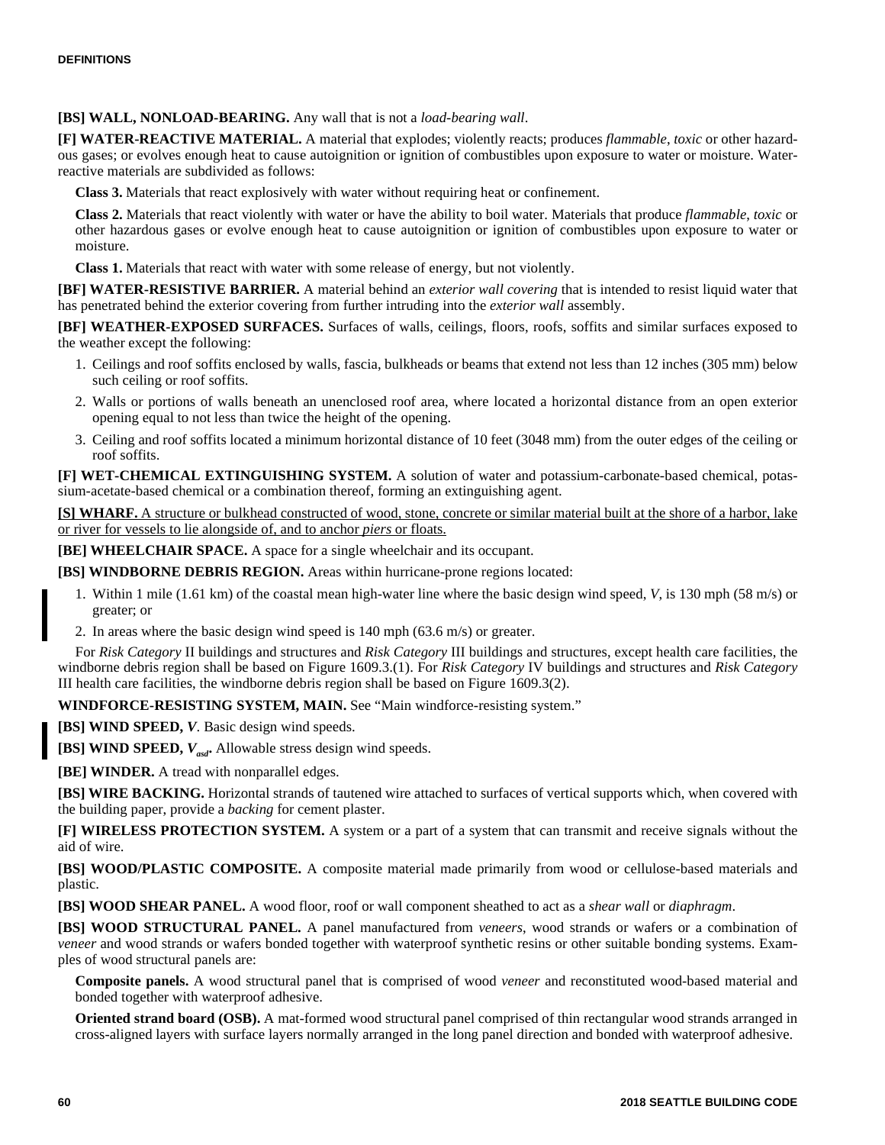# **[BS] WALL, NONLOAD-BEARING.** Any wall that is not a *load-bearing wall*.

**[F] WATER-REACTIVE MATERIAL.** A material that explodes; violently reacts; produces *flammable*, *toxic* or other hazardous gases; or evolves enough heat to cause autoignition or ignition of combustibles upon exposure to water or moisture. Waterreactive materials are subdivided as follows:

**Class 3.** Materials that react explosively with water without requiring heat or confinement.

**Class 2.** Materials that react violently with water or have the ability to boil water. Materials that produce *flammable*, *toxic* or other hazardous gases or evolve enough heat to cause autoignition or ignition of combustibles upon exposure to water or moisture.

**Class 1.** Materials that react with water with some release of energy, but not violently.

**[BF] WATER-RESISTIVE BARRIER.** A material behind an *exterior wall covering* that is intended to resist liquid water that has penetrated behind the exterior covering from further intruding into the *exterior wall* assembly.

**[BF] WEATHER-EXPOSED SURFACES.** Surfaces of walls, ceilings, floors, roofs, soffits and similar surfaces exposed to the weather except the following:

- 1. Ceilings and roof soffits enclosed by walls, fascia, bulkheads or beams that extend not less than 12 inches (305 mm) below such ceiling or roof soffits.
- 2. Walls or portions of walls beneath an unenclosed roof area, where located a horizontal distance from an open exterior opening equal to not less than twice the height of the opening.
- 3. Ceiling and roof soffits located a minimum horizontal distance of 10 feet (3048 mm) from the outer edges of the ceiling or roof soffits.

**[F] WET-CHEMICAL EXTINGUISHING SYSTEM.** A solution of water and potassium-carbonate-based chemical, potassium-acetate-based chemical or a combination thereof, forming an extinguishing agent.

**[S] WHARF.** A structure or bulkhead constructed of wood, stone, concrete or similar material built at the shore of a harbor, lake or river for vessels to lie alongside of, and to anchor *piers* or floats.

**[BE] WHEELCHAIR SPACE.** A space for a single wheelchair and its occupant.

**[BS] WINDBORNE DEBRIS REGION.** Areas within hurricane-prone regions located:

- 1. Within 1 mile (1.61 km) of the coastal mean high-water line where the basic design wind speed, *V*, is 130 mph (58 m/s) or greater; or
- 2. In areas where the basic design wind speed is 140 mph (63.6 m/s) or greater.

For *Risk Category* II buildings and structures and *Risk Category* III buildings and structures, except health care facilities, the windborne debris region shall be based on Figure 1609.3.(1). For *Risk Category* IV buildings and structures and *Risk Category* III health care facilities, the windborne debris region shall be based on Figure 1609.3(2).

**WINDFORCE-RESISTING SYSTEM, MAIN.** See "Main windforce-resisting system."

**[BS] WIND SPEED,** *V*. Basic design wind speeds.

**[BS] WIND SPEED,** *Vasd***.** Allowable stress design wind speeds.

**[BE] WINDER.** A tread with nonparallel edges.

**[BS] WIRE BACKING.** Horizontal strands of tautened wire attached to surfaces of vertical supports which, when covered with the building paper, provide a *backing* for cement plaster.

**[F] WIRELESS PROTECTION SYSTEM.** A system or a part of a system that can transmit and receive signals without the aid of wire.

**[BS] WOOD/PLASTIC COMPOSITE.** A composite material made primarily from wood or cellulose-based materials and plastic.

**[BS] WOOD SHEAR PANEL.** A wood floor, roof or wall component sheathed to act as a *shear wall* or *diaphragm*.

**[BS] WOOD STRUCTURAL PANEL.** A panel manufactured from *veneers*, wood strands or wafers or a combination of *veneer* and wood strands or wafers bonded together with waterproof synthetic resins or other suitable bonding systems. Examples of wood structural panels are:

**Composite panels.** A wood structural panel that is comprised of wood *veneer* and reconstituted wood-based material and bonded together with waterproof adhesive.

**Oriented strand board (OSB).** A mat-formed wood structural panel comprised of thin rectangular wood strands arranged in cross-aligned layers with surface layers normally arranged in the long panel direction and bonded with waterproof adhesive.